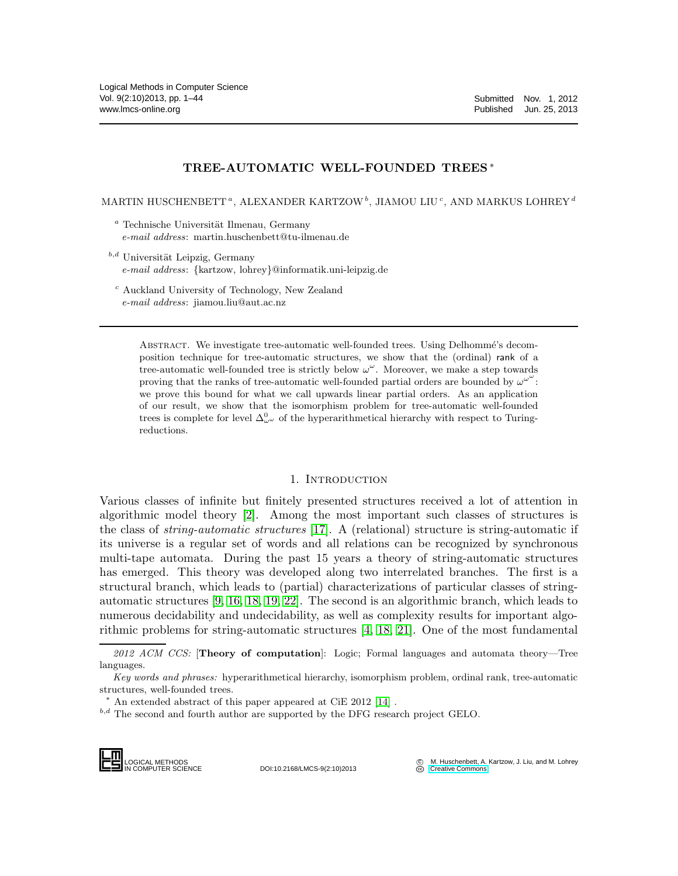## TREE-AUTOMATIC WELL-FOUNDED TREES <sup>∗</sup>

MARTIN HUSCHENBETT", ALEXANDER KARTZOW $^b,$  JIAMOU LIU $^c,$  AND MARKUS LOHREY  $^d$ 

- $a$  Technische Universität Ilmenau, Germany e-mail address: martin.huschenbett@tu-ilmenau.de
- $b,d$  Universität Leipzig, Germany e-mail address: {kartzow, lohrey}@informatik.uni-leipzig.de
	- <sup>c</sup> Auckland University of Technology, New Zealand e-mail address: jiamou.liu@aut.ac.nz

ABSTRACT. We investigate tree-automatic well-founded trees. Using Delhommé's decomposition technique for tree-automatic structures, we show that the (ordinal) rank of a tree-automatic well-founded tree is strictly below  $\omega^{\omega}$ . Moreover, we make a step towards proving that the ranks of tree-automatic well-founded partial orders are bounded by  $\omega^{\omega}$ . we prove this bound for what we call upwards linear partial orders. As an application of our result, we show that the isomorphism problem for tree-automatic well-founded trees is complete for level  $\Delta^0_\omega$  of the hyperarithmetical hierarchy with respect to Turingreductions.

#### 1. INTRODUCTION

Various classes of infinite but finitely presented structures received a lot of attention in algorithmic model theory [\[2\]](#page-42-0). Among the most important such classes of structures is the class of string-automatic structures [\[17\]](#page-43-0). A (relational) structure is string-automatic if its universe is a regular set of words and all relations can be recognized by synchronous multi-tape automata. During the past 15 years a theory of string-automatic structures has emerged. This theory was developed along two interrelated branches. The first is a structural branch, which leads to (partial) characterizations of particular classes of stringautomatic structures [\[9,](#page-42-1) [16,](#page-43-1) [18,](#page-43-2) [19,](#page-43-3) [22\]](#page-43-4). The second is an algorithmic branch, which leads to numerous decidability and undecidability, as well as complexity results for important algorithmic problems for string-automatic structures [\[4,](#page-42-2) [18,](#page-43-2) [21\]](#page-43-5). One of the most fundamental

 $2012$  ACM CCS: [Theory of computation]: Logic; Formal languages and automata theory—Tree languages.

Key words and phrases: hyperarithmetical hierarchy, isomorphism problem, ordinal rank, tree-automatic structures, well-founded trees.

 $^{b,d}$  The second and fourth author are supported by the DFG research project GELO.

LOGICAL METHODS<br>IN COMPUTER SCIENCE

DOI:10.2168/LMCS-9(2:10)2013

M. Huschenbett, A. Kartzow, J. Liu, and M. Lohrey **CC** M. Huschenbett, A.<br> **CCC** [Creative Commons](http://creativecommons.org/about/licenses)

<sup>∗</sup> An extended abstract of this paper appeared at CiE 2012 [\[14\]](#page-42-3) .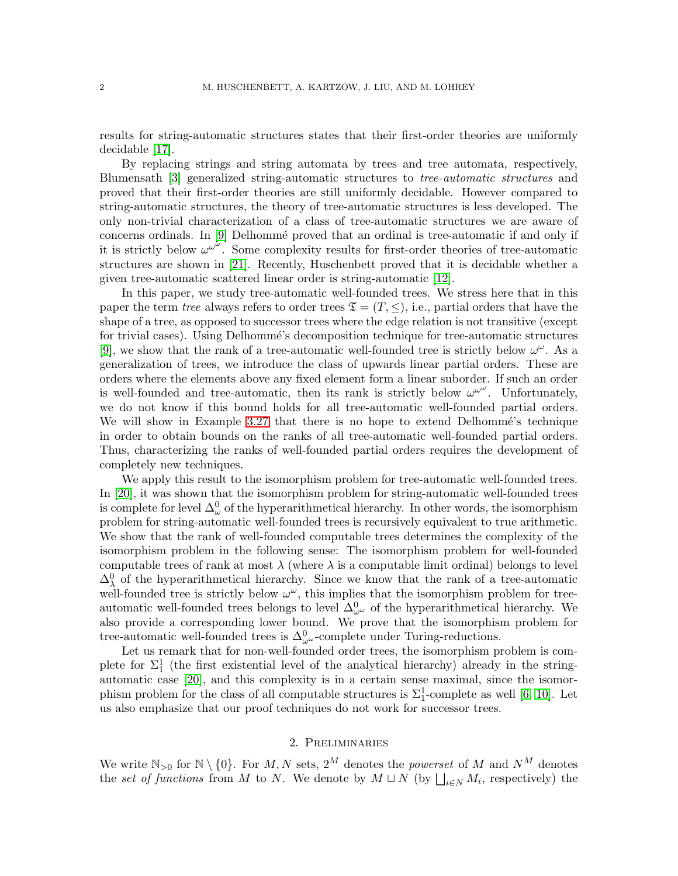results for string-automatic structures states that their first-order theories are uniformly decidable [\[17\]](#page-43-0).

By replacing strings and string automata by trees and tree automata, respectively, Blumensath [\[3\]](#page-42-4) generalized string-automatic structures to tree-automatic structures and proved that their first-order theories are still uniformly decidable. However compared to string-automatic structures, the theory of tree-automatic structures is less developed. The only non-trivial characterization of a class of tree-automatic structures we are aware of concerns ordinals. In [\[9\]](#page-42-1) Delhommé proved that an ordinal is tree-automatic if and only if it is strictly below  $\omega^{\omega^{\omega}}$ . Some complexity results for first-order theories of tree-automatic structures are shown in [\[21\]](#page-43-5). Recently, Huschenbett proved that it is decidable whether a given tree-automatic scattered linear order is string-automatic [\[12\]](#page-42-5).

In this paper, we study tree-automatic well-founded trees. We stress here that in this paper the term tree always refers to order trees  $\mathfrak{T} = (T, \leq),$  i.e., partial orders that have the shape of a tree, as opposed to successor trees where the edge relation is not transitive (except for trivial cases). Using Delhommé's decomposition technique for tree-automatic structures [\[9\]](#page-42-1), we show that the rank of a tree-automatic well-founded tree is strictly below  $\omega^{\omega}$ . As a generalization of trees, we introduce the class of upwards linear partial orders. These are orders where the elements above any fixed element form a linear suborder. If such an order is well-founded and tree-automatic, then its rank is strictly below  $\omega^{\omega^{\omega}}$ . Unfortunately, we do not know if this bound holds for all tree-automatic well-founded partial orders. We will show in Example [3.27](#page-25-0) that there is no hope to extend Delhommé's technique in order to obtain bounds on the ranks of all tree-automatic well-founded partial orders. Thus, characterizing the ranks of well-founded partial orders requires the development of completely new techniques.

We apply this result to the isomorphism problem for tree-automatic well-founded trees. In [\[20\]](#page-43-6), it was shown that the isomorphism problem for string-automatic well-founded trees is complete for level  $\Delta^0_\omega$  of the hyperarithmetical hierarchy. In other words, the isomorphism problem for string-automatic well-founded trees is recursively equivalent to true arithmetic. We show that the rank of well-founded computable trees determines the complexity of the isomorphism problem in the following sense: The isomorphism problem for well-founded computable trees of rank at most  $\lambda$  (where  $\lambda$  is a computable limit ordinal) belongs to level  $\Delta_{\lambda}^{0}$  of the hyperarithmetical hierarchy. Since we know that the rank of a tree-automatic well-founded tree is strictly below  $\omega^{\omega}$ , this implies that the isomorphism problem for treeautomatic well-founded trees belongs to level  $\Delta^0_{\omega^{\omega}}$  of the hyperarithmetical hierarchy. We also provide a corresponding lower bound. We prove that the isomorphism problem for tree-automatic well-founded trees is  $\Delta_{\omega^{\omega}}^0$ -complete under Turing-reductions.

Let us remark that for non-well-founded order trees, the isomorphism problem is complete for  $\Sigma_1^1$  (the first existential level of the analytical hierarchy) already in the stringautomatic case [\[20\]](#page-43-6), and this complexity is in a certain sense maximal, since the isomorphism problem for the class of all computable structures is  $\Sigma_1^1$ -complete as well [\[6,](#page-42-6) [10\]](#page-42-7). Let us also emphasize that our proof techniques do not work for successor trees.

## 2. Preliminaries

We write  $\mathbb{N}_{>0}$  for  $\mathbb{N} \setminus \{0\}$ . For  $M, N$  sets,  $2^M$  denotes the *powerset* of M and  $N^M$  denotes the set of functions from M to N. We denote by  $M \sqcup N$  (by  $\bigsqcup_{i\in N} M_i$ , respectively) the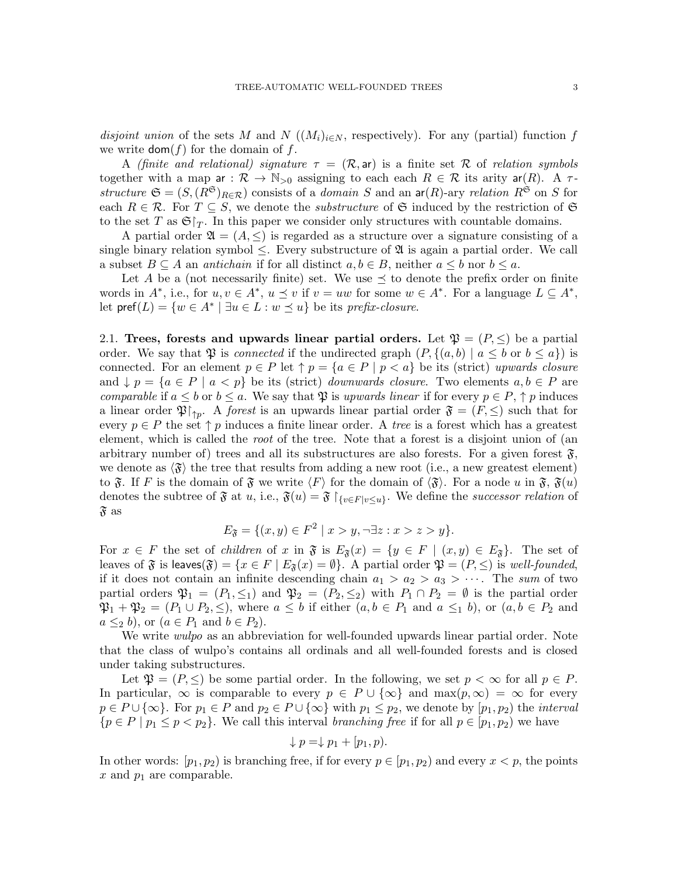disjoint union of the sets M and N  $((M_i)_{i\in N}$ , respectively). For any (partial) function f we write  $\text{dom}(f)$  for the domain of f.

A (finite and relational) signature  $\tau = (\mathcal{R}, \text{ar})$  is a finite set R of relation symbols together with a map ar :  $\mathcal{R} \to \mathbb{N}_{>0}$  assigning to each each  $R \in \mathcal{R}$  its arity ar(R). A  $\tau$ structure  $\mathfrak{S} = (S,(R^{\mathfrak{S}})_{R \in \mathcal{R}})$  consists of a *domain* S and an  $\mathsf{ar}(R)$ -ary relation  $R^{\mathfrak{S}}$  on S for each  $R \in \mathcal{R}$ . For  $T \subseteq S$ , we denote the *substructure* of G induced by the restriction of G to the set T as  $\mathfrak{S}|_T$ . In this paper we consider only structures with countable domains.

A partial order  $\mathfrak{A} = (A, \leq)$  is regarded as a structure over a signature consisting of a single binary relation symbol  $\leq$ . Every substructure of  $\mathfrak A$  is again a partial order. We call a subset  $B \subseteq A$  an *antichain* if for all distinct  $a, b \in B$ , neither  $a \leq b$  nor  $b \leq a$ .

Let A be a (not necessarily finite) set. We use  $\preceq$  to denote the prefix order on finite words in  $A^*$ , i.e., for  $u, v \in A^*$ ,  $u \preceq v$  if  $v = uw$  for some  $w \in A^*$ . For a language  $L \subseteq A^*$ , let  $\text{pref}(L) = \{w \in A^* \mid \exists u \in L : w \preceq u\}$  be its prefix-closure.

<span id="page-2-0"></span>2.1. Trees, forests and upwards linear partial orders. Let  $\mathfrak{P} = (P, \leq)$  be a partial order. We say that  $\mathfrak P$  is *connected* if the undirected graph  $(P, \{(a, b) \mid a \leq b \text{ or } b \leq a\})$  is connected. For an element  $p \in P$  let  $\uparrow p = \{a \in P \mid p < a\}$  be its (strict) upwards closure and  $\downarrow p = \{a \in P \mid a < p\}$  be its (strict) downwards closure. Two elements  $a, b \in P$  are comparable if  $a \leq b$  or  $b \leq a$ . We say that  $\mathfrak P$  is upwards linear if for every  $p \in P$ ,  $\uparrow p$  induces a linear order  $\mathfrak{P}\upharpoonright_{\uparrow p}$ . A *forest* is an upwards linear partial order  $\mathfrak{F} = (F, \leq)$  such that for every  $p \in P$  the set  $\uparrow p$  induces a finite linear order. A *tree* is a forest which has a greatest element, which is called the root of the tree. Note that a forest is a disjoint union of (an arbitrary number of) trees and all its substructures are also forests. For a given forest  $\mathfrak{F}$ , we denote as  $\langle \mathfrak{F} \rangle$  the tree that results from adding a new root (i.e., a new greatest element) to  $\mathfrak{F}$ . If F is the domain of  $\mathfrak{F}$  we write  $\langle F \rangle$  for the domain of  $\langle \mathfrak{F} \rangle$ . For a node u in  $\mathfrak{F}$ ,  $\mathfrak{F}(u)$ denotes the subtree of  $\mathfrak{F}$  at u, i.e.,  $\mathfrak{F}(u) = \mathfrak{F} \restriction_{\{v \in F \mid v \leq u\}}$ . We define the successor relation of  $\mathfrak{F}\$  as

$$
E_{\mathfrak{F}} = \{ (x, y) \in F^2 \mid x > y, \neg \exists z : x > z > y \}.
$$

For  $x \in F$  the set of *children* of x in  $\mathfrak{F}$  is  $E_{\mathfrak{F}}(x) = \{y \in F \mid (x, y) \in E_{\mathfrak{F}}\}$ . The set of leaves of  $\mathfrak F$  is leaves $(\mathfrak F) = \{x \in F \mid E_{\mathfrak F}(x) = \emptyset\}$ . A partial order  $\mathfrak P = (P, \leq)$  is well-founded, if it does not contain an infinite descending chain  $a_1 > a_2 > a_3 > \cdots$ . The sum of two partial orders  $\mathfrak{P}_1 = (P_1, \leq_1)$  and  $\mathfrak{P}_2 = (P_2, \leq_2)$  with  $P_1 \cap P_2 = \emptyset$  is the partial order  $\mathfrak{P}_1 + \mathfrak{P}_2 = (P_1 \cup P_2, \leq),$  where  $a \leq b$  if either  $(a, b \in P_1 \text{ and } a \leq_1 b),$  or  $(a, b \in P_2 \text{ and } a \leq_1 b)$  $a \leq_2 b$ , or  $(a \in P_1 \text{ and } b \in P_2)$ .

We write *wulpo* as an abbreviation for well-founded upwards linear partial order. Note that the class of wulpo's contains all ordinals and all well-founded forests and is closed under taking substructures.

Let  $\mathfrak{P} = (P, \leq)$  be some partial order. In the following, we set  $p < \infty$  for all  $p \in P$ . In particular,  $\infty$  is comparable to every  $p \in P \cup {\infty}$  and  $\max(p,\infty) = \infty$  for every  $p \in P \cup \{\infty\}$ . For  $p_1 \in P$  and  $p_2 \in P \cup \{\infty\}$  with  $p_1 \leq p_2$ , we denote by  $[p_1, p_2]$  the *interval*  ${p \in P \mid p_1 \leq p < p_2}.$  We call this interval branching free if for all  $p \in [p_1, p_2)$  we have

$$
\downarrow p = \downarrow p_1 + [p_1, p).
$$

In other words:  $[p_1, p_2]$  is branching free, if for every  $p \in [p_1, p_2]$  and every  $x < p$ , the points x and  $p_1$  are comparable.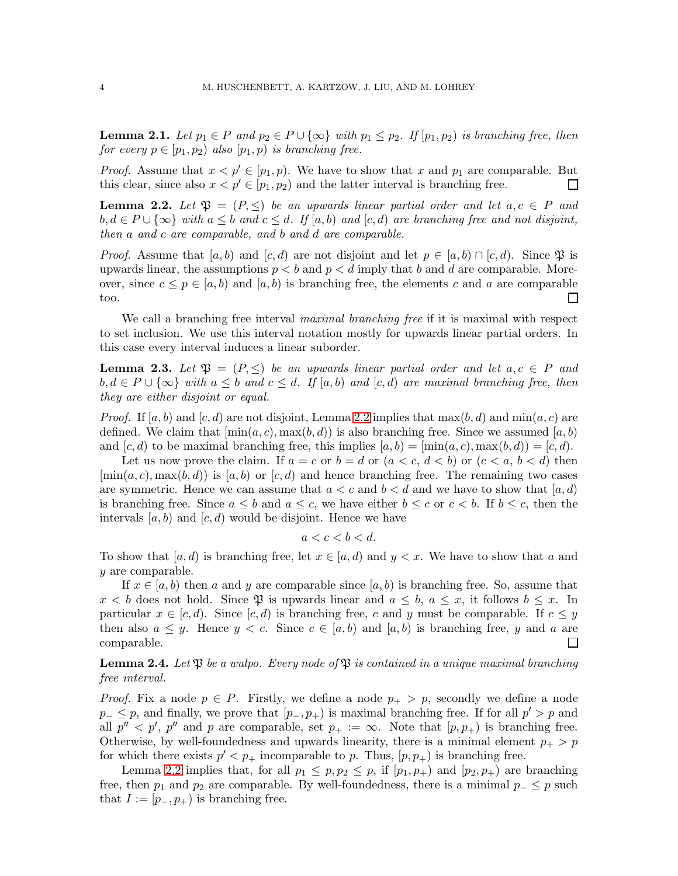**Lemma 2.1.** Let  $p_1 \in P$  and  $p_2 \in P \cup {\infty}$  with  $p_1 \leq p_2$ . If  $[p_1, p_2)$  is branching free, then for every  $p \in [p_1, p_2)$  also  $[p_1, p)$  is branching free.

*Proof.* Assume that  $x < p' \in [p_1, p)$ . We have to show that x and  $p_1$  are comparable. But this clear, since also  $x < p' \in [p_1, p_2)$  and the latter interval is branching free.  $\Box$ 

<span id="page-3-0"></span>**Lemma 2.2.** Let  $\mathfrak{P} = (P, \leq)$  be an upwards linear partial order and let  $a, c \in P$  and  $b, d \in P \cup \{\infty\}$  with  $a \leq b$  and  $c \leq d$ . If  $[a, b)$  and  $[c, d)$  are branching free and not disjoint, then a and c are comparable, and b and d are comparable.

*Proof.* Assume that  $[a, b]$  and  $[c, d]$  are not disjoint and let  $p \in [a, b] \cap [c, d)$ . Since  $\mathfrak{P}$  is upwards linear, the assumptions  $p < b$  and  $p < d$  imply that b and d are comparable. Moreover, since  $c \leq p \in [a, b)$  and  $[a, b)$  is branching free, the elements c and a are comparable too.  $\Box$ 

We call a branching free interval *maximal branching free* if it is maximal with respect to set inclusion. We use this interval notation mostly for upwards linear partial orders. In this case every interval induces a linear suborder.

<span id="page-3-1"></span>**Lemma 2.3.** Let  $\mathfrak{P} = (P, \leq)$  be an upwards linear partial order and let  $a, c \in P$  and  $b, d \in P \cup \{\infty\}$  with  $a \leq b$  and  $c \leq d$ . If  $[a, b)$  and  $[c, d)$  are maximal branching free, then they are either disjoint or equal.

*Proof.* If  $[a, b)$  and  $[c, d)$  are not disjoint, Lemma [2.2](#page-3-0) implies that  $\max(b, d)$  and  $\min(a, c)$  are defined. We claim that  $[\min(a, c), \max(b, d)]$  is also branching free. Since we assumed  $[a, b)$ and  $[c, d)$  to be maximal branching free, this implies  $[a, b) = [\min(a, c), \max(b, d)] = [c, d)$ .

Let us now prove the claim. If  $a = c$  or  $b = d$  or  $(a < c, d < b)$  or  $(c < a, b < d)$  then  $[\min(a, c), \max(b, d)]$  is  $[a, b)$  or  $[c, d)$  and hence branching free. The remaining two cases are symmetric. Hence we can assume that  $a < c$  and  $b < d$  and we have to show that  $[a, d)$ is branching free. Since  $a \leq b$  and  $a \leq c$ , we have either  $b \leq c$  or  $c < b$ . If  $b \leq c$ , then the intervals  $[a, b]$  and  $[c, d]$  would be disjoint. Hence we have

$$
a < c < b < d.
$$

To show that  $[a, d)$  is branching free, let  $x \in [a, d)$  and  $y < x$ . We have to show that a and y are comparable.

If  $x \in [a, b)$  then a and y are comparable since  $[a, b)$  is branching free. So, assume that  $x < b$  does not hold. Since  $\mathfrak P$  is upwards linear and  $a \leq b$ ,  $a \leq x$ , it follows  $b \leq x$ . In particular  $x \in [c, d)$ . Since  $[c, d)$  is branching free, c and y must be comparable. If  $c \leq y$ then also  $a \leq y$ . Hence  $y < c$ . Since  $c \in [a, b]$  and  $[a, b)$  is branching free, y and a are comparable.  $\Box$ 

<span id="page-3-2"></span>**Lemma 2.4.** Let  $\mathfrak{P}$  be a wulpo. Every node of  $\mathfrak{P}$  is contained in a unique maximal branching free interval.

*Proof.* Fix a node  $p \in P$ . Firstly, we define a node  $p_+ > p$ , secondly we define a node  $p_-\leq p$ , and finally, we prove that  $[p_-, p_+)$  is maximal branching free. If for all  $p'>p$  and all  $p'' < p'$ ,  $p''$  and p are comparable, set  $p_+ := \infty$ . Note that  $(p, p_+)$  is branching free. Otherwise, by well-foundedness and upwards linearity, there is a minimal element  $p_+ > p$ for which there exists  $p' < p_+$  incomparable to p. Thus,  $(p, p_+)$  is branching free.

Lemma [2.2](#page-3-0) implies that, for all  $p_1 \n\t\leq p, p_2 \leq p$ , if  $[p_1, p_+)$  and  $[p_2, p_+)$  are branching free, then  $p_1$  and  $p_2$  are comparable. By well-foundedness, there is a minimal  $p_-\leq p$  such that  $I := [p_-, p_+)$  is branching free.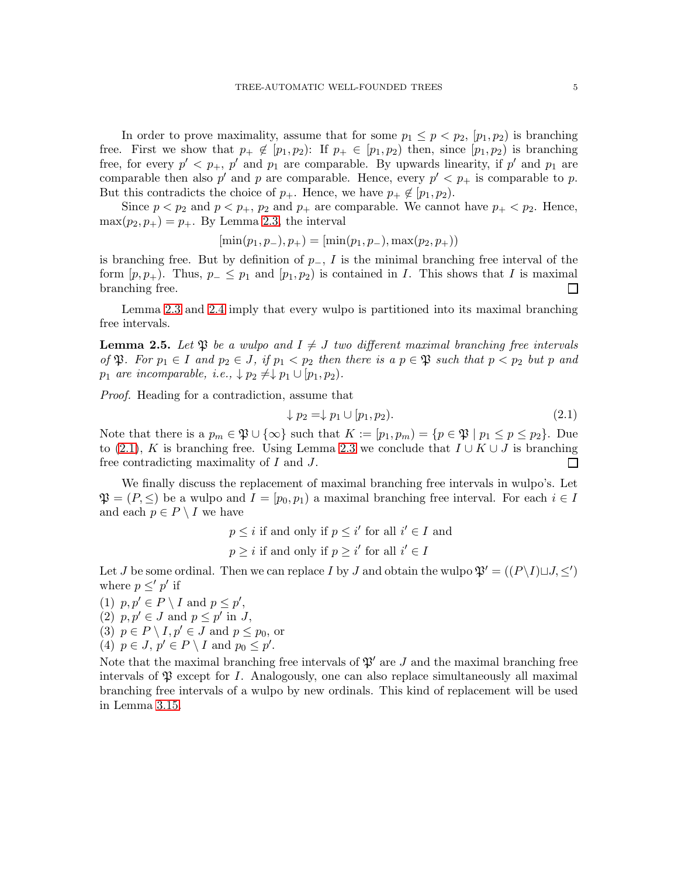In order to prove maximality, assume that for some  $p_1 \leq p \leq p_2$ ,  $[p_1, p_2]$  is branching free. First we show that  $p_+ \notin [p_1, p_2)$ : If  $p_+ \in [p_1, p_2)$  then, since  $[p_1, p_2)$  is branching free, for every  $p' < p_+$ ,  $p'$  and  $p_1$  are comparable. By upwards linearity, if  $p'$  and  $p_1$  are comparable then also  $p'$  and  $p$  are comparable. Hence, every  $p' < p_+$  is comparable to  $p$ . But this contradicts the choice of  $p_+$ . Hence, we have  $p_+ \notin [p_1, p_2)$ .

Since  $p < p_2$  and  $p < p_+$ ,  $p_2$  and  $p_+$  are comparable. We cannot have  $p_+ < p_2$ . Hence,  $\max(p_2, p_+) = p_+$ . By Lemma [2.3,](#page-3-1) the interval

$$
[\min(p_1, p_-, p_+) = [\min(p_1, p_-, \max(p_2, p_+))]
$$

is branching free. But by definition of  $p_-, I$  is the minimal branching free interval of the form  $[p, p_+)$ . Thus,  $p_- \leq p_1$  and  $[p_1, p_2]$  is contained in I. This shows that I is maximal branching free.  $\Box$ 

Lemma [2.3](#page-3-1) and [2.4](#page-3-2) imply that every wulpo is partitioned into its maximal branching free intervals.

<span id="page-4-1"></span>**Lemma 2.5.** Let  $\mathfrak{P}$  be a wulpo and  $I \neq J$  two different maximal branching free intervals of  $\mathfrak{P}$ . For  $p_1 \in I$  and  $p_2 \in J$ , if  $p_1 < p_2$  then there is a  $p \in \mathfrak{P}$  such that  $p < p_2$  but p and  $p_1$  are incomparable, i.e.,  $\downarrow p_2 \neq \downarrow p_1 \cup [p_1, p_2)$ .

Proof. Heading for a contradiction, assume that

<span id="page-4-0"></span>
$$
\downarrow p_2 = \downarrow p_1 \cup [p_1, p_2). \tag{2.1}
$$

Note that there is a  $p_m \in \mathfrak{P} \cup \{\infty\}$  such that  $K := [p_1, p_m) = \{p \in \mathfrak{P} \mid p_1 \leq p \leq p_2\}$ . Due to [\(2.1\)](#page-4-0), K is branching free. Using Lemma [2.3](#page-3-1) we conclude that  $I \cup K \cup J$  is branching free contradicting maximality of I and J.  $\Box$ 

We finally discuss the replacement of maximal branching free intervals in wulpo's. Let  $\mathfrak{P} = (P, \leq)$  be a wulpo and  $I = [p_0, p_1)$  a maximal branching free interval. For each  $i \in I$ and each  $p \in P \setminus I$  we have

> $p \leq i$  if and only if  $p \leq i'$  for all  $i' \in I$  and  $p \geq i$  if and only if  $p \geq i'$  for all  $i' \in I$

Let *J* be some ordinal. Then we can replace *I* by *J* and obtain the wulpo  $\mathfrak{P}' = ((P \setminus I) \sqcup J, \leq')$ where  $p \leq' p'$  if

(1)  $p, p' \in P \setminus I$  and  $p \leq p'$ , (2)  $p, p' \in J$  and  $p \leq p'$  in J, (3)  $p \in P \setminus I, p' \in J$  and  $p \leq p_0$ , or (4)  $p \in J$ ,  $p' \in P \setminus I$  and  $p_0 \leq p'$ .

Note that the maximal branching free intervals of  $\mathfrak{P}'$  are J and the maximal branching free intervals of  $\mathfrak P$  except for I. Analogously, one can also replace simultaneously all maximal branching free intervals of a wulpo by new ordinals. This kind of replacement will be used in Lemma [3.15.](#page-18-0)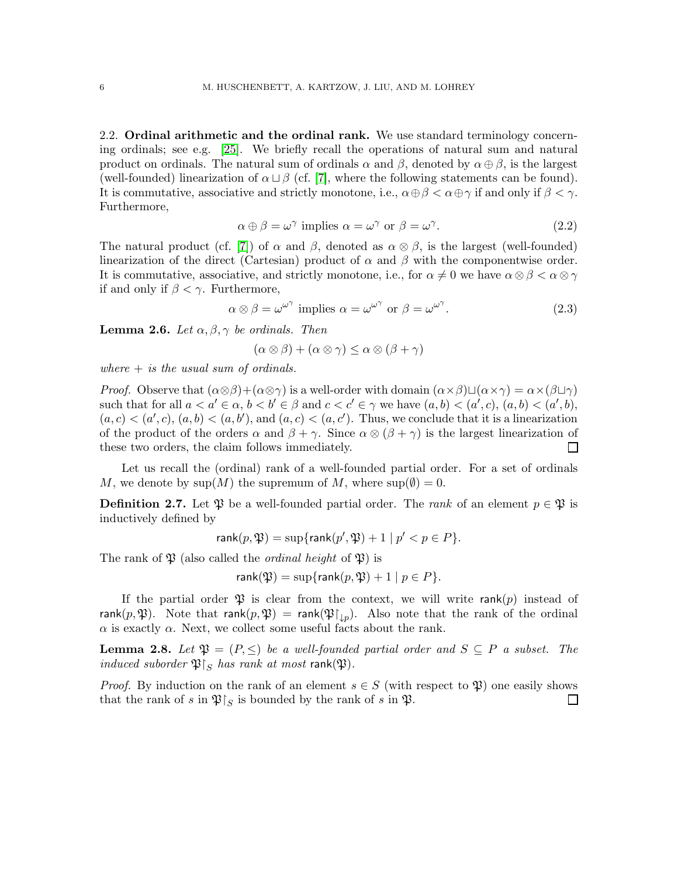2.2. Ordinal arithmetic and the ordinal rank. We use standard terminology concerning ordinals; see e.g. [\[25\]](#page-43-7). We briefly recall the operations of natural sum and natural product on ordinals. The natural sum of ordinals  $\alpha$  and  $\beta$ , denoted by  $\alpha \oplus \beta$ , is the largest (well-founded) linearization of  $\alpha \sqcup \beta$  (cf. [\[7\]](#page-42-8), where the following statements can be found). It is commutative, associative and strictly monotone, i.e.,  $\alpha \oplus \beta < \alpha \oplus \gamma$  if and only if  $\beta < \gamma$ . Furthermore,

<span id="page-5-0"></span>
$$
\alpha \oplus \beta = \omega^{\gamma} \text{ implies } \alpha = \omega^{\gamma} \text{ or } \beta = \omega^{\gamma}. \tag{2.2}
$$

The natural product (cf. [\[7\]](#page-42-8)) of  $\alpha$  and  $\beta$ , denoted as  $\alpha \otimes \beta$ , is the largest (well-founded) linearization of the direct (Cartesian) product of  $\alpha$  and  $\beta$  with the componentwise order. It is commutative, associative, and strictly monotone, i.e., for  $\alpha \neq 0$  we have  $\alpha \otimes \beta < \alpha \otimes \gamma$ if and only if  $\beta < \gamma$ . Furthermore,

$$
\alpha \otimes \beta = \omega^{\omega^{\gamma}} \text{ implies } \alpha = \omega^{\omega^{\gamma}} \text{ or } \beta = \omega^{\omega^{\gamma}}. \tag{2.3}
$$

<span id="page-5-1"></span>**Lemma 2.6.** Let  $\alpha, \beta, \gamma$  be ordinals. Then

<span id="page-5-2"></span>
$$
(\alpha \otimes \beta) + (\alpha \otimes \gamma) \leq \alpha \otimes (\beta + \gamma)
$$

where  $+$  is the usual sum of ordinals.

*Proof.* Observe that  $(\alpha \otimes \beta)+( \alpha \otimes \gamma)$  is a well-order with domain  $( \alpha \times \beta) \sqcup (\alpha \times \gamma) = \alpha \times (\beta \sqcup \gamma)$ such that for all  $a < a' \in \alpha$ ,  $b < b' \in \beta$  and  $c < c' \in \gamma$  we have  $(a, b) < (a', c), (a, b) < (a', b)$ ,  $(a, c) < (a', c), (a, b) < (a, b')$ , and  $(a, c) < (a, c')$ . Thus, we conclude that it is a linearization of the product of the orders  $\alpha$  and  $\beta + \gamma$ . Since  $\alpha \otimes (\beta + \gamma)$  is the largest linearization of these two orders, the claim follows immediately.  $\Box$ 

Let us recall the (ordinal) rank of a well-founded partial order. For a set of ordinals M, we denote by  $\text{sup}(M)$  the supremum of M, where  $\text{sup}(\emptyset) = 0$ .

**Definition 2.7.** Let  $\mathfrak{P}$  be a well-founded partial order. The *rank* of an element  $p \in \mathfrak{P}$  is inductively defined by

$$
\operatorname{rank}(p, \mathfrak{P}) = \sup \{ \operatorname{rank}(p', \mathfrak{P}) + 1 \mid p' < p \in P \}.
$$

The rank of  $\mathfrak P$  (also called the *ordinal height* of  $\mathfrak P$ ) is

$$
rank(\mathfrak{P}) = sup\{rank(p, \mathfrak{P}) + 1 \mid p \in P\}.
$$

If the partial order  $\mathfrak P$  is clear from the context, we will write rank(p) instead of rank $(p, \mathfrak{P}).$  Note that rank $(p, \mathfrak{P}) =$  rank $(\mathfrak{P}\!\!\upharpoonright_{\downarrow p})$ . Also note that the rank of the ordinal  $\alpha$  is exactly  $\alpha$ . Next, we collect some useful facts about the rank.

**Lemma 2.8.** Let  $\mathfrak{P} = (P, \leq)$  be a well-founded partial order and  $S \subseteq P$  a subset. The induced suborder  $\mathfrak{P}\vert_S$  has rank at most rank( $\mathfrak{P}$ ).

*Proof.* By induction on the rank of an element  $s \in S$  (with respect to  $\mathfrak{P}$ ) one easily shows that the rank of s in  $\mathfrak{P}\upharpoonright_S$  is bounded by the rank of s in  $\mathfrak{P}$ .  $\Box$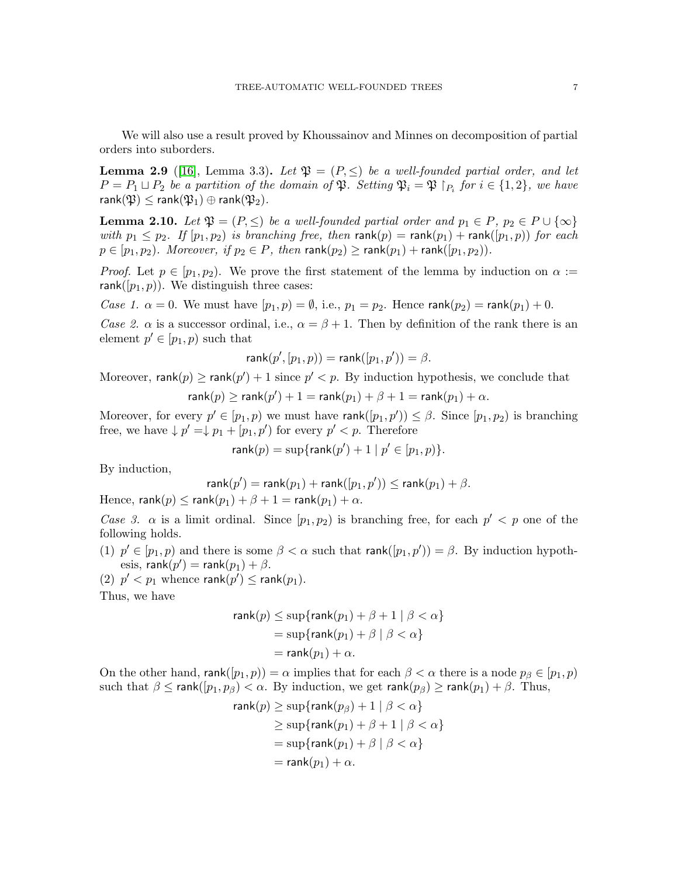We will also use a result proved by Khoussainov and Minnes on decomposition of partial orders into suborders.

<span id="page-6-0"></span>**Lemma 2.9** ([\[16\]](#page-43-1), Lemma 3.3). Let  $\mathfrak{P} = (P, \leq)$  be a well-founded partial order, and let  $P = P_1 \sqcup P_2$  be a partition of the domain of  $\mathfrak{P}$ . Setting  $\mathfrak{P}_i = \mathfrak{P} \restriction_{P_i} for i \in \{1,2\}$ , we have rank $(\mathfrak{P}) \leq \mathsf{rank}(\mathfrak{P}_1) \oplus \mathsf{rank}(\mathfrak{P}_2)$ .

<span id="page-6-1"></span>**Lemma 2.10.** Let  $\mathfrak{P} = (P, \leq)$  be a well-founded partial order and  $p_1 \in P$ ,  $p_2 \in P \cup \{\infty\}$ with  $p_1 \leq p_2$ . If  $[p_1, p_2)$  is branching free, then rank $(p) = \text{rank}(p_1) + \text{rank}(p_1, p)$  for each  $p \in [p_1, p_2)$ . Moreover, if  $p_2 \in P$ , then rank $(p_2) \geq \text{rank}(p_1) + \text{rank}([p_1, p_2))$ .

*Proof.* Let  $p \in [p_1, p_2)$ . We prove the first statement of the lemma by induction on  $\alpha :=$ rank( $[p_1, p)$ ). We distinguish three cases:

*Case 1.*  $\alpha = 0$ . We must have  $[p_1, p) = \emptyset$ , i.e.,  $p_1 = p_2$ . Hence rank $(p_2) = \text{rank}(p_1) + 0$ .

Case 2.  $\alpha$  is a successor ordinal, i.e.,  $\alpha = \beta + 1$ . Then by definition of the rank there is an element  $p' \in [p_1, p)$  such that

$$
\mathsf{rank}(p', [p_1, p)) = \mathsf{rank}([p_1, p')) = \beta.
$$

Moreover,  $\mathsf{rank}(p) \ge \mathsf{rank}(p') + 1$  since  $p' < p$ . By induction hypothesis, we conclude that

 $\mathsf{rank}(p) \ge \mathsf{rank}(p') + 1 = \mathsf{rank}(p_1) + \beta + 1 = \mathsf{rank}(p_1) + \alpha.$ 

Moreover, for every  $p' \in [p_1, p)$  we must have rank $([p_1, p')) \leq \beta$ . Since  $[p_1, p_2]$  is branching free, we have  $\downarrow p' = \downarrow p_1 + [p_1, p')$  for every  $p' < p$ . Therefore

$$
\mathsf{rank}(p) = \sup\{\mathsf{rank}(p')+1 \mid p' \in [p_1, p)\}.
$$

By induction,

$$
\mathsf{rank}(p') = \mathsf{rank}(p_1) + \mathsf{rank}([p_1,p')) \leq \mathsf{rank}(p_1) + \beta.
$$

Hence, rank $(p) \le$  rank $(p_1) + \beta + 1 =$  rank $(p_1) + \alpha$ .

Case 3.  $\alpha$  is a limit ordinal. Since  $[p_1, p_2]$  is branching free, for each  $p' < p$  one of the following holds.

- (1)  $p' \in [p_1, p)$  and there is some  $\beta < \alpha$  such that rank $([p_1, p')) = \beta$ . By induction hypothesis,  $\mathsf{rank}(p') = \mathsf{rank}(p_1) + \beta.$
- (2)  $p' < p_1$  whence rank $(p') \leq \text{rank}(p_1)$ .

Thus, we have

$$
\mathsf{rank}(p) \le \sup\{\mathsf{rank}(p_1) + \beta + 1 \mid \beta < \alpha\}
$$
\n
$$
= \sup\{\mathsf{rank}(p_1) + \beta \mid \beta < \alpha\}
$$
\n
$$
= \mathsf{rank}(p_1) + \alpha.
$$

On the other hand, rank( $[p_1, p)$ ) =  $\alpha$  implies that for each  $\beta < \alpha$  there is a node  $p_\beta \in [p_1, p)$ such that  $\beta \leq \text{rank}([p_1, p_\beta) < \alpha$ . By induction, we get  $\text{rank}(p_\beta) \geq \text{rank}(p_1) + \beta$ . Thus,

$$
\mathsf{rank}(p) \ge \sup\{\mathsf{rank}(p_{\beta}) + 1 \mid \beta < \alpha\}
$$
\n
$$
\ge \sup\{\mathsf{rank}(p_1) + \beta + 1 \mid \beta < \alpha\}
$$
\n
$$
= \sup\{\mathsf{rank}(p_1) + \beta \mid \beta < \alpha\}
$$
\n
$$
= \mathsf{rank}(p_1) + \alpha.
$$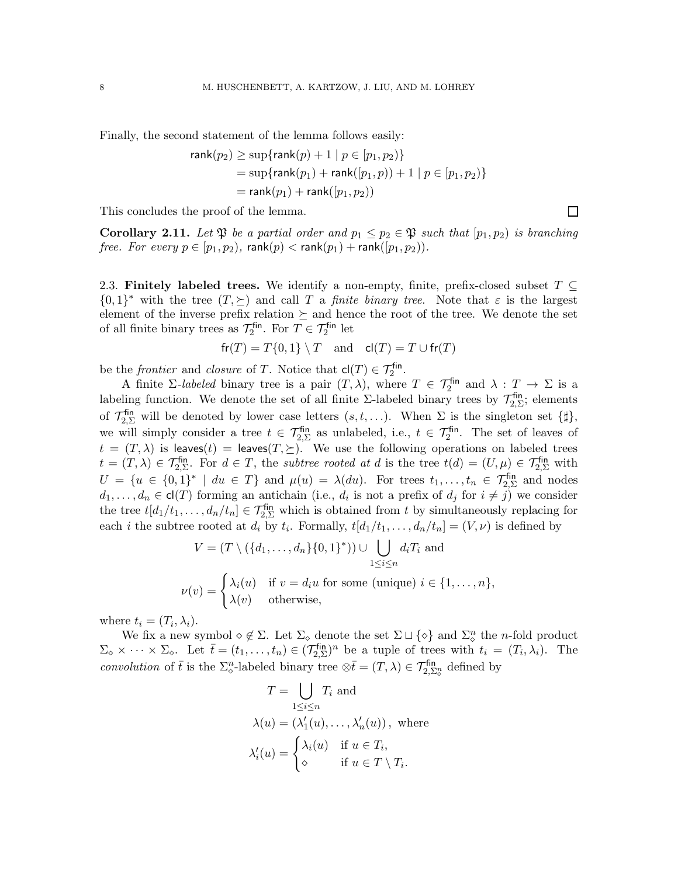Finally, the second statement of the lemma follows easily:

$$
\text{rank}(p_2) \ge \sup\{\text{rank}(p) + 1 \mid p \in [p_1, p_2)\}\
$$
  
=  $\sup\{\text{rank}(p_1) + \text{rank}([p_1, p)) + 1 \mid p \in [p_1, p_2)\}\$   
=  $\text{rank}(p_1) + \text{rank}([p_1, p_2))$ 

 $\Box$ 

This concludes the proof of the lemma.

**Corollary 2.11.** Let  $\mathfrak{P}$  be a partial order and  $p_1 \leq p_2 \in \mathfrak{P}$  such that  $[p_1, p_2]$  is branching free. For every  $p \in [p_1, p_2)$ , rank $(p) <$  rank $(p_1)$  + rank $([p_1, p_2))$ .

2.3. Finitely labeled trees. We identify a non-empty, finite, prefix-closed subset  $T \subseteq$  $\{0,1\}^*$  with the tree  $(T,\succeq)$  and call T a *finite binary tree*. Note that  $\varepsilon$  is the largest element of the inverse prefix relation  $\succeq$  and hence the root of the tree. We denote the set of all finite binary trees as  $\mathcal{T}_2^{\text{fin}}$ <sup>-fin</sup>. For  $T \in \mathcal{T}_2^{\text{fin}}$  let

$$
\mathsf{fr}(T) = T\{0, 1\} \setminus T \quad \text{and} \quad \mathsf{cl}(T) = T \cup \mathsf{fr}(T)
$$

be the *frontier* and *closure* of T. Notice that  $\mathsf{cl}(T) \in \mathcal{T}_2^{\mathsf{fin}}$ .

A finite  $\Sigma$ -labeled binary tree is a pair  $(T, \lambda)$ , where  $T \in \mathcal{T}_2^{\text{fin}}$  and  $\lambda : T \to \Sigma$  is a labeling function. We denote the set of all finite  $\Sigma$ -labeled binary trees by  $\mathcal{T}_{2,\Sigma}^{\text{fin}}$  $\frac{1}{2}$ ; elements of  $\mathcal{T}_{2,\Sigma}^{\text{fin}}$  will be denoted by lower case letters  $(s,t,\ldots)$ . When  $\Sigma$  is the singleton set  $\{\sharp\},$ we will simply consider a tree  $t \in \mathcal{T}_{2,\Sigma}^{\text{fin}}$  as unlabeled, i.e.,  $t \in \mathcal{T}_{2}^{\text{fin}}$ . The set of leaves of  $t = (T, \lambda)$  is leaves $(t) =$  leaves $(T, \Sigma)$ . We use the following operations on labeled trees  $t = (T, \lambda) \in \mathcal{T}_{2, \Sigma}^{\text{fin}}$ . For  $d \in T$ , the *subtree rooted at d* is the tree  $t(d) = (U, \mu) \in \mathcal{T}_{2, \Sigma}^{\text{fin}}$  with  $U = \{u \in \{0,1\}^* \mid du \in T\}$  and  $\mu(u) = \lambda(du)$ . For trees  $t_1, \ldots, t_n \in \mathcal{T}_{2,\Sigma}^{\text{fin}}$  and nodes  $d_1, \ldots, d_n \in \text{cl}(T)$  forming an antichain (i.e.,  $d_i$  is not a prefix of  $d_j$  for  $i \neq j$ ) we consider the tree  $t[d_1/t_1,\ldots,d_n/t_n] \in \mathcal{T}_{2,\Sigma}^{\text{fin}}$  which is obtained from t by simultaneously replacing for each *i* the subtree rooted at  $d_i$  by  $t_i$ . Formally,  $t[d_1/t_1, \ldots, d_n/t_n] = (V, \nu)$  is defined by

$$
V = (T \setminus (\{d_1, \dots, d_n\} \{0, 1\}^*)) \cup \bigcup_{1 \le i \le n} d_i T_i \text{ and}
$$

$$
\nu(v) = \begin{cases} \lambda_i(u) & \text{if } v = d_i u \text{ for some (unique) } i \in \{1, \dots, n\}, \\ \lambda(v) & \text{otherwise,} \end{cases}
$$

where  $t_i = (T_i, \lambda_i)$ .

We fix a new symbol  $\diamond \notin \Sigma$ . Let  $\Sigma_{\diamond}$  denote the set  $\Sigma \sqcup \{\diamond\}$  and  $\Sigma_{\diamond}^n$  the *n*-fold product  $\Sigma_{\diamond} \times \cdots \times \Sigma_{\diamond}$ . Let  $\bar{t} = (t_1, \ldots, t_n) \in (\mathcal{T}_{2,\Sigma}^{\text{fin}})$  $\lim_{z,\Sigma}$ )<sup>n</sup> be a tuple of trees with  $t_i = (T_i, \lambda_i)$ . The convolution of  $\bar{t}$  is the  $\Sigma^n_{\varphi}$ -labeled binary tree  $\otimes \bar{t} = (T, \lambda) \in \mathcal{T}_{2, \Sigma^n_{\varphi}}^{\text{fin}}$  defined by

$$
T = \bigcup_{1 \le i \le n} T_i \text{ and}
$$
  
\n
$$
\lambda(u) = (\lambda'_1(u), \dots, \lambda'_n(u)), \text{ where}
$$
  
\n
$$
\lambda'_i(u) = \begin{cases} \lambda_i(u) & \text{if } u \in T_i, \\ \diamond & \text{if } u \in T \setminus T_i. \end{cases}
$$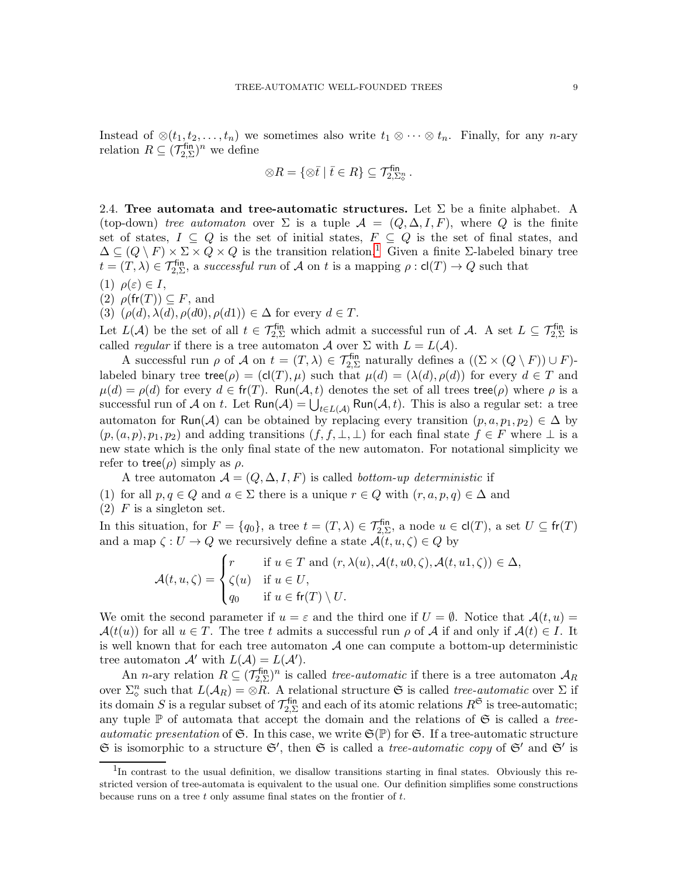Instead of  $\otimes(t_1, t_2, \ldots, t_n)$  we sometimes also write  $t_1 \otimes \cdots \otimes t_n$ . Finally, for any *n*-ary relation  $R \subseteq (\mathcal{T}_{2,\Sigma}^{\text{fin}})$  $\frac{\text{fin}}{2,\Sigma}$ )<sup>n</sup> we define

$$
\otimes R = \{ \otimes \overline{t} \mid \overline{t} \in R \} \subseteq \mathcal{T}_{2,\Sigma_0^n}^{\mathsf{fin}}.
$$

2.4. Tree automata and tree-automatic structures. Let  $\Sigma$  be a finite alphabet. A (top-down) tree automaton over  $\Sigma$  is a tuple  $\mathcal{A} = (Q, \Delta, I, F)$ , where Q is the finite set of states,  $I \subseteq Q$  is the set of initial states,  $F \subseteq Q$  is the set of final states, and  $\Delta \subseteq (Q \setminus F) \times \Sigma \times Q \times Q$  is the transition relation.<sup>[1](#page-8-0)</sup> Given a finite Σ-labeled binary tree  $t = (T, \lambda) \in \mathcal{T}_{2, \Sigma}^{\text{fin}}$ , a successful run of A on t is a mapping  $\rho : cl(T) \to Q$  such that

- (1)  $\rho(\varepsilon) \in I$ ,
- (2)  $\rho(\text{fr}(T)) \subseteq F$ , and
- (3)  $(\rho(d), \lambda(d), \rho(d0), \rho(d1)) \in \Delta$  for every  $d \in T$ .

Let  $L(\mathcal{A})$  be the set of all  $t \in \mathcal{T}_{2,\Sigma}^{\text{fin}}$  which admit a successful run of  $\mathcal{A}$ . A set  $L \subseteq \mathcal{T}_{2,\Sigma}^{\text{fin}}$  is called *regular* if there is a tree automaton A over  $\Sigma$  with  $L = L(A)$ .

A successful run  $\rho$  of  $\mathcal A$  on  $t = (T, \lambda) \in \mathcal T^{\text{fin}}_{2,\Sigma}$  naturally defines a  $((\Sigma \times (Q \setminus F)) \cup F)$ labeled binary tree tree( $\rho$ ) = (cl(T),  $\mu$ ) such that  $\mu(d) = (\lambda(d), \rho(d))$  for every  $d \in T$  and  $\mu(d) = \rho(d)$  for every  $d \in \text{fr}(T)$ . Run $(\mathcal{A}, t)$  denotes the set of all trees tree $(\rho)$  where  $\rho$  is a successful run of A on t. Let  $\mathsf{Run}(\mathcal{A}) = \bigcup_{t \in L(\mathcal{A})} \mathsf{Run}(\mathcal{A}, t)$ . This is also a regular set: a tree automaton for Run(A) can be obtained by replacing every transition  $(p, a, p_1, p_2) \in \Delta$  by  $(p,(a, p), p_1, p_2)$  and adding transitions  $(f, f, \perp, \perp)$  for each final state  $f \in F$  where  $\perp$  is a new state which is the only final state of the new automaton. For notational simplicity we refer to tree( $\rho$ ) simply as  $\rho$ .

A tree automaton  $A = (Q, \Delta, I, F)$  is called *bottom-up deterministic* if

- (1) for all  $p, q \in Q$  and  $a \in \Sigma$  there is a unique  $r \in Q$  with  $(r, a, p, q) \in \Delta$  and
- $(2)$  F is a singleton set.

In this situation, for  $F = \{q_0\}$ , a tree  $t = (T, \lambda) \in \mathcal{T}_{2, \Sigma}^{\text{fin}}$ , a node  $u \in \text{cl}(T)$ , a set  $U \subseteq \text{fr}(T)$ and a map  $\zeta: U \to Q$  we recursively define a state  $\mathcal{A}(t, u, \zeta) \in Q$  by

$$
\mathcal{A}(t, u, \zeta) = \begin{cases} r & \text{if } u \in T \text{ and } (r, \lambda(u), \mathcal{A}(t, u0, \zeta), \mathcal{A}(t, u1, \zeta)) \in \Delta, \\ \zeta(u) & \text{if } u \in U, \\ q_0 & \text{if } u \in \mathsf{fr}(T) \setminus U. \end{cases}
$$

We omit the second parameter if  $u = \varepsilon$  and the third one if  $U = \emptyset$ . Notice that  $\mathcal{A}(t, u) =$  $\mathcal{A}(t(u))$  for all  $u \in T$ . The tree t admits a successful run  $\rho$  of A if and only if  $\mathcal{A}(t) \in I$ . It is well known that for each tree automaton  $A$  one can compute a bottom-up deterministic tree automaton  $\mathcal{A}'$  with  $L(\mathcal{A}) = L(\mathcal{A}')$ .

An *n*-ary relation  $R \subseteq (\mathcal{T}_{2,\Sigma}^{\text{fin}})$  $\mathcal{L}_{2,\Sigma}^{\text{fin}}$  is called *tree-automatic* if there is a tree automaton  $\mathcal{A}_R$ over  $\Sigma^n_{\infty}$  such that  $L(A_R) = \otimes R$ . A relational structure G is called *tree-automatic* over  $\Sigma$  if its domain S is a regular subset of  $\mathcal{T}_{2,\Sigma}^{\text{fin}}$  $Z_{2,\Sigma}^{\text{fin}}$  and each of its atomic relations  $R^{\mathfrak{S}}$  is tree-automatic; any tuple  $\mathbb P$  of automata that accept the domain and the relations of  $\mathfrak S$  is called a treeautomatic presentation of G. In this case, we write  $\mathfrak{S}(\mathbb{P})$  for G. If a tree-automatic structure  $\mathfrak S$  is isomorphic to a structure  $\mathfrak S'$ , then  $\mathfrak S$  is called a *tree-automatic copy* of  $\mathfrak S'$  and  $\mathfrak S'$  is

<span id="page-8-0"></span><sup>&</sup>lt;sup>1</sup>In contrast to the usual definition, we disallow transitions starting in final states. Obviously this restricted version of tree-automata is equivalent to the usual one. Our definition simplifies some constructions because runs on a tree  $t$  only assume final states on the frontier of  $t$ .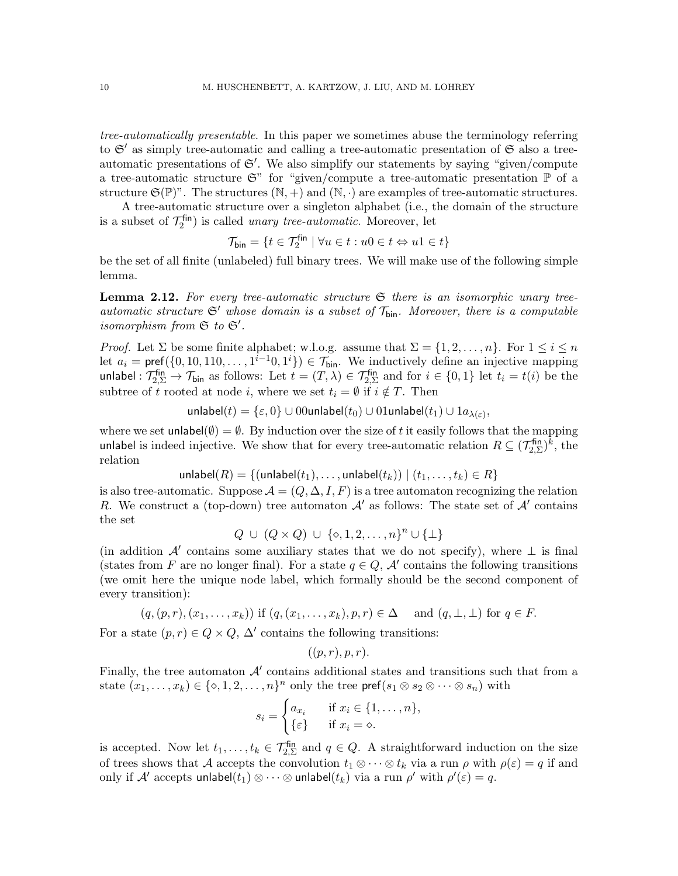tree-automatically presentable. In this paper we sometimes abuse the terminology referring to  $\mathfrak{S}'$  as simply tree-automatic and calling a tree-automatic presentation of  $\mathfrak{S}$  also a treeautomatic presentations of  $\mathfrak{S}'$ . We also simplify our statements by saying "given/compute a tree-automatic structure  $\mathfrak{S}^n$  for "given/compute a tree-automatic presentation  $\mathbb P$  of a structure  $\mathfrak{S}(\mathbb{P})$ ". The structures  $(\mathbb{N}, +)$  and  $(\mathbb{N}, \cdot)$  are examples of tree-automatic structures.

A tree-automatic structure over a singleton alphabet (i.e., the domain of the structure is a subset of  $\mathcal{T}_2^{\mathsf{fin}}$  $\mathcal{L}_2^{\text{fin}}$ ) is called *unary tree-automatic*. Moreover, let

$$
\mathcal{T}_{\text{bin}} = \{t \in \mathcal{T}^{\text{fin}}_2 \mid \forall u \in t: u0 \in t \Leftrightarrow u1 \in t\}
$$

be the set of all finite (unlabeled) full binary trees. We will make use of the following simple lemma.

<span id="page-9-0"></span>**Lemma 2.12.** For every tree-automatic structure  $\mathfrak{S}$  there is an isomorphic unary treeautomatic structure  $\mathfrak{S}'$  whose domain is a subset of  $\mathcal{T}_{\text{bin}}$ . Moreover, there is a computable isomorphism from  $\mathfrak{S}$  to  $\mathfrak{S}'$ .

*Proof.* Let  $\Sigma$  be some finite alphabet; w.l.o.g. assume that  $\Sigma = \{1, 2, ..., n\}$ . For  $1 \le i \le n$ let  $a_i = \text{pref}(\{0, 10, 110, \ldots, 1^{i-1}0, 1^i\}) \in \mathcal{T}_{\text{bin}}$ . We inductively define an injective mapping unlabel :  $\mathcal{T}_{2,\Sigma}^{\text{fin}} \to \mathcal{T}_{\text{bin}}$  as follows: Let  $t = (T, \lambda) \in \mathcal{T}_{2,\Sigma}^{\text{fin}}$  and for  $i \in \{0,1\}$  let  $t_i = t(i)$  be the subtree of t rooted at node i, where we set  $t_i = \emptyset$  if  $i \notin T$ . Then

 $\mathsf{unlabel}(t) = \{\varepsilon, 0\} \cup 00$ unlabel $(t_0) \cup 01$ unlabel $(t_1) \cup 1a_{\lambda(\varepsilon)},$ 

where we set unlabel $(\emptyset) = \emptyset$ . By induction over the size of t it easily follows that the mapping unlabel is indeed injective. We show that for every tree-automatic relation  $R \subseteq (\mathcal{T}_{2,\Sigma}^{\text{fin}})$  $_{2,\Sigma}^{\mathsf{fin}})^k$ , the relation

unlabel(R) = {(unlabel(t<sub>1</sub>), ..., unlabel(t<sub>k</sub>)) | (t<sub>1</sub>, ..., t<sub>k</sub>) ∈ R}

is also tree-automatic. Suppose  $\mathcal{A} = (Q, \Delta, I, F)$  is a tree automaton recognizing the relation R. We construct a (top-down) tree automaton  $\mathcal{A}'$  as follows: The state set of  $\mathcal{A}'$  contains the set

$$
Q \cup (Q \times Q) \cup \{ \diamond, 1, 2, \dots, n \}^n \cup \{ \perp \}
$$

(in addition  $\mathcal{A}'$  contains some auxiliary states that we do not specify), where  $\perp$  is final (states from F are no longer final). For a state  $q \in Q$ , A' contains the following transitions (we omit here the unique node label, which formally should be the second component of every transition):

 $(q,(p,r),(x_1,\ldots,x_k))$  if  $(q,(x_1,\ldots,x_k),p,r)\in\Delta$  and  $(q,\perp,\perp)$  for  $q\in F$ .

For a state  $(p, r) \in Q \times Q$ ,  $\Delta'$  contains the following transitions:

$$
((p,r),p,r).
$$

Finally, the tree automaton  $A'$  contains additional states and transitions such that from a state  $(x_1, \ldots, x_k) \in \{\infty, 1, 2, \ldots, n\}^n$  only the tree  $\mathsf{pref}(s_1 \otimes s_2 \otimes \cdots \otimes s_n)$  with

$$
s_i = \begin{cases} a_{x_i} & \text{if } x_i \in \{1, \dots, n\}, \\ \{\varepsilon\} & \text{if } x_i = \diamond. \end{cases}
$$

is accepted. Now let  $t_1, \ldots, t_k \in \mathcal{T}_{2,\Sigma}^{\text{fin}}$  and  $q \in Q$ . A straightforward induction on the size of trees shows that A accepts the convolution  $t_1 \otimes \cdots \otimes t_k$  via a run  $\rho$  with  $\rho(\varepsilon) = q$  if and only if  $\mathcal{A}'$  accepts unlabel $(t_1) \otimes \cdots \otimes$  unlabel $(t_k)$  via a run  $\rho'$  with  $\rho'(\varepsilon) = q$ .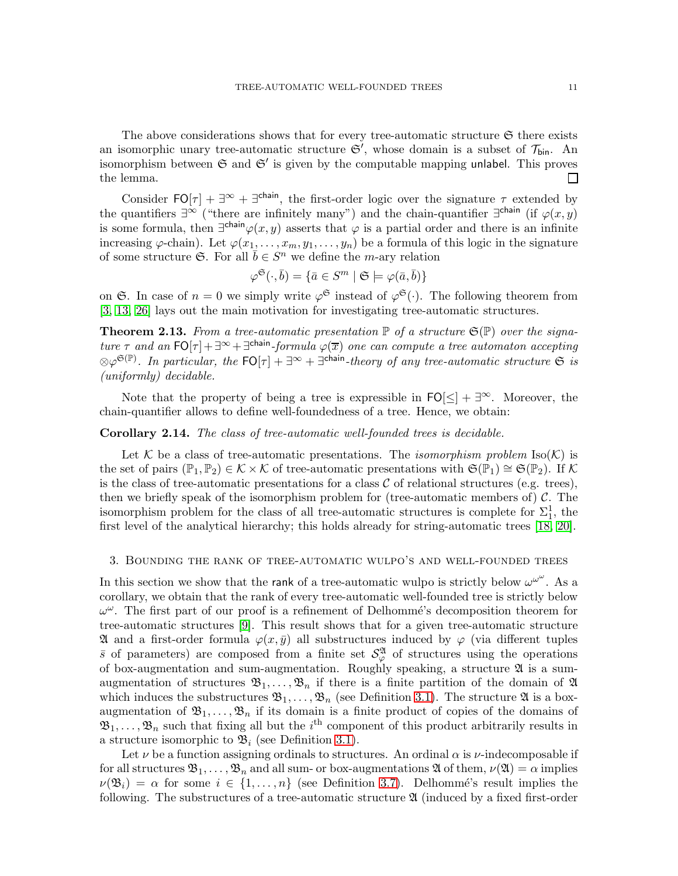The above considerations shows that for every tree-automatic structure  $\mathfrak S$  there exists an isomorphic unary tree-automatic structure  $\mathfrak{S}'$ , whose domain is a subset of  $\mathcal{T}_{\text{bin}}$ . An isomorphism between  $\mathfrak S$  and  $\mathfrak S'$  is given by the computable mapping unlabel. This proves the lemma.  $\mathsf{L}$ 

Consider  $FO[\tau] + \exists^{\infty} + \exists^{\text{chain}}$ , the first-order logic over the signature  $\tau$  extended by the quantifiers  $\exists^{\infty}$  ("there are infinitely many") and the chain-quantifier  $\exists^{\text{chain}}$  (if  $\varphi(x,y)$ is some formula, then  $\exists^{\text{chain}}\varphi(x,y)$  asserts that  $\varphi$  is a partial order and there is an infinite increasing  $\varphi$ -chain). Let  $\varphi(x_1,\ldots,x_m,y_1,\ldots,y_n)$  be a formula of this logic in the signature of some structure  $\mathfrak{S}$ . For all  $\bar{b} \in S^n$  we define the *m*-ary relation

$$
\varphi^{\mathfrak{S}}(\cdot,\bar{b})=\{\bar{a}\in S^m\mid \mathfrak{S}\models\varphi(\bar{a},\bar{b})\}
$$

on G. In case of  $n = 0$  we simply write  $\varphi^{\mathfrak{S}}$  instead of  $\varphi^{\mathfrak{S}}(\cdot)$ . The following theorem from [\[3,](#page-42-4) [13,](#page-42-9) [26\]](#page-43-8) lays out the main motivation for investigating tree-automatic structures.

<span id="page-10-0"></span>**Theorem 2.13.** From a tree-automatic presentation  $\mathbb{P}$  of a structure  $\mathfrak{S}(\mathbb{P})$  over the signature  $\tau$  and an  $\text{FO}[\tau] + \exists^{\infty} + \exists^{\text{chain}}$ -formula  $\varphi(\overline{x})$  one can compute a tree automaton accepting  $\otimes \varphi^{\mathfrak{S}(\mathbb{P})}$ . In particular, the  $\mathsf{FO}[\tau] + \exists^\infty + \exists^{\mathsf{chain}}\text{-}theory\ of\ any\ tree\text{-}automatic\ structure\ \mathfrak{S}\ is$ (uniformly) decidable.

Note that the property of being a tree is expressible in  $FO[\leq] + \exists^{\infty}$ . Moreover, the chain-quantifier allows to define well-foundedness of a tree. Hence, we obtain:

#### Corollary 2.14. The class of tree-automatic well-founded trees is decidable.

Let K be a class of tree-automatic presentations. The *isomorphism problem* Iso $(K)$  is the set of pairs ( $\mathbb{P}_1, \mathbb{P}_2$ ) ∈ K × K of tree-automatic presentations with  $\mathfrak{S}(\mathbb{P}_1) \cong \mathfrak{S}(\mathbb{P}_2)$ . If K is the class of tree-automatic presentations for a class  $\mathcal C$  of relational structures (e.g. trees), then we briefly speak of the isomorphism problem for (tree-automatic members of)  $\mathcal{C}$ . The isomorphism problem for the class of all tree-automatic structures is complete for  $\Sigma_1^1$ , the first level of the analytical hierarchy; this holds already for string-automatic trees [\[18,](#page-43-2) [20\]](#page-43-6).

## 3. Bounding the rank of tree-automatic wulpo's and well-founded trees

In this section we show that the rank of a tree-automatic wulpo is strictly below  $\omega^{\omega^{\omega}}$ . As a corollary, we obtain that the rank of every tree-automatic well-founded tree is strictly below  $\omega^{\omega}$ . The first part of our proof is a refinement of Delhommé's decomposition theorem for tree-automatic structures [\[9\]](#page-42-1). This result shows that for a given tree-automatic structure  $\mathfrak A$  and a first-order formula  $\varphi(x,\bar y)$  all substructures induced by  $\varphi$  (via different tuples  $\bar{s}$  of parameters) are composed from a finite set  $\mathcal{S}_{\varphi}^{\mathfrak{A}}$  of structures using the operations of box-augmentation and sum-augmentation. Roughly speaking, a structure  $\mathfrak A$  is a sumaugmentation of structures  $\mathfrak{B}_1,\ldots,\mathfrak{B}_n$  if there is a finite partition of the domain of  $\mathfrak A$ which induces the substructures  $\mathfrak{B}_1, \ldots, \mathfrak{B}_n$  (see Definition [3.1\)](#page-11-0). The structure  $\mathfrak A$  is a boxaugmentation of  $\mathfrak{B}_1, \ldots, \mathfrak{B}_n$  if its domain is a finite product of copies of the domains of  $\mathfrak{B}_1,\ldots,\mathfrak{B}_n$  such that fixing all but the  $i^{\text{th}}$  component of this product arbitrarily results in a structure isomorphic to  $\mathfrak{B}_i$  (see Definition [3.1\)](#page-11-0).

Let  $\nu$  be a function assigning ordinals to structures. An ordinal  $\alpha$  is  $\nu$ -indecomposable if for all structures  $\mathfrak{B}_1,\ldots,\mathfrak{B}_n$  and all sum- or box-augmentations  $\mathfrak A$  of them,  $\nu(\mathfrak{A})=\alpha$  implies  $\nu(\mathfrak{B}_i) = \alpha$  for some  $i \in \{1, \ldots, n\}$  (see Definition [3.7\)](#page-16-0). Delhommé's result implies the following. The substructures of a tree-automatic structure  $\mathfrak{A}$  (induced by a fixed first-order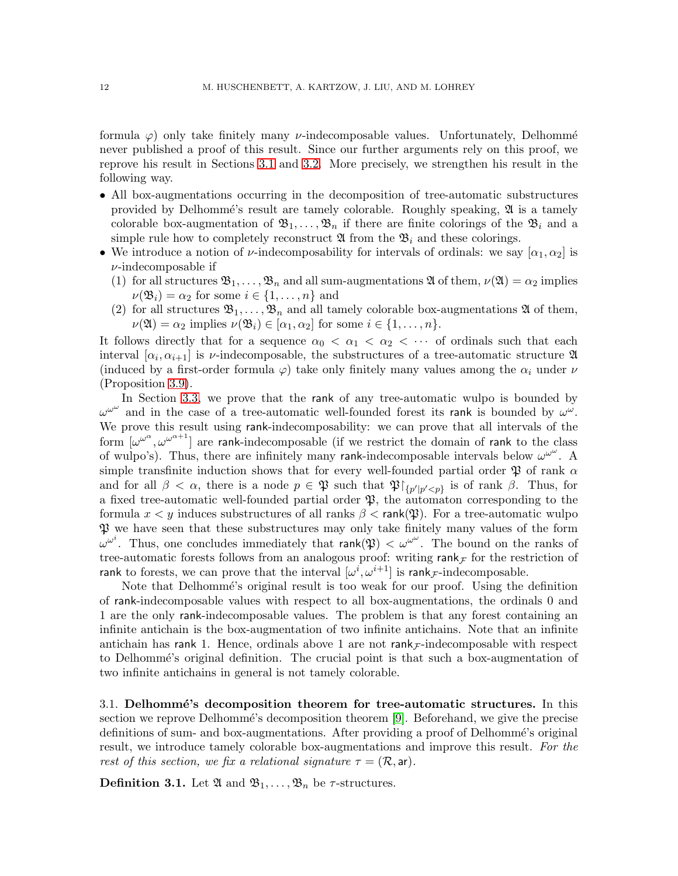formula  $\varphi$ ) only take finitely many *v*-indecomposable values. Unfortunately, Delhommé never published a proof of this result. Since our further arguments rely on this proof, we reprove his result in Sections [3.1](#page-11-1) and [3.2.](#page-16-1) More precisely, we strengthen his result in the following way.

- All box-augmentations occurring in the decomposition of tree-automatic substructures provided by Delhommé's result are tamely colorable. Roughly speaking,  $\mathfrak{A}$  is a tamely colorable box-augmentation of  $\mathfrak{B}_1,\ldots,\mathfrak{B}_n$  if there are finite colorings of the  $\mathfrak{B}_i$  and a simple rule how to completely reconstruct  $\mathfrak{A}$  from the  $\mathfrak{B}_i$  and these colorings.
- We introduce a notion of  $\nu$ -indecomposability for intervals of ordinals: we say  $[\alpha_1, \alpha_2]$  is  $\nu$ -indecomposable if
	- (1) for all structures  $\mathfrak{B}_1,\ldots,\mathfrak{B}_n$  and all sum-augmentations  $\mathfrak A$  of them,  $\nu(\mathfrak{A})=\alpha_2$  implies  $\nu(\mathfrak{B}_i) = \alpha_2$  for some  $i \in \{1, \ldots, n\}$  and
	- (2) for all structures  $\mathfrak{B}_1,\ldots,\mathfrak{B}_n$  and all tamely colorable box-augmentations  $\mathfrak A$  of them,  $\nu(\mathfrak{A}) = \alpha_2$  implies  $\nu(\mathfrak{B}_i) \in [\alpha_1, \alpha_2]$  for some  $i \in \{1, \dots, n\}.$

It follows directly that for a sequence  $\alpha_0 < \alpha_1 < \alpha_2 < \cdots$  of ordinals such that each interval  $[\alpha_i, \alpha_{i+1}]$  is *v*-indecomposable, the substructures of a tree-automatic structure  $\mathfrak{A}$ (induced by a first-order formula  $\varphi$ ) take only finitely many values among the  $\alpha_i$  under  $\nu$ (Proposition [3.9\)](#page-16-2).

In Section [3.3,](#page-17-0) we prove that the rank of any tree-automatic wulpo is bounded by  $\omega^{\omega^{\omega}}$  and in the case of a tree-automatic well-founded forest its rank is bounded by  $\omega^{\omega}$ . We prove this result using rank-indecomposability: we can prove that all intervals of the form  $[\omega^{\omega^{\alpha}}, \omega^{\omega^{\alpha+1}}]$  are rank-indecomposable (if we restrict the domain of rank to the class of wulpo's). Thus, there are infinitely many rank-indecomposable intervals below  $\omega^{\omega^{\omega}}$ . A simple transfinite induction shows that for every well-founded partial order  $\mathfrak P$  of rank  $\alpha$ and for all  $\beta < \alpha$ , there is a node  $p \in \mathfrak{P}$  such that  $\mathfrak{P}[\{p'|p' < p\}]$  is of rank  $\beta$ . Thus, for a fixed tree-automatic well-founded partial order  $\mathfrak{P}$ , the automaton corresponding to the formula  $x < y$  induces substructures of all ranks  $\beta < \text{rank}(\mathfrak{P})$ . For a tree-automatic wulpo  $\mathfrak P$  we have seen that these substructures may only take finitely many values of the form  $\omega^{\omega^i}$ . Thus, one concludes immediately that rank( $\mathfrak{P}$ )  $<\omega^{\omega^{\omega}}$ . The bound on the ranks of tree-automatic forests follows from an analogous proof: writing rank  $_F$  for the restriction of rank to forests, we can prove that the interval  $[\omega^i, \omega^{i+1}]$  is rank<sub>*F*</sub>-indecomposable.

Note that Delhommé's original result is too weak for our proof. Using the definition of rank-indecomposable values with respect to all box-augmentations, the ordinals 0 and 1 are the only rank-indecomposable values. The problem is that any forest containing an infinite antichain is the box-augmentation of two infinite antichains. Note that an infinite antichain has rank 1. Hence, ordinals above 1 are not rank  $\mathcal{F}$ -indecomposable with respect to Delhommé's original definition. The crucial point is that such a box-augmentation of two infinite antichains in general is not tamely colorable.

<span id="page-11-1"></span>3.1. Delhommé's decomposition theorem for tree-automatic structures. In this section we reprove Delhommé's decomposition theorem [\[9\]](#page-42-1). Beforehand, we give the precise definitions of sum- and box-augmentations. After providing a proof of Delhommé's original result, we introduce tamely colorable box-augmentations and improve this result. For the rest of this section, we fix a relational signature  $\tau = (\mathcal{R}, \text{ar})$ .

<span id="page-11-0"></span>**Definition 3.1.** Let  $\mathfrak{A}$  and  $\mathfrak{B}_1, \ldots, \mathfrak{B}_n$  be  $\tau$ -structures.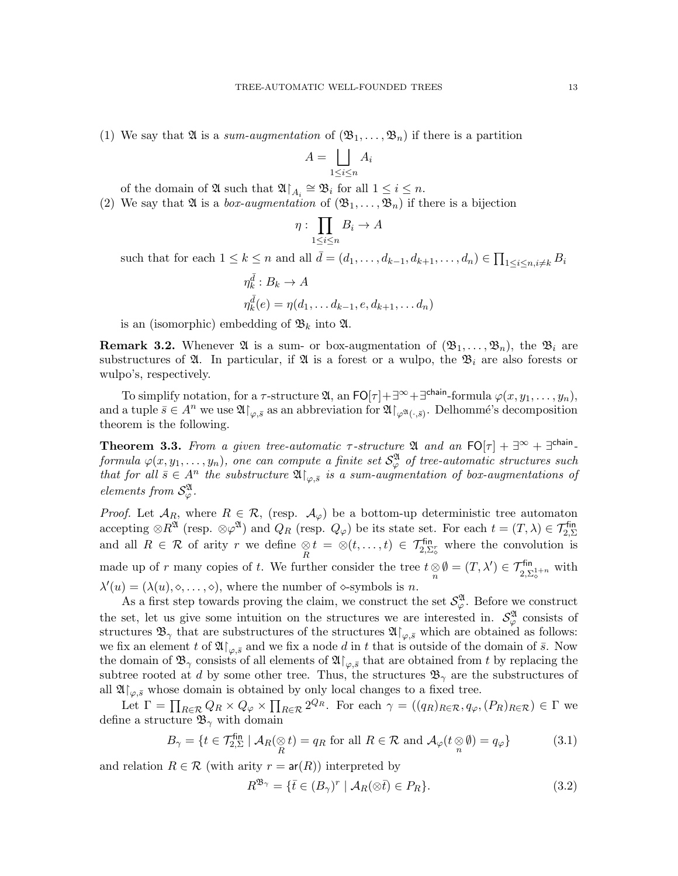(1) We say that  $\mathfrak A$  is a sum-augmentation of  $(\mathfrak B_1,\ldots,\mathfrak B_n)$  if there is a partition

$$
A = \bigsqcup_{1 \le i \le n} A_i
$$

of the domain of  $\mathfrak{A}$  such that  $\mathfrak{A}\!\!\upharpoonright_{A_i} \cong \mathfrak{B}_i$  for all  $1 \leq i \leq n$ .

(2) We say that  $\mathfrak A$  is a *box-augmentation* of  $(\mathfrak B_1,\ldots,\mathfrak B_n)$  if there is a bijection

$$
\eta: \prod_{1 \le i \le n} B_i \to A
$$

such that for each  $1 \leq k \leq n$  and all  $\bar{d} = (d_1, \ldots, d_{k-1}, d_{k+1}, \ldots, d_n) \in \prod_{1 \leq i \leq n, i \neq k} B_i$ 

$$
\eta_k^{\bar{d}} : B_k \to A
$$
  

$$
\eta_k^{\bar{d}}(e) = \eta(d_1, \dots d_{k-1}, e, d_{k+1}, \dots d_n)
$$

is an (isomorphic) embedding of  $\mathfrak{B}_k$  into  $\mathfrak{A}$ .

**Remark 3.2.** Whenever  $\mathfrak{A}$  is a sum- or box-augmentation of  $(\mathfrak{B}_1, \ldots, \mathfrak{B}_n)$ , the  $\mathfrak{B}_i$  are substructures of  $\mathfrak{A}$ . In particular, if  $\mathfrak{A}$  is a forest or a wulpo, the  $\mathfrak{B}_i$  are also forests or wulpo's, respectively.

To simplify notation, for a  $\tau$ -structure  $\mathfrak{A}$ , an  $\textsf{FO}[\tau]+\exists^{\infty}+\exists^{\textsf{chain}}\text{-formula } \varphi(x,y_1,\ldots,y_n),$ and a tuple  $\bar{s} \in A^n$  we use  $\mathfrak{A}\!\!\restriction_{\varphi,\bar{s}}$  as an abbreviation for  $\mathfrak{A}\!\!\restriction_{\varphi^\mathfrak{A}(\cdot,\bar{s})}$ . Delhommé's decomposition theorem is the following.

<span id="page-12-2"></span>**Theorem 3.3.** From a given tree-automatic  $\tau$ -structure  $\mathfrak{A}$  and an  $\text{FO}[\tau] + \exists^{\infty} + \exists^{\text{chain}}$ - ${\it formula} \ \varphi(x,y_1,\ldots,y_n), \ one \ can \ compute \ a \ finite \ set \ {\cal S}_{\varphi}^{\frak A} \ \ of \ tree-automatic \ structures \ such \$ that for all  $\bar{s} \in A^n$  the substructure  $\mathfrak{A}\!\!\restriction_{\varphi,\bar{s}}$  is a sum-augmentation of box-augmentations of elements from  $\mathcal{S}_{\varphi}^{\mathfrak{A}}$ .

*Proof.* Let  $\mathcal{A}_R$ , where  $R \in \mathcal{R}$ , (resp.  $\mathcal{A}_{\varphi}$ ) be a bottom-up deterministic tree automaton accepting  $\otimes R^{\mathfrak{A}}$  (resp.  $\otimes \varphi^{\mathfrak{A}}$ ) and  $Q_R$  (resp.  $Q_{\varphi}$ ) be its state set. For each  $t = (T, \lambda) \in \mathcal{T}_{2, \Sigma}^{\text{fin}}$ and all  $R \in \mathcal{R}$  of arity r we define  $\underset{R}{\otimes} t = \otimes(t, \ldots, t) \in \mathcal{T}_{2, \Sigma_{\varphi}^{\sharp}}^{\text{fin}}$  where the convolution is made up of r many copies of t. We further consider the tree  $t \underset{n}{\otimes} \emptyset = (T, \lambda') \in \mathcal{T}_{2, \Sigma_{\diamond}^{1+n}}^{\text{fin}}$  with  $\lambda'(u) = (\lambda(u), \diamond, \ldots, \diamond),$  where the number of  $\diamond$ -symbols is *n*.

As a first step towards proving the claim, we construct the set  $\mathcal{S}_{\varphi}^{\mathfrak{A}}$ . Before we construct the set, let us give some intuition on the structures we are interested in.  $\mathcal{S}_{\varphi}^{\mathfrak{A}}$  consists of structures  $\mathfrak{B}_{\gamma}$  that are substructures of the structures  $\mathfrak{A}\!\!\restriction_{\varphi,\bar s}$  which are obtained as follows: we fix an element t of  $\mathfrak{A} \upharpoonright_{\varphi, \bar{s}}$  and we fix a node d in t that is outside of the domain of  $\bar{s}$ . Now the domain of  $\mathfrak{B}_{\gamma}$  consists of all elements of  $\mathfrak{A}\!\!\restriction_{\varphi,\bar s}$  that are obtained from t by replacing the subtree rooted at d by some other tree. Thus, the structures  $\mathfrak{B}_{\gamma}$  are the substructures of all  $\mathfrak{A}\upharpoonright_{\varphi,\bar{s}}$  whose domain is obtained by only local changes to a fixed tree.

Let  $\Gamma = \prod_{R \in \mathcal{R}} Q_R \times Q_{\varphi} \times \prod_{R \in \mathcal{R}} 2^{Q_R}$ . For each  $\gamma = ((q_R)_{R \in \mathcal{R}}, q_{\varphi}, (P_R)_{R \in \mathcal{R}}) \in \Gamma$  we define a structure  $\mathfrak{B}_{\gamma}$  with domain

<span id="page-12-0"></span>
$$
B_{\gamma} = \{ t \in \mathcal{T}_{2,\Sigma}^{\text{fin}} \mid \mathcal{A}_{R}(\underset{R}{\otimes} t) = q_{R} \text{ for all } R \in \mathcal{R} \text{ and } \mathcal{A}_{\varphi}(t \underset{n}{\otimes} \emptyset) = q_{\varphi} \}
$$
(3.1)

and relation  $R \in \mathcal{R}$  (with arity  $r = ar(R)$ ) interpreted by

<span id="page-12-1"></span>
$$
R^{\mathfrak{B}_{\gamma}} = \{ \bar{t} \in (B_{\gamma})^r \mid \mathcal{A}_R(\otimes \bar{t}) \in P_R \}. \tag{3.2}
$$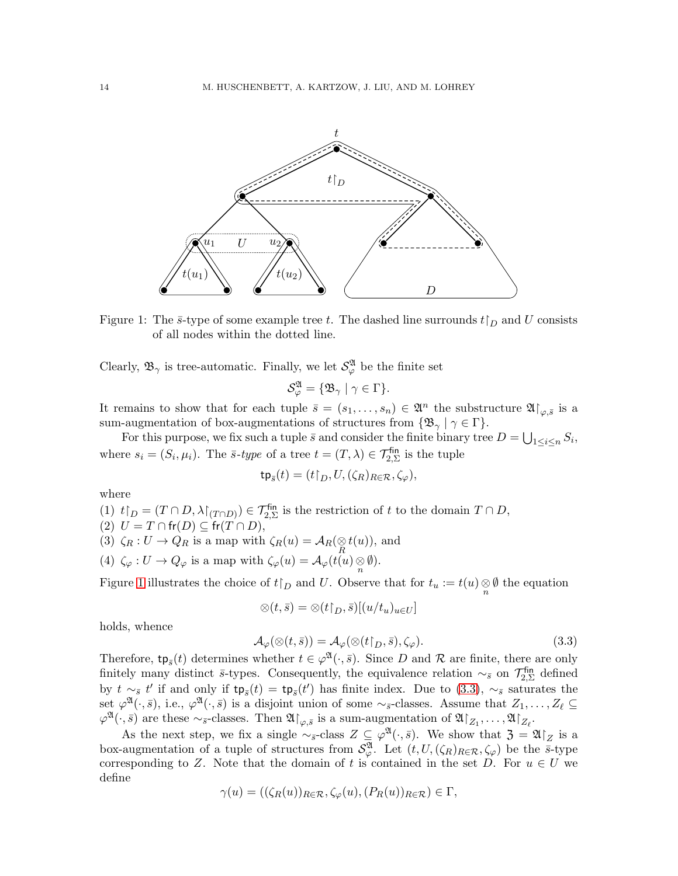

<span id="page-13-0"></span>Figure 1: The  $\bar{s}$ -type of some example tree t. The dashed line surrounds  $t\upharpoonright_D$  and U consists of all nodes within the dotted line.

Clearly,  $\mathfrak{B}_{\gamma}$  is tree-automatic. Finally, we let  $\mathcal{S}_{\varphi}^{\mathfrak{A}}$  be the finite set

$$
\mathcal{S}_{\varphi}^{\mathfrak{A}} = \{ \mathfrak{B}_{\gamma} \mid \gamma \in \Gamma \}.
$$

It remains to show that for each tuple  $\bar{s} = (s_1, \ldots, s_n) \in \mathfrak{A}^n$  the substructure  $\mathfrak{A}|_{\varphi, \bar{s}}$  is a sum-augmentation of box-augmentations of structures from  $\{\mathfrak{B}_{\gamma} \mid \gamma \in \Gamma\}$ .

For this purpose, we fix such a tuple  $\bar{s}$  and consider the finite binary tree  $D = \bigcup_{1 \leq i \leq n} S_i$ , where  $s_i = (S_i, \mu_i)$ . The  $\bar{s}$ -type of a tree  $t = (T, \lambda) \in \mathcal{T}_{2,\Sigma}^{\text{fin}}$  is the tuple

$$
\mathsf{tp}_{\bar{s}}(t)=(t\upharpoonright_D,U,(\zeta_R)_{R\in\mathcal{R}},\zeta_\varphi),
$$

where

(1)  $t\upharpoonright_D = (T\cap D, \lambda\upharpoonright_{(T\cap D)}) \in \mathcal{T}_{2,\Sigma}^{\text{fin}}$  is the restriction of t to the domain  $T\cap D$ ,

- (2)  $U = T \cap \text{fr}(D) \subseteq \text{fr}(T \cap D),$
- (3)  $\zeta_R: U \to Q_R$  is a map with  $\zeta_R(u) = \mathcal{A}_R(\underset{R}{\otimes} t(u))$ , and
- (4)  $\zeta_{\varphi}: U \to Q_{\varphi}$  is a map with  $\zeta_{\varphi}(u) = \mathcal{A}_{\varphi}(t(u)) \underset{n}{\otimes} \emptyset$ .

Figure [1](#page-13-0) illustrates the choice of  $t\upharpoonright_D$  and U. Observe that for  $t_u := t(u) \underset{n}{\otimes} \emptyset$  the equation

$$
\otimes(t,\bar{s})=\otimes(t\mathbf{1}_D,\bar{s})[(u/t_u)_{u\in U}]
$$

holds, whence

<span id="page-13-1"></span>
$$
\mathcal{A}_{\varphi}(\otimes(t,\bar{s})) = \mathcal{A}_{\varphi}(\otimes(t\upharpoonright_{D},\bar{s}),\zeta_{\varphi}).\tag{3.3}
$$

Therefore,  $tp_{\bar{s}}(t)$  determines whether  $t \in \varphi^{\mathfrak{A}}(\cdot,\bar{s})$ . Since D and R are finite, there are only finitely many distinct  $\bar{s}$ -types. Consequently, the equivalence relation  $\sim_{\bar{s}}$  on  $\mathcal{T}_{2,\Sigma}^{\text{fin}}$  $\mathcal{L}_{2,\Sigma}^{\text{\tiny{thn}}}$  defined by  $t \sim_{\bar{s}} t'$  if and only if  $tp_{\bar{s}}(t) = tp_{\bar{s}}(t')$  has finite index. Due to [\(3.3\)](#page-13-1),  $\sim_{\bar{s}}$  saturates the set  $\varphi^{\mathfrak{A}}(\cdot,\bar{s})$ , i.e.,  $\varphi^{\mathfrak{A}}(\cdot,\bar{s})$  is a disjoint union of some  $\sim_{\bar{s}}$ -classes. Assume that  $Z_1,\ldots,Z_\ell\subseteq$  $\varphi^{\mathfrak{A}}(\cdot,\bar{s})$  are these  $\sim_{\bar{s}}$ -classes. Then  $\mathfrak{A}\!\!\restriction_{\varphi,\bar{s}}$  is a sum-augmentation of  $\mathfrak{A}\!\!\restriction_{Z_1},\ldots,\mathfrak{A}\!\!\restriction_{Z_\ell}$ .

As the next step, we fix a single  $\sim_{\bar{s}}$ -class  $Z \subseteq \varphi^{\mathfrak{A}}(\cdot,\bar{s})$ . We show that  $\mathfrak{Z} = \mathfrak{A}|_Z$  is a box-augmentation of a tuple of structures from  $\mathcal{S}_{\varphi}^{\mathfrak{A}}$ . Let  $(t, U, (\zeta_R)_{R \in \mathcal{R}}, \zeta_{\varphi})$  be the  $\bar{s}$ -type corresponding to Z. Note that the domain of t is contained in the set D. For  $u \in U$  we define

$$
\gamma(u) = ((\zeta_R(u))_{R \in \mathcal{R}}, \zeta_{\varphi}(u), (P_R(u))_{R \in \mathcal{R}}) \in \Gamma,
$$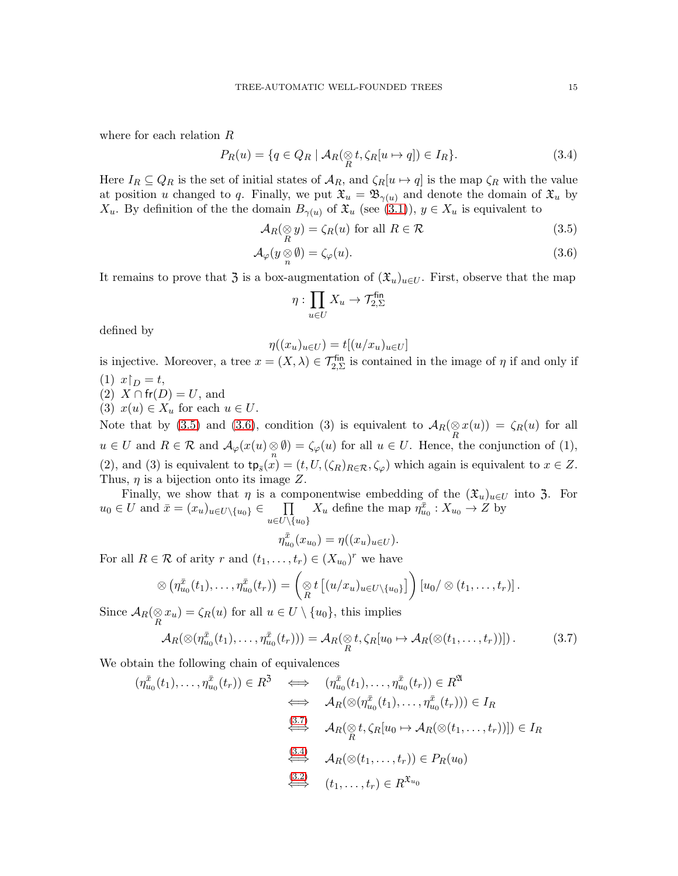where for each relation R

<span id="page-14-3"></span>
$$
P_R(u) = \{q \in Q_R \mid \mathcal{A}_R(\underset{R}{\otimes} t, \zeta_R[u \mapsto q]) \in I_R\}.
$$
\n(3.4)

Here  $I_R \subseteq Q_R$  is the set of initial states of  $\mathcal{A}_R$ , and  $\zeta_R[u \mapsto q]$  is the map  $\zeta_R$  with the value at position u changed to q. Finally, we put  $\mathfrak{X}_u = \mathfrak{B}_{\gamma(u)}$  and denote the domain of  $\mathfrak{X}_u$  by  $X_u$ . By definition of the the domain  $B_{\gamma(u)}$  of  $\mathfrak{X}_u$  (see [\(3.1\)](#page-12-0)),  $y \in X_u$  is equivalent to

$$
\mathcal{A}_R(\underset{R}{\otimes} y) = \zeta_R(u) \text{ for all } R \in \mathcal{R} \tag{3.5}
$$

$$
\mathcal{A}_{\varphi}(y \underset{n}{\otimes} \emptyset) = \zeta_{\varphi}(u). \tag{3.6}
$$

It remains to prove that  $\mathfrak{Z}$  is a box-augmentation of  $(\mathfrak{X}_u)_{u\in U}$ . First, observe that the map

<span id="page-14-1"></span><span id="page-14-0"></span>
$$
\eta: \prod_{u \in U} X_u \to \mathcal{T}_{2,\Sigma}^{\mathsf{fin}}
$$

defined by

$$
\eta((x_u)_{u \in U}) = t[(u/x_u)_{u \in U}]
$$

is injective. Moreover, a tree  $x = (X, \lambda) \in \mathcal{T}_{2, \Sigma}^{\text{fin}}$  is contained in the image of  $\eta$  if and only if (1)  $x \upharpoonright_D = t$ ,

- $(2)$  X  $\cap$  fr $(D) = U$ , and
- (3)  $x(u) \in X_u$  for each  $u \in U$ .

Note that by [\(3.5\)](#page-14-0) and [\(3.6\)](#page-14-1), condition (3) is equivalent to  $\mathcal{A}_R(\underset{R}{\otimes} x(u)) = \zeta_R(u)$  for all  $u \in U$  and  $R \in \mathcal{R}$  and  $\mathcal{A}_{\varphi}(x(u), \{fty\}) = \zeta_{\varphi}(u)$  for all  $u \in U$ . Hence, the conjunction of (1), (2), and (3) is equivalent to  $tp_{\bar{s}}(x) = (t, U, (\zeta_R)_{R \in \mathcal{R}}, \zeta_{\varphi})$  which again is equivalent to  $x \in \mathbb{Z}$ . Thus,  $\eta$  is a bijection onto its image Z.

Finally, we show that  $\eta$  is a componentwise embedding of the  $(\mathfrak{X}_u)_{u\in U}$  into 3. For  $u_0 \in U$  and  $\bar{x} = (x_u)_{u \in U \setminus \{u_0\}} \in \Pi$  $u{\in}U{\setminus}\{u_0\}$  $X_u$  define the map  $\eta_{u_0}^{\bar{x}} : X_{u_0} \to Z$  by

$$
\eta_{u_0}^{\bar{x}}(x_{u_0}) = \eta((x_u)_{u \in U}).
$$

For all  $R \in \mathcal{R}$  of arity r and  $(t_1, \ldots, t_r) \in (X_{u_0})^r$  we have

$$
\otimes \left(\eta^{\bar{x}}_{u_0}(t_1),\ldots,\eta^{\bar{x}}_{u_0}(t_r)\right)=\left(\underset{R}{\otimes} t\left[(u/x_u)_{u\in U\setminus\{u_0\}}\right]\right)\left[u_0/\otimes (t_1,\ldots,t_r)\right].
$$

Since  $A_R(\otimes x_u) = \zeta_R(u)$  for all  $u \in U \setminus \{u_0\}$ , this implies

<span id="page-14-2"></span>
$$
\mathcal{A}_R(\otimes(\eta_{u_0}^{\bar{x}}(t_1),\ldots,\eta_{u_0}^{\bar{x}}(t_r))) = \mathcal{A}_R(\otimes_t t, \zeta_R[u_0 \mapsto \mathcal{A}_R(\otimes(t_1,\ldots,t_r))]).
$$
\n(3.7)

We obtain the following chain of equivalences

$$
(\eta_{u_0}^{\bar{x}}(t_1), \dots, \eta_{u_0}^{\bar{x}}(t_r)) \in R^3 \iff (\eta_{u_0}^{\bar{x}}(t_1), \dots, \eta_{u_0}^{\bar{x}}(t_r)) \in R^{\mathfrak{A}}
$$
  
\n
$$
\iff A_R(\otimes (\eta_{u_0}^{\bar{x}}(t_1), \dots, \eta_{u_0}^{\bar{x}}(t_r))) \in I_R
$$
  
\n
$$
\xrightarrow{\text{(3.7)}} A_R(\otimes t, \zeta_R[u_0 \mapsto A_R(\otimes (t_1, \dots, t_r))]) \in I_R
$$
  
\n
$$
\xrightarrow{\text{(3.4)}} A_R(\otimes (t_1, \dots, t_r)) \in P_R(u_0)
$$
  
\n
$$
\xrightarrow{\text{(3.2)}} (t_1, \dots, t_r) \in R^{\mathfrak{X}_{u_0}}
$$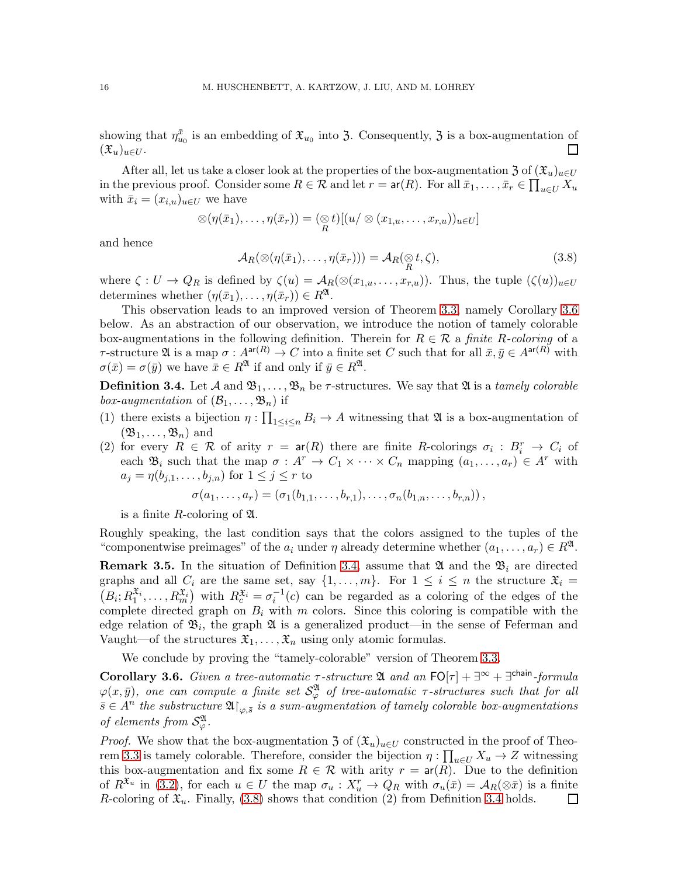showing that  $\eta_{u_0}^{\bar{x}}$  is an embedding of  $\mathfrak{X}_{u_0}$  into 3. Consequently, 3 is a box-augmentation of  $(\mathfrak{X}_u)_{u\in U}$ .  $\Box$ 

After all, let us take a closer look at the properties of the box-augmentation 3 of  $(\mathfrak{X}_u)_{u\in U}$ in the previous proof. Consider some  $R \in \mathcal{R}$  and let  $r = \text{ar}(R)$ . For all  $\bar{x}_1, \ldots, \bar{x}_r \in \prod_{u \in U} X_u$ with  $\bar{x}_i = (x_{i,u})_{u \in U}$  we have

$$
\otimes (\eta(\bar{x}_1),\ldots,\eta(\bar{x}_r)) = (\underset{R}{\otimes} t)[(u/\otimes (x_{1,u},\ldots,x_{r,u}))_{u\in U}]
$$

and hence

<span id="page-15-2"></span>
$$
\mathcal{A}_R(\otimes(\eta(\bar{x}_1),\ldots,\eta(\bar{x}_r))) = \mathcal{A}_R(\underset{R}{\otimes}t,\zeta),\tag{3.8}
$$

where  $\zeta: U \to Q_R$  is defined by  $\zeta(u) = \mathcal{A}_R(\otimes (x_{1,u}, \ldots, x_{r,u}))$ . Thus, the tuple  $(\zeta(u))_{u \in U}$ determines whether  $(\eta(\bar{x}_1), \ldots, \eta(\bar{x}_r)) \in R^{\mathfrak{A}}$ .

This observation leads to an improved version of Theorem [3.3,](#page-12-2) namely Corollary [3.6](#page-15-0) below. As an abstraction of our observation, we introduce the notion of tamely colorable box-augmentations in the following definition. Therein for  $R \in \mathcal{R}$  a finite R-coloring of a  $τ$ -structure Ω is a map  $σ: A<sup>ar(R)</sup> → C$  into a finite set C such that for all  $\bar{x}, \bar{y} ∈ A<sup>ar(R)</sup>$  with  $\sigma(\bar{x}) = \sigma(\bar{y})$  we have  $\bar{x} \in R^{\mathfrak{A}}$  if and only if  $\bar{y} \in R^{\mathfrak{A}}$ .

<span id="page-15-1"></span>**Definition 3.4.** Let A and  $\mathfrak{B}_1, \ldots, \mathfrak{B}_n$  be  $\tau$ -structures. We say that  $\mathfrak{A}$  is a tamely colorable box-augmentation of  $(\mathcal{B}_1, \ldots, \mathfrak{B}_n)$  if

- (1) there exists a bijection  $\eta: \prod_{1\leq i\leq n} B_i \to A$  witnessing that  $\mathfrak{A}$  is a box-augmentation of  $(\mathfrak{B}_1, \ldots, \mathfrak{B}_n)$  and
- (2) for every  $R \in \mathcal{R}$  of arity  $r = ar(R)$  there are finite R-colorings  $\sigma_i : B_i^r \to C_i$  of each  $\mathfrak{B}_i$  such that the map  $\sigma : A^r \to C_1 \times \cdots \times C_n$  mapping  $(a_1, \ldots, a_r) \in A^r$  with  $a_j = \eta(b_{j,1}, \ldots, b_{j,n})$  for  $1 \leq j \leq r$  to

$$
\sigma(a_1, \ldots, a_r) = (\sigma_1(b_{1,1}, \ldots, b_{r,1}), \ldots, \sigma_n(b_{1,n}, \ldots, b_{r,n})),
$$

is a finite R-coloring of  $\mathfrak{A}$ .

Roughly speaking, the last condition says that the colors assigned to the tuples of the "componentwise preimages" of the  $a_i$  under  $\eta$  already determine whether  $(a_1, \ldots, a_r) \in R^{\mathfrak{A}}$ .

**Remark 3.5.** In the situation of Definition [3.4,](#page-15-1) assume that  $\mathfrak{A}$  and the  $\mathfrak{B}_i$  are directed graphs and all  $C_i$  are the same set, say  $\{1, \ldots, m\}$ . For  $1 \leq i \leq n$  the structure  $\mathfrak{X}_i =$  $(B_i; R_1^{x_i}, \ldots, R_m^{x_i})$  with  $R_c^{x_i} = \sigma_i^{-1}(c)$  can be regarded as a coloring of the edges of the complete directed graph on  $B_i$  with m colors. Since this coloring is compatible with the edge relation of  $\mathfrak{B}_i$ , the graph  $\mathfrak A$  is a generalized product—in the sense of Feferman and Vaught—of the structures  $\mathfrak{X}_1, \ldots, \mathfrak{X}_n$  using only atomic formulas.

We conclude by proving the "tamely-colorable" version of Theorem [3.3.](#page-12-2)

<span id="page-15-0"></span>**Corollary 3.6.** Given a tree-automatic  $\tau$ -structure  $\mathfrak{A}$  and an  $FO[\tau] + \exists^{\infty} + \exists^{chain\text{-}formula}$  $\varphi(x,\bar{y}),$  one can compute a finite set  $\mathcal{S}_{\varphi}^{\mathfrak{A}}$  of tree-automatic  $\tau$ -structures such that for all  $\bar{s} \in A^n$  the substructure  $\mathfrak{A}\!\!\restriction_{\varphi,\bar{s}}$  is a sum-augmentation of tamely colorable box-augmentations of elements from  $\mathcal{S}_{\varphi}^{\mathfrak{A}}$ .

*Proof.* We show that the box-augmentation 3 of  $(\mathfrak{X}_u)_{u\in U}$  constructed in the proof of Theo-rem [3.3](#page-12-2) is tamely colorable. Therefore, consider the bijection  $\eta : \prod_{u \in U} X_u \to Z$  witnessing this box-augmentation and fix some  $R \in \mathcal{R}$  with arity  $r = ar(R)$ . Due to the definition of  $R^{\mathfrak{X}_u}$  in [\(3.2\)](#page-12-1), for each  $u \in U$  the map  $\sigma_u : X_u^r \to Q_R$  with  $\sigma_u(\bar{x}) = A_R(\otimes \bar{x})$  is a finite R-coloring of  $\mathfrak{X}_u$ . Finally, [\(3.8\)](#page-15-2) shows that condition (2) from Definition [3.4](#page-15-1) holds. ⊔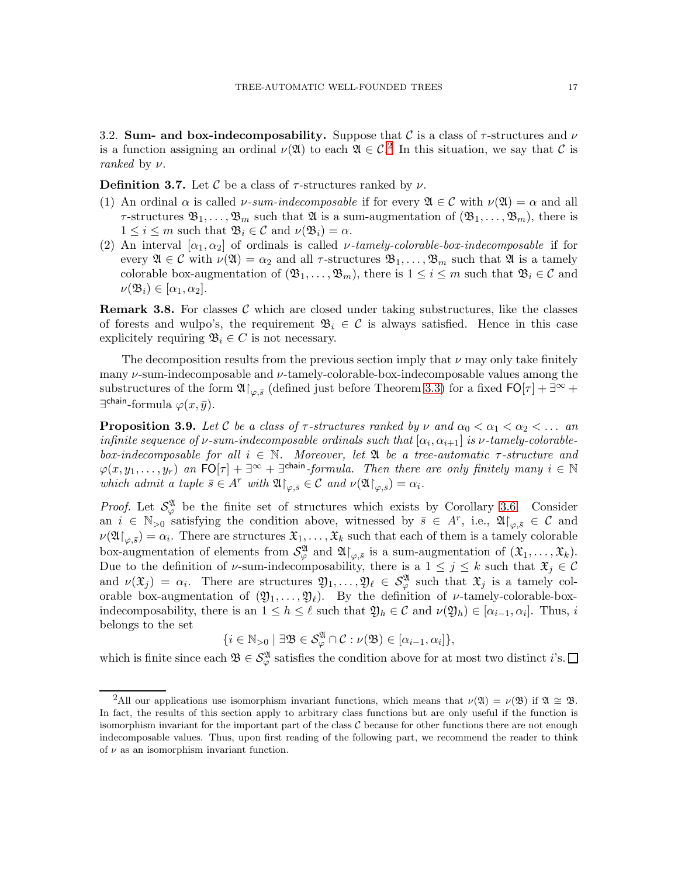<span id="page-16-1"></span>3.2. Sum- and box-indecomposability. Suppose that  $\mathcal C$  is a class of  $\tau$ -structures and  $\nu$ is a function assigning an ordinal  $\nu(\mathfrak{A})$  to each  $\mathfrak{A} \in \mathcal{C}^2$  $\mathfrak{A} \in \mathcal{C}^2$ . In this situation, we say that  $\mathcal{C}$  is ranked by  $\nu$ .

<span id="page-16-0"></span>**Definition 3.7.** Let C be a class of  $\tau$ -structures ranked by  $\nu$ .

- (1) An ordinal  $\alpha$  is called  $\nu\text{-}sum\text{-}indecomposable$  if for every  $\mathfrak{A} \in \mathcal{C}$  with  $\nu(\mathfrak{A}) = \alpha$  and all  $\tau$ -structures  $\mathfrak{B}_1,\ldots,\mathfrak{B}_m$  such that  $\mathfrak A$  is a sum-augmentation of  $(\mathfrak{B}_1,\ldots,\mathfrak{B}_m)$ , there is  $1 \leq i \leq m$  such that  $\mathfrak{B}_i \in \mathcal{C}$  and  $\nu(\mathfrak{B}_i) = \alpha$ .
- (2) An interval  $[\alpha_1, \alpha_2]$  of ordinals is called *v*-tamely-colorable-box-indecomposable if for every  $\mathfrak{A} \in \mathcal{C}$  with  $\nu(\mathfrak{A}) = \alpha_2$  and all  $\tau$ -structures  $\mathfrak{B}_1, \ldots, \mathfrak{B}_m$  such that  $\mathfrak{A}$  is a tamely colorable box-augmentation of  $(\mathfrak{B}_1,\ldots,\mathfrak{B}_m)$ , there is  $1 \leq i \leq m$  such that  $\mathfrak{B}_i \in \mathcal{C}$  and  $\nu(\mathfrak{B}_i) \in [\alpha_1, \alpha_2].$

**Remark 3.8.** For classes  $\mathcal{C}$  which are closed under taking substructures, like the classes of forests and wulpo's, the requirement  $\mathfrak{B}_i \in \mathcal{C}$  is always satisfied. Hence in this case explicitely requiring  $\mathfrak{B}_i \in C$  is not necessary.

The decomposition results from the previous section imply that  $\nu$  may only take finitely many  $\nu$ -sum-indecomposable and  $\nu$ -tamely-colorable-box-indecomposable values among the substructures of the form  $\mathfrak{A}\upharpoonright_{\varphi,\bar{s}}$  (defined just before Theorem [3.3\)](#page-12-2) for a fixed  $\mathsf{FO}[\tau] + \exists^\infty +$  $\exists^{\text{chain}}$ -formula  $\varphi(x,\bar{y})$ .

<span id="page-16-2"></span>**Proposition 3.9.** Let C be a class of  $\tau$ -structures ranked by  $\nu$  and  $\alpha_0 < \alpha_1 < \alpha_2 < \ldots$  and infinite sequence of v-sum-indecomposable ordinals such that  $[\alpha_i, \alpha_{i+1}]$  is v-tamely-colorablebox-indecomposable for all  $i \in \mathbb{N}$ . Moreover, let  $\mathfrak A$  be a tree-automatic  $\tau$ -structure and  $\varphi(x, y_1, \ldots, y_r)$  an  $\tilde{\mathsf{FO}}[\tau] + \exists^\infty + \exists^{\mathsf{chain}}\text{-formula.}$  Then there are only finitely many  $i \in \mathbb{N}$ which admit a tuple  $\bar{s} \in A^r$  with  $\mathfrak{A}|_{\varphi, \bar{s}} \in \mathcal{C}$  and  $\nu(\mathfrak{A}|_{\varphi, \bar{s}}) = \alpha_i$ .

*Proof.* Let  $S^{\mathfrak{A}}_{\varphi}$  be the finite set of structures which exists by Corollary [3.6.](#page-15-0) Consider an  $i \in \mathbb{N}_{>0}$  satisfying the condition above, witnessed by  $\bar{s} \in A^r$ , i.e.,  $\mathfrak{A}\vert_{\varphi,\bar{s}} \in \mathcal{C}$  and  $\nu(\mathfrak{A}\!\!\restriction_{\varphi,\bar s}) = \alpha_i$ . There are structures  $\mathfrak{X}_1,\ldots,\mathfrak{X}_k$  such that each of them is a tamely colorable box-augmentation of elements from  $\mathcal{S}_{\varphi}^{\mathfrak{A}}$  and  $\mathfrak{A}\!\!\restriction_{\varphi,\bar{s}}$  is a sum-augmentation of  $(\mathfrak{X}_1,\ldots,\mathfrak{X}_k)$ . Due to the definition of  $\nu$ -sum-indecomposability, there is a  $1 \leq j \leq k$  such that  $\mathfrak{X}_j \in \mathcal{C}$ and  $\nu(\mathfrak{X}_j) = \alpha_i$ . There are structures  $\mathfrak{Y}_1, \ldots, \mathfrak{Y}_\ell \in S_\varphi^{\mathfrak{A}}$  such that  $\mathfrak{X}_j$  is a tamely colorable box-augmentation of  $(\mathfrak{Y}_1, \ldots, \mathfrak{Y}_\ell)$ . By the definition of  $\nu$ -tamely-colorable-boxindecomposability, there is an  $1 \leq h \leq \ell$  such that  $\mathfrak{Y}_h \in \mathcal{C}$  and  $\nu(\mathfrak{Y}_h) \in [\alpha_{i-1}, \alpha_i]$ . Thus, i belongs to the set

$$
\{i\in\mathbb{N}_{>0}\mid \exists \mathfrak{B}\in\mathcal{S}_{\varphi}^{\mathfrak{A}}\cap\mathcal{C}:\nu(\mathfrak{B})\in[\alpha_{i-1},\alpha_{i}]\},\
$$

which is finite since each  $\mathfrak{B} \in \mathcal{S}_{\varphi}^{\mathfrak{A}}$  satisfies the condition above for at most two distinct *i*'s.

<span id="page-16-3"></span><sup>&</sup>lt;sup>2</sup>All our applications use isomorphism invariant functions, which means that  $\nu(\mathfrak{A}) = \nu(\mathfrak{B})$  if  $\mathfrak{A} \cong \mathfrak{B}$ . In fact, the results of this section apply to arbitrary class functions but are only useful if the function is isomorphism invariant for the important part of the class  $C$  because for other functions there are not enough indecomposable values. Thus, upon first reading of the following part, we recommend the reader to think of  $\nu$  as an isomorphism invariant function.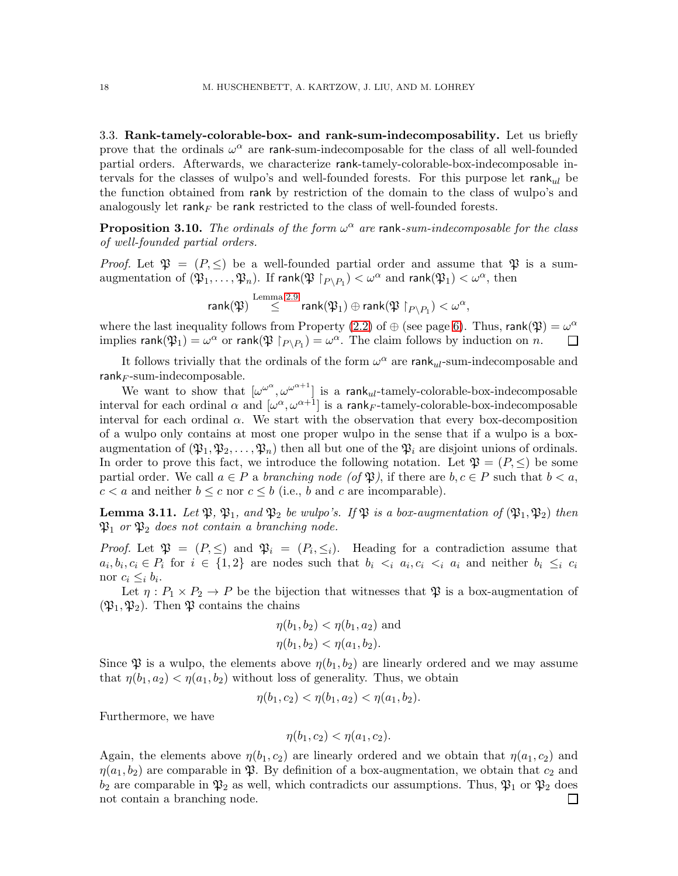<span id="page-17-0"></span>3.3. Rank-tamely-colorable-box- and rank-sum-indecomposability. Let us briefly prove that the ordinals  $\omega^{\alpha}$  are rank-sum-indecomposable for the class of all well-founded partial orders. Afterwards, we characterize rank-tamely-colorable-box-indecomposable intervals for the classes of wulpo's and well-founded forests. For this purpose let  $rank_{ul}$  be the function obtained from rank by restriction of the domain to the class of wulpo's and analogously let rank<sub>F</sub> be rank restricted to the class of well-founded forests.

<span id="page-17-2"></span>**Proposition 3.10.** The ordinals of the form  $\omega^{\alpha}$  are rank-sum-indecomposable for the class of well-founded partial orders.

*Proof.* Let  $\mathfrak{P} = (P, \leq)$  be a well-founded partial order and assume that  $\mathfrak{P}$  is a sumaugmentation of  $(\mathfrak{P}_1,\ldots,\mathfrak{P}_n)$ . If  $\mathsf{rank}(\mathfrak{P}\restriction_{P\setminus P_1}) < \omega^\alpha$  and  $\mathsf{rank}(\mathfrak{P}_1) < \omega^\alpha$ , then

rank $(\mathfrak{P}) \stackrel{\textrm{Lemma 2.9}}{\leq} \mathsf{rank}(\mathfrak{P}_1) \oplus \mathsf{rank}(\mathfrak{P}\restriction_{P \setminus P_1}) < \omega^\alpha,$  $(\mathfrak{P}) \stackrel{\textrm{Lemma 2.9}}{\leq} \mathsf{rank}(\mathfrak{P}_1) \oplus \mathsf{rank}(\mathfrak{P}\restriction_{P \setminus P_1}) < \omega^\alpha,$  $(\mathfrak{P}) \stackrel{\textrm{Lemma 2.9}}{\leq} \mathsf{rank}(\mathfrak{P}_1) \oplus \mathsf{rank}(\mathfrak{P}\restriction_{P \setminus P_1}) < \omega^\alpha,$ 

where the last inequality follows from Property [\(2.2\)](#page-5-0) of  $\oplus$  (see page [6\)](#page-5-0). Thus, rank( $\mathfrak{P}$ ) =  $\omega^{\alpha}$ implies  $\textsf{rank}(\mathfrak{P}_1) = \omega^{\alpha}$  or  $\textsf{rank}(\mathfrak{P} \restriction_{P \setminus P_1}) = \omega^{\alpha}$ . The claim follows by induction on n.  $\Box$ 

It follows trivially that the ordinals of the form  $\omega^{\alpha}$  are rank<sub>ul</sub>-sum-indecomposable and  $rank_F$ -sum-indecomposable.

We want to show that  $[\omega^{\omega^{\alpha}}, \omega^{\omega^{\alpha+1}}]$  is a rank<sub>ul</sub>-tamely-colorable-box-indecomposable interval for each ordinal  $\alpha$  and  $[\omega^{\alpha}, \omega^{\alpha+1}]$  is a rank<sub>F</sub>-tamely-colorable-box-indecomposable interval for each ordinal  $\alpha$ . We start with the observation that every box-decomposition of a wulpo only contains at most one proper wulpo in the sense that if a wulpo is a boxaugmentation of  $(\mathfrak{P}_1, \mathfrak{P}_2, \ldots, \mathfrak{P}_n)$  then all but one of the  $\mathfrak{P}_i$  are disjoint unions of ordinals. In order to prove this fact, we introduce the following notation. Let  $\mathfrak{P} = (P, \leq)$  be some partial order. We call  $a \in P$  a *branching node* (of  $\mathfrak{P}$ ), if there are  $b, c \in P$  such that  $b < a$ ,  $c < a$  and neither  $b \leq c$  nor  $c \leq b$  (i.e., b and c are incomparable).

<span id="page-17-1"></span>**Lemma 3.11.** Let  $\mathfrak{P}, \mathfrak{P}_1$ , and  $\mathfrak{P}_2$  be wulpo's. If  $\mathfrak{P}$  is a box-augmentation of  $(\mathfrak{P}_1, \mathfrak{P}_2)$  then  $\mathfrak{P}_1$  or  $\mathfrak{P}_2$  does not contain a branching node.

*Proof.* Let  $\mathfrak{P} = (P, \leq)$  and  $\mathfrak{P}_i = (P_i, \leq_i)$ . Heading for a contradiction assume that  $a_i, b_i, c_i \in P_i$  for  $i \in \{1,2\}$  are nodes such that  $b_i \leq_i a_i, c_i \leq_i a_i$  and neither  $b_i \leq_i c_i$ nor  $c_i \leq_i b_i$ .

Let  $\eta: P_1 \times P_2 \to P$  be the bijection that witnesses that  $\mathfrak P$  is a box-augmentation of  $(\mathfrak{P}_1, \mathfrak{P}_2)$ . Then  $\mathfrak{P}$  contains the chains

$$
\eta(b_1, b_2) < \eta(b_1, a_2) \text{ and}
$$
\n
$$
\eta(b_1, b_2) < \eta(a_1, b_2).
$$

Since  $\mathfrak P$  is a wulpo, the elements above  $\eta(b_1, b_2)$  are linearly ordered and we may assume that  $\eta(b_1, a_2) < \eta(a_1, b_2)$  without loss of generality. Thus, we obtain

$$
\eta(b_1, c_2) < \eta(b_1, a_2) < \eta(a_1, b_2).
$$

Furthermore, we have

$$
\eta(b_1, c_2) < \eta(a_1, c_2).
$$

Again, the elements above  $\eta(b_1, c_2)$  are linearly ordered and we obtain that  $\eta(a_1, c_2)$  and  $\eta(a_1, b_2)$  are comparable in  $\mathfrak{P}$ . By definition of a box-augmentation, we obtain that  $c_2$  and  $b_2$  are comparable in  $\mathfrak{P}_2$  as well, which contradicts our assumptions. Thus,  $\mathfrak{P}_1$  or  $\mathfrak{P}_2$  does not contain a branching node. $\mathsf{I}$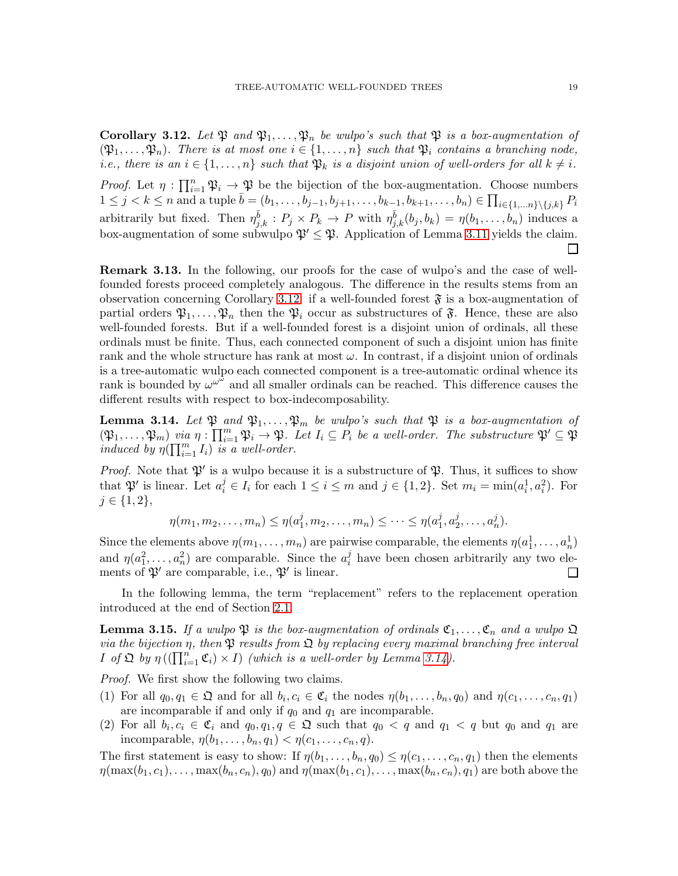<span id="page-18-1"></span>**Corollary 3.12.** Let  $\mathfrak{P}$  and  $\mathfrak{P}_1, \ldots, \mathfrak{P}_n$  be wulpo's such that  $\mathfrak{P}$  is a box-augmentation of  $(\mathfrak{P}_1,\ldots,\mathfrak{P}_n)$ . There is at most one  $i \in \{1,\ldots,n\}$  such that  $\mathfrak{P}_i$  contains a branching node, *i.e., there is an*  $i \in \{1, \ldots, n\}$  such that  $\mathfrak{P}_k$  is a disjoint union of well-orders for all  $k \neq i$ .

Proof. Let  $\eta: \prod_{i=1}^n \mathfrak{P}_i \to \mathfrak{P}$  be the bijection of the box-augmentation. Choose numbers  $1 \leq j < k \leq n$  and a tuple  $\bar{b} = (b_1, \ldots, b_{j-1}, b_{j+1}, \ldots, b_{k-1}, b_{k+1}, \ldots, b_n) \in \prod_{i \in \{1, \ldots n\} \setminus \{j,k\}} P_i$ arbitrarily but fixed. Then  $\eta_{j,k}^{\bar{b}}: P_j \times P_k \to P$  with  $\eta_{j,k}^{\bar{b}}(b_j, b_k) = \eta(b_1, \ldots, b_n)$  induces a box-augmentation of some subwulpo  $\mathfrak{P}' \leq \mathfrak{P}$ . Application of Lemma [3.11](#page-17-1) yields the claim.

<span id="page-18-3"></span>Remark 3.13. In the following, our proofs for the case of wulpo's and the case of wellfounded forests proceed completely analogous. The difference in the results stems from an observation concerning Corollary [3.12:](#page-18-1) if a well-founded forest  $\mathfrak{F}$  is a box-augmentation of partial orders  $\mathfrak{P}_1,\ldots,\mathfrak{P}_n$  then the  $\mathfrak{P}_i$  occur as substructures of  $\mathfrak{F}$ . Hence, these are also well-founded forests. But if a well-founded forest is a disjoint union of ordinals, all these ordinals must be finite. Thus, each connected component of such a disjoint union has finite rank and the whole structure has rank at most  $\omega$ . In contrast, if a disjoint union of ordinals is a tree-automatic wulpo each connected component is a tree-automatic ordinal whence its rank is bounded by  $\omega^{\omega^{\hat{\omega}}}$  and all smaller ordinals can be reached. This difference causes the different results with respect to box-indecomposability.

<span id="page-18-2"></span>**Lemma 3.14.** Let  $\mathfrak{P}$  and  $\mathfrak{P}_1, \ldots, \mathfrak{P}_m$  be wulpo's such that  $\mathfrak{P}$  is a box-augmentation of  $(\mathfrak{P}_1,\ldots,\mathfrak{P}_m)$  via  $\eta:\prod_{i=1}^m\mathfrak{P}_i\to\mathfrak{P}$ . Let  $I_i\subseteq P_i$  be a well-order. The substructure  $\mathfrak{P}'\subseteq\mathfrak{P}$ induced by  $\eta(\prod_{i=1}^m I_i)$  is a well-order.

*Proof.* Note that  $\mathfrak{P}'$  is a wulpo because it is a substructure of  $\mathfrak{P}$ . Thus, it suffices to show that  $\mathfrak{P}'$  is linear. Let  $a_i^j \in I_i$  for each  $1 \leq i \leq m$  and  $j \in \{1,2\}$ . Set  $m_i = \min(a_i^1, a_i^2)$ . For  $j \in \{1, 2\},\$ 

$$
\eta(m_1, m_2, \dots, m_n) \leq \eta(a_1^j, m_2, \dots, m_n) \leq \dots \leq \eta(a_1^j, a_2^j, \dots, a_n^j).
$$

Since the elements above  $\eta(m_1, \ldots, m_n)$  are pairwise comparable, the elements  $\eta(a_1^1, \ldots, a_n^1)$ and  $\eta(a_1^2, \ldots, a_n^2)$  are comparable. Since the  $a_i^j$  $i$  have been chosen arbitrarily any two elements of  $\mathfrak{P}'$  are comparable, i.e.,  $\mathfrak{P}'$  is linear. ⊔

In the following lemma, the term "replacement" refers to the replacement operation introduced at the end of Section [2.1.](#page-2-0)

<span id="page-18-0"></span>**Lemma 3.15.** If a wulpo  $\mathfrak{P}$  is the box-augmentation of ordinals  $\mathfrak{C}_1, \ldots, \mathfrak{C}_n$  and a wulpo  $\mathfrak{Q}$ via the bijection  $\eta$ , then  $\mathfrak P$  results from  $\mathfrak Q$  by replacing every maximal branching free interval  $I$  of  $\mathfrak{Q}$  by  $\eta((\prod_{i=1}^n \mathfrak{C}_i) \times I)$  (which is a well-order by Lemma [3.14\)](#page-18-2).

Proof. We first show the following two claims.

- (1) For all  $q_0, q_1 \in \mathfrak{Q}$  and for all  $b_i, c_i \in \mathfrak{C}_i$  the nodes  $\eta(b_1, \ldots, b_n, q_0)$  and  $\eta(c_1, \ldots, c_n, q_1)$ are incomparable if and only if  $q_0$  and  $q_1$  are incomparable.
- (2) For all  $b_i, c_i \in \mathfrak{C}_i$  and  $q_0, q_1, q \in \mathfrak{Q}$  such that  $q_0 < q$  and  $q_1 < q$  but  $q_0$  and  $q_1$  are incomparable,  $\eta(b_1,\ldots,b_n,q_1) < \eta(c_1,\ldots,c_n,q)$ .

The first statement is easy to show: If  $\eta(b_1,\ldots,b_n,q_0) \leq \eta(c_1,\ldots,c_n,q_1)$  then the elements  $\eta(\max(b_1, c_1), \ldots, \max(b_n, c_n), q_0)$  and  $\eta(\max(b_1, c_1), \ldots, \max(b_n, c_n), q_1)$  are both above the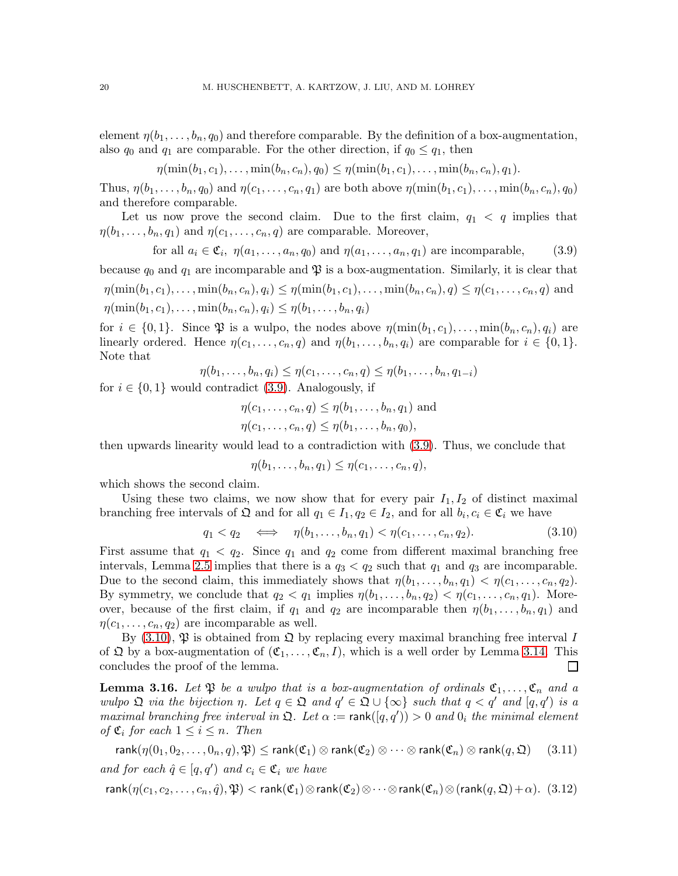element  $\eta(b_1,\ldots,b_n,q_0)$  and therefore comparable. By the definition of a box-augmentation, also  $q_0$  and  $q_1$  are comparable. For the other direction, if  $q_0 \leq q_1$ , then

$$
\eta(\min(b_1, c_1), \dots, \min(b_n, c_n), q_0) \leq \eta(\min(b_1, c_1), \dots, \min(b_n, c_n), q_1).
$$

Thus,  $\eta(b_1,\ldots,b_n,q_0)$  and  $\eta(c_1,\ldots,c_n,q_1)$  are both above  $\eta(\min(b_1,c_1),\ldots,\min(b_n,c_n),q_0)$ and therefore comparable.

Let us now prove the second claim. Due to the first claim,  $q_1 < q$  implies that  $\eta(b_1,\ldots,b_n,q_1)$  and  $\eta(c_1,\ldots,c_n,q)$  are comparable. Moreover,

<span id="page-19-0"></span>for all 
$$
a_i \in \mathfrak{C}_i
$$
,  $\eta(a_1, \ldots, a_n, q_0)$  and  $\eta(a_1, \ldots, a_n, q_1)$  are incomparable, (3.9)

because  $q_0$  and  $q_1$  are incomparable and  $\mathfrak P$  is a box-augmentation. Similarly, it is clear that  $\eta(\min(b_1, c_1), \ldots, \min(b_n, c_n), q_i) \leq \eta(\min(b_1, c_1), \ldots, \min(b_n, c_n), q) \leq \eta(c_1, \ldots, c_n, q)$  and  $\eta(\min(b_1, c_1), \ldots, \min(b_n, c_n), q_i) \leq \eta(b_1, \ldots, b_n, q_i)$ 

for  $i \in \{0,1\}$ . Since  $\mathfrak{P}$  is a wulpo, the nodes above  $\eta(\min(b_1, c_1), \ldots, \min(b_n, c_n), q_i)$  are linearly ordered. Hence  $\eta(c_1, \ldots, c_n, q)$  and  $\eta(b_1, \ldots, b_n, q_i)$  are comparable for  $i \in \{0, 1\}$ . Note that

$$
\eta(b_1,\ldots,b_n,q_i)\leq \eta(c_1,\ldots,c_n,q)\leq \eta(b_1,\ldots,b_n,q_{1-i})
$$

for  $i \in \{0,1\}$  would contradict [\(3.9\)](#page-19-0). Analogously, if

$$
\eta(c_1, \ldots, c_n, q) \leq \eta(b_1, \ldots, b_n, q_1)
$$
 and  

$$
\eta(c_1, \ldots, c_n, q) \leq \eta(b_1, \ldots, b_n, q_0),
$$

then upwards linearity would lead to a contradiction with [\(3.9\)](#page-19-0). Thus, we conclude that

 $\eta(b_1,\ldots,b_n,q_1) \leq \eta(c_1,\ldots,c_n,q),$ 

which shows the second claim.

Using these two claims, we now show that for every pair  $I_1, I_2$  of distinct maximal branching free intervals of  $\mathfrak Q$  and for all  $q_1 \in I_1, q_2 \in I_2$ , and for all  $b_i, c_i \in \mathfrak C_i$  we have

<span id="page-19-1"></span>
$$
q_1 < q_2 \quad \Longleftrightarrow \quad \eta(b_1, \dots, b_n, q_1) < \eta(c_1, \dots, c_n, q_2). \tag{3.10}
$$

First assume that  $q_1 < q_2$ . Since  $q_1$  and  $q_2$  come from different maximal branching free intervals, Lemma [2.5](#page-4-1) implies that there is a  $q_3 < q_2$  such that  $q_1$  and  $q_3$  are incomparable. Due to the second claim, this immediately shows that  $\eta(b_1, \ldots, b_n, q_1) < \eta(c_1, \ldots, c_n, q_2)$ . By symmetry, we conclude that  $q_2 < q_1$  implies  $\eta(b_1, \ldots, b_n, q_2) < \eta(c_1, \ldots, c_n, q_1)$ . Moreover, because of the first claim, if  $q_1$  and  $q_2$  are incomparable then  $\eta(b_1, \ldots, b_n, q_1)$  and  $\eta(c_1,\ldots,c_n,q_2)$  are incomparable as well.

By [\(3.10\)](#page-19-1),  $\mathfrak{P}$  is obtained from  $\mathfrak{Q}$  by replacing every maximal branching free interval I of  $\mathfrak Q$  by a box-augmentation of  $(\mathfrak C_1,\ldots,\mathfrak C_n,I)$ , which is a well order by Lemma [3.14.](#page-18-2) This concludes the proof of the lemma. ப

<span id="page-19-3"></span>**Lemma 3.16.** Let  $\mathfrak{P}$  be a wulpo that is a box-augmentation of ordinals  $\mathfrak{C}_1, \ldots, \mathfrak{C}_n$  and a wulpo  $\Omega$  via the bijection  $\eta$ . Let  $q \in \Omega$  and  $q' \in \Omega \cup \{\infty\}$  such that  $q < q'$  and  $[q, q']$  is a maximal branching free interval in  $\mathfrak{Q}$ . Let  $\alpha := \text{rank}([q, q')) > 0$  and  $0_i$  the minimal element of  $\mathfrak{C}_i$  for each  $1 \leq i \leq n$ . Then

<span id="page-19-2"></span>rank $(\eta(0_1, 0_2, \ldots, 0_n, q), \mathfrak{P}) \leq \text{rank}(\mathfrak{C}_1) \otimes \text{rank}(\mathfrak{C}_2) \otimes \cdots \otimes \text{rank}(\mathfrak{C}_n) \otimes \text{rank}(q, \mathfrak{Q})$  (3.11) and for each  $\hat{q} \in [q, q')$  and  $c_i \in \mathfrak{C}_i$  we have

$$
\text{rank}(\eta(c_1,c_2,\ldots,c_n,\hat{q}),\mathfrak{P}) < \text{rank}(\mathfrak{C}_1) \otimes \text{rank}(\mathfrak{C}_2) \otimes \cdots \otimes \text{rank}(\mathfrak{C}_n) \otimes (\text{rank}(q,\mathfrak{Q}) + \alpha). \tag{3.12}
$$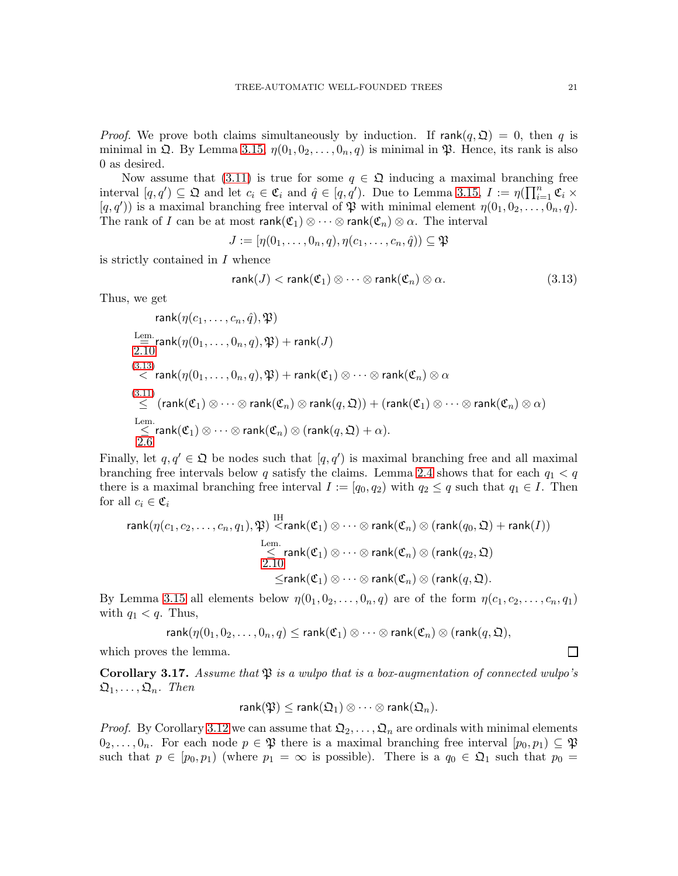*Proof.* We prove both claims simultaneously by induction. If  $rank(q, \mathfrak{Q}) = 0$ , then q is minimal in  $\mathfrak{Q}$ . By Lemma [3.15,](#page-18-0)  $\eta(0_1, 0_2, \ldots, 0_n, q)$  is minimal in  $\mathfrak{P}$ . Hence, its rank is also 0 as desired.

Now assume that [\(3.11\)](#page-19-2) is true for some  $q \in \mathfrak{Q}$  inducing a maximal branching free interval  $[q, q') \subseteq \mathfrak{Q}$  and let  $c_i \in \mathfrak{C}_i$  and  $\hat{q} \in [q, q')$ . Due to Lemma [3.15,](#page-18-0)  $I := \eta(\prod_{i=1}^n \mathfrak{C}_i \times$  $[q, q')$  is a maximal branching free interval of  $\mathfrak P$  with minimal element  $\eta(0_1, 0_2, \ldots, 0_n, q)$ . The rank of I can be at most  $rank(\mathfrak{C}_1) \otimes \cdots \otimes rank(\mathfrak{C}_n) \otimes \alpha$ . The interval

$$
J := [\eta(0_1, \ldots, 0_n, q), \eta(c_1, \ldots, c_n, \hat{q})) \subseteq \mathfrak{P}
$$

is strictly contained in I whence

<span id="page-20-0"></span>
$$
rank(J) < rank(\mathfrak{C}_1) \otimes \cdots \otimes rank(\mathfrak{C}_n) \otimes \alpha.
$$
 (3.13)

Thus, we get

$$
\mathop{\rm rank}\limits_{\substack{\mathbf{m} \equiv \mathbf{m}: \\ \mathbf{m} \in \mathcal{M}}} \mathop{\rm rank}\limits_{\substack{\mathbf{m} \equiv \mathbf{m}: \\ \mathbf{m} \in \mathcal{M}}} \mathop{\rm rank}\limits_{\substack{\mathbf{m} \in \mathcal{M} \\ \mathbf{m} \in \mathcal{M}}} \mathop{\rm rank}\limits_{\substack{\mathbf{m} \in \mathcal{M} \\ \mathbf{m} \in \mathcal{M}}} \mathop{\rm rank}\limits_{\substack{\mathbf{m} \in \mathcal{M} \\ \mathbf{m} \in \mathcal{M}}} \mathop{\rm rank}\limits_{\substack{\mathbf{m} \in \mathcal{M} \\ \mathbf{m} \in \mathcal{M}}} \mathop{\rm rank}\limits_{\substack{\mathbf{m} \in \mathcal{M} \\ \mathbf{m} \in \mathcal{M}}} \mathop{\rm rank}\limits_{\substack{\mathbf{m} \in \mathcal{M} \\ \mathbf{m} \in \mathcal{M}}} \mathop{\rm rank}\limits_{\substack{\mathbf{m} \in \mathcal{M} \\ \mathbf{m} \in \mathcal{M}}} \mathop{\rm rank}\limits_{\substack{\mathbf{m} \in \mathcal{M} \\ \mathbf{m} \in \mathcal{M}}} \mathop{\rm rank}\limits_{\substack{\mathbf{m} \in \mathcal{M} \\ \mathbf{m} \in \mathcal{M}}} \mathop{\rm rank}\limits_{\substack{\mathbf{m} \in \mathcal{M} \\ \mathbf{m} \in \mathcal{M}}} \mathop{\rm rank}\limits_{\substack{\mathbf{m} \in \mathcal{M} \\ \mathbf{m} \in \mathcal{M}}} \mathop{\rm rank}\limits_{\substack{\mathbf{m} \in \mathcal{M} \\ \mathbf{m} \in \mathcal{M}}} \mathop{\rm rank}\limits_{\substack{\mathbf{m} \in \mathcal{M} \\ \mathbf{m} \in \mathcal{M}}} \mathop{\rm rank}\limits_{\substack{\mathbf{m} \in \mathcal{M} \\ \mathbf{m} \in \mathcal{M}}} \mathop{\rm rank}\limits_{\substack{\mathbf{m} \in \mathcal{M} \\ \mathbf{m} \in \mathcal{M}}} \mathop{\rm rank}\limits_{\substack{\mathbf{m} \in \mathcal{M} \\ \mathbf{m} \in \mathcal{M}}} \mathop{\rm rank}\limits_{\substack{\mathbf{m} \in \math
$$

Finally, let  $q, q' \in \mathfrak{Q}$  be nodes such that  $[q, q')$  is maximal branching free and all maximal branching free intervals below q satisfy the claims. Lemma [2.4](#page-3-2) shows that for each  $q_1 < q$ there is a maximal branching free interval  $I := [q_0, q_2)$  with  $q_2 \leq q$  such that  $q_1 \in I$ . Then for all  $c_i \in \mathfrak{C}_i$ 

$$
\mathop{\rm rank}\nolimits(\eta(c_1,c_2,\ldots,c_n,q_1),\mathfrak{P}) \stackrel{\text{IH}}{<} \mathop{\rm rank}\nolimits(\mathfrak{C}_1)\otimes\cdots\otimes\mathop{\rm rank}\nolimits(\mathfrak{C}_n)\otimes(\mathop{\rm rank}\nolimits(q_0,\mathfrak{Q})+\mathop{\rm rank}\nolimits(I))\\ \stackrel{\text{Lem.}}{\leq} \mathop{\rm rank}\nolimits(\mathfrak{C}_1)\otimes\cdots\otimes\mathop{\rm rank}\nolimits(\mathfrak{C}_n)\otimes(\mathop{\rm rank}\nolimits(q_2,\mathfrak{Q})\\ \stackrel{\text{X}=\mathop{\rm rank}\nolimits(\mathfrak{C}_1)\otimes\cdots\otimes\mathop{\rm rank}\nolimits(\mathfrak{C}_n)\otimes(\mathop{\rm rank}\nolimits(q,\mathfrak{Q}).
$$

By Lemma [3.15](#page-18-0) all elements below  $\eta(0_1, 0_2, \ldots, 0_n, q)$  are of the form  $\eta(c_1, c_2, \ldots, c_n, q_1)$ with  $q_1 < q$ . Thus,

rank $(\eta(0_1, 0_2, \ldots, 0_n, q) \leq \text{rank}(\mathfrak{C}_1) \otimes \cdots \otimes \text{rank}(\mathfrak{C}_n) \otimes (\text{rank}(q, \mathfrak{Q}),$ 

which proves the lemma.

<span id="page-20-1"></span>**Corollary 3.17.** Assume that  $\mathfrak{P}$  is a wulpo that is a box-augmentation of connected wulpo's  $\mathfrak{Q}_1, \ldots, \mathfrak{Q}_n$ . Then

$$
\mathsf{rank}(\mathfrak{P}) \leq \mathsf{rank}(\mathfrak{Q}_1) \otimes \cdots \otimes \mathsf{rank}(\mathfrak{Q}_n).
$$

*Proof.* By Corollary [3.12](#page-18-1) we can assume that  $\mathfrak{Q}_2, \ldots, \mathfrak{Q}_n$  are ordinals with minimal elements  $0_2, \ldots, 0_n$ . For each node  $p \in \mathfrak{P}$  there is a maximal branching free interval  $[p_0, p_1) \subseteq \mathfrak{P}$ such that  $p \in [p_0, p_1)$  (where  $p_1 = \infty$  is possible). There is a  $q_0 \in \mathfrak{Q}_1$  such that  $p_0 =$ 

 $\Box$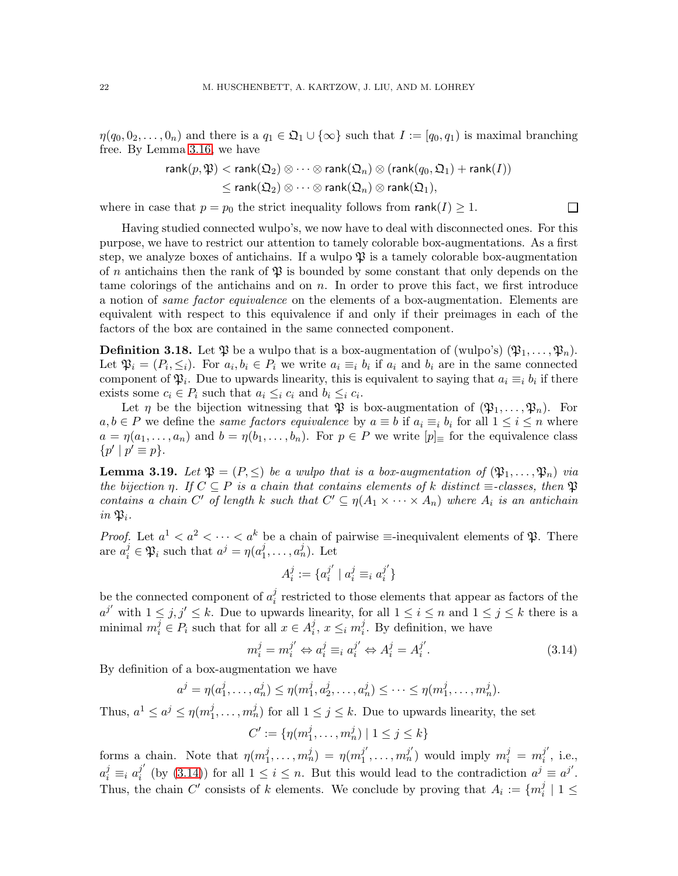$\eta(q_0, 0_2, \ldots, 0_n)$  and there is a  $q_1 \in \mathfrak{Q}_1 \cup \{\infty\}$  such that  $I := [q_0, q_1)$  is maximal branching free. By Lemma [3.16,](#page-19-3) we have

$$
\mathop{\rm rank}\nolimits(p,\mathfrak{P}) < \mathop{\rm rank}\nolimits(\mathfrak{Q}_2) \otimes \cdots \otimes \mathop{\rm rank}\nolimits(\mathfrak{Q}_n) \otimes (\mathop{\rm rank}\nolimits(q_0,\mathfrak{Q}_1) + \mathop{\rm rank}\nolimits(I)) \\ \leq \mathop{\rm rank}\nolimits(\mathfrak{Q}_2) \otimes \cdots \otimes \mathop{\rm rank}\nolimits(\mathfrak{Q}_n) \otimes \mathop{\rm rank}\nolimits(\mathfrak{Q}_1),
$$

 $\Box$ 

where in case that  $p = p_0$  the strict inequality follows from  $rank(I) \geq 1$ .

Having studied connected wulpo's, we now have to deal with disconnected ones. For this purpose, we have to restrict our attention to tamely colorable box-augmentations. As a first step, we analyze boxes of antichains. If a wulpo  $\mathfrak P$  is a tamely colorable box-augmentation of n antichains then the rank of  $\mathfrak P$  is bounded by some constant that only depends on the tame colorings of the antichains and on  $n$ . In order to prove this fact, we first introduce a notion of same factor equivalence on the elements of a box-augmentation. Elements are equivalent with respect to this equivalence if and only if their preimages in each of the factors of the box are contained in the same connected component.

**Definition 3.18.** Let  $\mathfrak{P}$  be a wulpo that is a box-augmentation of (wulpo's)  $(\mathfrak{P}_1, \ldots, \mathfrak{P}_n)$ . Let  $\mathfrak{P}_i = (P_i, \leq_i)$ . For  $a_i, b_i \in P_i$  we write  $a_i \equiv_i b_i$  if  $a_i$  and  $b_i$  are in the same connected component of  $\mathfrak{P}_i$ . Due to upwards linearity, this is equivalent to saying that  $a_i \equiv_i b_i$  if there exists some  $c_i \in P_i$  such that  $a_i \leq_i c_i$  and  $b_i \leq_i c_i$ .

Let  $\eta$  be the bijection witnessing that  $\mathfrak P$  is box-augmentation of  $(\mathfrak P_1,\ldots,\mathfrak P_n)$ . For  $a, b \in P$  we define the *same factors equivalence* by  $a \equiv b$  if  $a_i \equiv_i b_i$  for all  $1 \le i \le n$  where  $a = \eta(a_1, \ldots, a_n)$  and  $b = \eta(b_1, \ldots, b_n)$ . For  $p \in P$  we write  $[p]_{\equiv}$  for the equivalence class  $\{p' \mid p' \equiv p\}.$ 

<span id="page-21-1"></span>**Lemma 3.19.** Let  $\mathfrak{P} = (P, \leq)$  be a wulpo that is a box-augmentation of  $(\mathfrak{P}_1, \ldots, \mathfrak{P}_n)$  via the bijection  $\eta$ . If  $C \subseteq P$  is a chain that contains elements of k distinct  $\equiv$ -classes, then  $\mathfrak P$ contains a chain C' of length k such that  $C' \subseteq \eta(A_1 \times \cdots \times A_n)$  where  $A_i$  is an antichain in  $\mathfrak{P}_i$ .

*Proof.* Let  $a^1 < a^2 < \cdots < a^k$  be a chain of pairwise  $\equiv$ -inequivalent elements of  $\mathfrak{P}$ . There are  $a_i^j \in \mathfrak{P}_i$  such that  $a^j = \eta(a_1^j)$  $j_1, \ldots, a_n^j$ ). Let

<span id="page-21-0"></span>
$$
A_i^j := \{a_i^{j'} \mid a_i^j \equiv_i a_i^{j'}\}
$$

be the connected component of  $a_i^j$  $\frac{1}{i}$  restricted to those elements that appear as factors of the  $a^{j'}$  with  $1 \leq j, j' \leq k$ . Due to upwards linearity, for all  $1 \leq i \leq n$  and  $1 \leq j \leq k$  there is a minimal  $m_i^j \in P_i$  such that for all  $x \in A_i^j$  $i, x \leq i m_i^j$  $i<sub>i</sub>$ . By definition, we have

$$
m_i^j = m_i^{j'} \Leftrightarrow a_i^j \equiv_i a_i^{j'} \Leftrightarrow A_i^j = A_i^{j'}.
$$
\n(3.14)

By definition of a box-augmentation we have

$$
a^{j} = \eta(a_1^{j}, \dots, a_n^{j}) \leq \eta(m_1^{j}, a_2^{j}, \dots, a_n^{j}) \leq \dots \leq \eta(m_1^{j}, \dots, m_n^{j}).
$$

Thus,  $a^1 \leq a^j \leq \eta(m_1^j)$  $j_1, \ldots, m_n^j$  for all  $1 \leq j \leq k$ . Due to upwards linearity, the set

$$
C' := \{ \eta(m_1^j, \dots, m_n^j) \mid 1 \le j \le k \}
$$

forms a chain. Note that  $\eta(m_1^j)$  $j_1, \ldots, m_n^j = \eta(m_1^{j'}$  $j', \ldots, m_n^{j'}$  would imply  $m_i^j = m_i^{j'}$  $\frac{\jmath}{i}$ , i.e.,  $a_i^j \equiv_i a_i^{j'}$  $j'$  (by [\(3.14\)](#page-21-0)) for all  $1 \leq i \leq n$ . But this would lead to the contradiction  $a^j \equiv a^{j'}$ . Thus, the chain C' consists of k elements. We conclude by proving that  $A_i := \{m_i^j\}$  $\frac{j}{i}$  | 1  $\leq$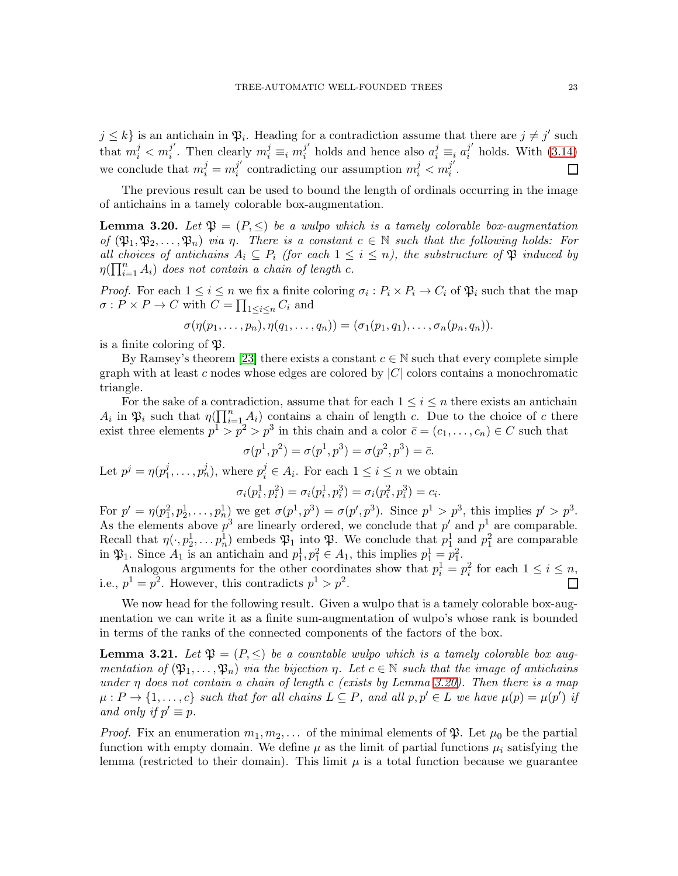$j \leq k$  is an antichain in  $\mathfrak{P}_i$ . Heading for a contradiction assume that there are  $j \neq j'$  such that  $m_i^j < m_i^{j'}$  $j'$ . Then clearly  $m_i^j \equiv_i m_i^{j'}$  $j'$  holds and hence also  $a_i^j \equiv_i a_i^{j'}$  $i$  holds. With  $(3.14)$ we conclude that  $m_i^j = m_i^{j'}$  $j'$  contradicting our assumption  $m_i^j < m_i^{j'}$ П  $\frac{j}{i}$  .

The previous result can be used to bound the length of ordinals occurring in the image of antichains in a tamely colorable box-augmentation.

<span id="page-22-0"></span>**Lemma 3.20.** Let  $\mathfrak{P} = (P, \leq)$  be a wulpo which is a tamely colorable box-augmentation of  $(\mathfrak{P}_1, \mathfrak{P}_2, \ldots, \mathfrak{P}_n)$  via  $\eta$ . There is a constant  $c \in \mathbb{N}$  such that the following holds: For all choices of antichains  $A_i \subseteq P_i$  (for each  $1 \leq i \leq n$ ), the substructure of  $\mathfrak P$  induced by  $\eta(\prod_{i=1}^n A_i)$  does not contain a chain of length c.

*Proof.* For each  $1 \le i \le n$  we fix a finite coloring  $\sigma_i : P_i \times P_i \to C_i$  of  $\mathfrak{P}_i$  such that the map  $\sigma: P \times P \to C$  with  $C = \prod_{1 \leq i \leq n} C_i$  and

$$
\sigma(\eta(p_1,\ldots,p_n),\eta(q_1,\ldots,q_n))=(\sigma_1(p_1,q_1),\ldots,\sigma_n(p_n,q_n)).
$$

is a finite coloring of  $\mathfrak{P}.$ 

By Ramsey's theorem [\[23\]](#page-43-9) there exists a constant  $c \in \mathbb{N}$  such that every complete simple graph with at least c nodes whose edges are colored by  $|C|$  colors contains a monochromatic triangle.

For the sake of a contradiction, assume that for each  $1 \leq i \leq n$  there exists an antichain  $A_i$  in  $\mathfrak{P}_i$  such that  $\eta(\prod_{i=1}^n A_i)$  contains a chain of length c. Due to the choice of c there exist three elements  $p^1 > p^2 > p^3$  in this chain and a color  $\bar{c} = (c_1, \ldots, c_n) \in C$  such that

$$
\sigma(p^1, p^2) = \sigma(p^1, p^3) = \sigma(p^2, p^3) = \bar{c}.
$$

Let  $p^j = \eta(p_1^j)$  $j_1^j, \ldots, p_n^j$ , where  $p_i^j \in A_i$ . For each  $1 \leq i \leq n$  we obtain

$$
\sigma_i(p_i^1, p_i^2) = \sigma_i(p_i^1, p_i^3) = \sigma_i(p_i^2, p_i^3) = c_i.
$$

For  $p' = \eta(p_1^2, p_2^1, \dots, p_n^1)$  we get  $\sigma(p^1, p^3) = \sigma(p', p^3)$ . Since  $p^1 > p^3$ , this implies  $p' > p^3$ . As the elements above  $p^3$  are linearly ordered, we conclude that  $p'$  and  $p^1$  are comparable. Recall that  $\eta(\cdot, p_2^1, \ldots, p_n^1)$  embeds  $\mathfrak{P}_1$  into  $\mathfrak{P}_2$ . We conclude that  $p_1^1$  and  $p_1^2$  are comparable in  $\mathfrak{P}_1$ . Since  $A_1$  is an antichain and  $p_1^1, p_1^2 \in A_1$ , this implies  $p_1^1 = p_1^2$ .

Analogous arguments for the other coordinates show that  $p_i^1 = p_i^2$  for each  $1 \le i \le n$ , i.e.,  $p^1 = p^2$ . However, this contradicts  $p^1 > p^2$ .  $\Box$ 

We now head for the following result. Given a wulpo that is a tamely colorable box-augmentation we can write it as a finite sum-augmentation of wulpo's whose rank is bounded in terms of the ranks of the connected components of the factors of the box.

<span id="page-22-1"></span>**Lemma 3.21.** Let  $\mathfrak{P} = (P, \leq)$  be a countable wulpo which is a tamely colorable box augmentation of  $(\mathfrak{P}_1,\ldots,\mathfrak{P}_n)$  via the bijection  $\eta$ . Let  $c \in \mathbb{N}$  such that the image of antichains under  $\eta$  does not contain a chain of length c (exists by Lemma [3.20\)](#page-22-0). Then there is a map  $\mu : P \to \{1, \ldots, c\}$  such that for all chains  $L \subseteq P$ , and all  $p, p' \in L$  we have  $\mu(p) = \mu(p')$  if and only if  $p' \equiv p$ .

*Proof.* Fix an enumeration  $m_1, m_2, \ldots$  of the minimal elements of  $\mathfrak{P}$ . Let  $\mu_0$  be the partial function with empty domain. We define  $\mu$  as the limit of partial functions  $\mu_i$  satisfying the lemma (restricted to their domain). This limit  $\mu$  is a total function because we guarantee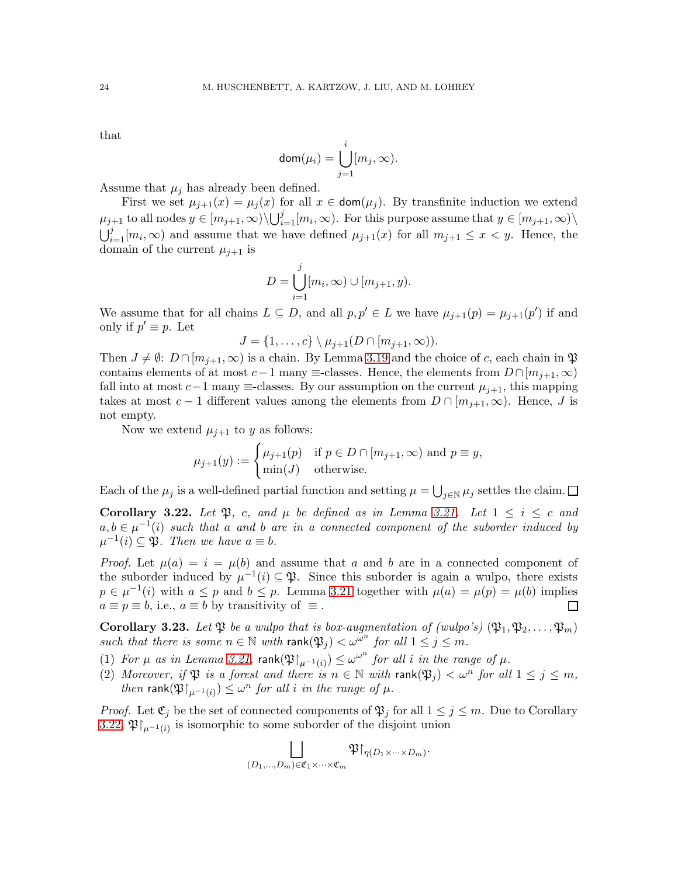that

$$
\mathsf{dom}(\mu_i) = \bigcup_{j=1}^i [m_j,\infty).
$$

Assume that  $\mu_j$  has already been defined.

First we set  $\mu_{j+1}(x) = \mu_j(x)$  for all  $x \in \text{dom}(\mu_j)$ . By transfinite induction we extend  $\mu_{j+1}$  to all nodes  $y \in [m_{j+1}, \infty) \setminus \bigcup_{i=1}^j [m_i, \infty)$ . For this purpose assume that  $y \in [m_{j+1}, \infty) \setminus$  $\bigcup_{i=1}^{j} [m_i,\infty)$  and assume that we have defined  $\mu_{j+1}(x)$  for all  $m_{j+1} \leq x < y$ . Hence, the domain of the current  $\mu_{i+1}$  is

$$
D = \bigcup_{i=1}^{j} [m_i, \infty) \cup [m_{j+1}, y).
$$

We assume that for all chains  $L \subseteq D$ , and all  $p, p' \in L$  we have  $\mu_{j+1}(p) = \mu_{j+1}(p')$  if and only if  $p' \equiv p$ . Let

$$
J = \{1, \ldots, c\} \setminus \mu_{j+1}(D \cap [m_{j+1}, \infty)).
$$

Then  $J \neq \emptyset$ :  $D \cap [m_{j+1}, \infty)$  is a chain. By Lemma [3.19](#page-21-1) and the choice of c, each chain in  $\mathfrak{P}$ contains elements of at most  $c-1$  many  $\equiv$ -classes. Hence, the elements from  $D \cap [m_{i+1},\infty)$ fall into at most  $c-1$  many  $\equiv$ -classes. By our assumption on the current  $\mu_{j+1}$ , this mapping takes at most  $c-1$  different values among the elements from  $D \cap [m_{i+1}, \infty)$ . Hence, J is not empty.

Now we extend  $\mu_{j+1}$  to y as follows:

$$
\mu_{j+1}(y) := \begin{cases} \mu_{j+1}(p) & \text{if } p \in D \cap [m_{j+1}, \infty) \text{ and } p \equiv y, \\ \min(J) & \text{otherwise.} \end{cases}
$$

Each of the  $\mu_j$  is a well-defined partial function and setting  $\mu = \bigcup_{j \in \mathbb{N}} \mu_j$  settles the claim.

<span id="page-23-0"></span>Corollary 3.22. Let  $\mathfrak{P}$ , c, and  $\mu$  be defined as in Lemma [3.21.](#page-22-1) Let  $1 \leq i \leq c$  and  $a, b \in \mu^{-1}(i)$  such that a and b are in a connected component of the suborder induced by  $\mu^{-1}(i) \subseteq \mathfrak{P}$ . Then we have  $a \equiv b$ .

*Proof.* Let  $\mu(a) = i = \mu(b)$  and assume that a and b are in a connected component of the suborder induced by  $\mu^{-1}(i) \subseteq \mathfrak{P}$ . Since this suborder is again a wulpo, there exists  $p \in \mu^{-1}(i)$  with  $a \leq p$  and  $b \leq p$ . Lemma [3.21](#page-22-1) together with  $\mu(a) = \mu(p) = \mu(b)$  implies  $a \equiv p \equiv b$ , i.e.,  $a \equiv b$  by transitivity of  $\equiv$ .  $\Box$ 

<span id="page-23-1"></span>**Corollary 3.23.** Let  $\mathfrak{P}$  be a wulpo that is box-augmentation of (wulpo's)  $(\mathfrak{P}_1, \mathfrak{P}_2, \ldots, \mathfrak{P}_m)$ such that there is some  $n \in \mathbb{N}$  with rank $(\mathfrak{P}_j) < \omega^{m}$  for all  $1 \leq j \leq m$ .

- (1) For  $\mu$  as in Lemma [3.21,](#page-22-1) rank $(\mathfrak{P}\upharpoonright_{\mu^{-1}(i)}) \leq \omega^{\omega^n}$  for all i in the range of  $\mu$ .
- (2) Moreover, if  $\mathfrak{P}$  is a forest and there is  $n \in \mathbb{N}$  with rank $(\mathfrak{P}_j) < \omega^n$  for all  $1 \leq j \leq m$ , then rank $(\mathfrak{P}|_{\mu^{-1}(i)}) \leq \omega^n$  for all i in the range of  $\mu$ .

*Proof.* Let  $\mathfrak{C}_i$  be the set of connected components of  $\mathfrak{P}_i$  for all  $1 \leq j \leq m$ . Due to Corollary [3.22,](#page-23-0)  $\mathfrak{P}\vert_{\mu^{-1}(i)}$  is isomorphic to some suborder of the disjoint union

$$
\bigsqcup_{(D_1,\ldots, D_m)\in {\mathfrak C}_1\times\cdots\times{\mathfrak C}_m}{\mathfrak P}{\restriction}_{\eta(D_1\times\cdots\times D_m)}.
$$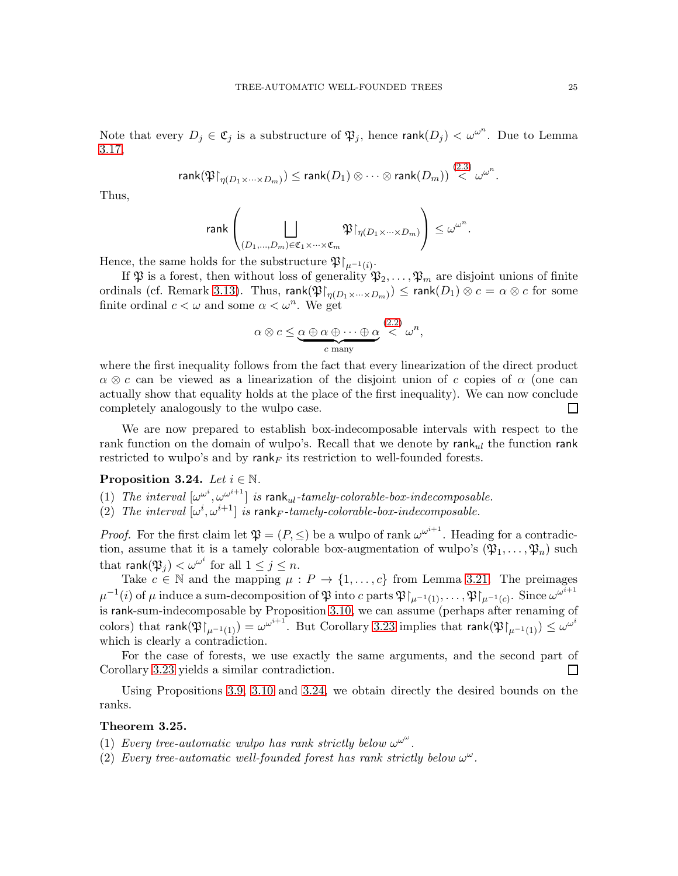Note that every  $D_j \in \mathfrak{C}_j$  is a substructure of  $\mathfrak{P}_j$ , hence  $\mathsf{rank}(D_j) < \omega^{\omega^n}$ . Due to Lemma [3.17,](#page-20-1)

$$
\textup{rank}(\mathfrak{P}\!\!\upharpoonright_{\eta(D_1\times\cdots\times D_m)})\leq \textup{rank}(D_1)\otimes\cdots\otimes\textup{rank}(D_m))\stackrel{(2.3)}{<}\omega^{\omega^n}.
$$

Thus,

$$
\text{{\rm rank}}\left(\bigsqcup_{(D_1,\ldots,D_m)\in\mathfrak{C}_1\times\cdots\times\mathfrak{C}_m}\mathfrak{P}\!\!\upharpoonright_{\eta(D_1\times\cdots\times D_m)}\right)\leq \omega^{\omega^n}.
$$

Hence, the same holds for the substructure  $\mathfrak{P}|_{\mu^{-1}(i)}$ .

If  $\mathfrak{P}$  is a forest, then without loss of generality  $\mathfrak{P}_2, \ldots, \mathfrak{P}_m$  are disjoint unions of finite ordinals (cf. Remark [3.13\)](#page-18-3). Thus,  ${\sf rank}(\mathfrak{P}\restriction_{\eta(D_1\times\cdots\times D_m)})\leq {\sf rank}(D_1)\otimes c=\alpha\otimes c$  for some finite ordinal  $c < \omega$  and some  $\alpha < \omega^n$ . We get

$$
\alpha \otimes c \leq \underbrace{\alpha \oplus \alpha \oplus \cdots \oplus \alpha}_{c \text{ many}} \stackrel{(2.2)}{\lt} \omega^n,
$$

where the first inequality follows from the fact that every linearization of the direct product  $\alpha \otimes c$  can be viewed as a linearization of the disjoint union of c copies of  $\alpha$  (one can actually show that equality holds at the place of the first inequality). We can now conclude completely analogously to the wulpo case.  $\Box$ 

We are now prepared to establish box-indecomposable intervals with respect to the rank function on the domain of wulpo's. Recall that we denote by  $rank_{ul}$  the function rank restricted to wulpo's and by rank<sub>F</sub> its restriction to well-founded forests.

# <span id="page-24-1"></span><span id="page-24-0"></span>Proposition 3.24. Let  $i \in \mathbb{N}$ .

- (1) The interval  $[\omega^{\omega^i}, {\omega^{\omega^{i+1}}}]$  is rank<sub>ul</sub>-tamely-colorable-box-indecomposable.
- (2) The interval  $[\omega^i, \omega^{i+1}]$  is rank<sub>F</sub>-tamely-colorable-box-indecomposable.

*Proof.* For the first claim let  $\mathfrak{P} = (P, \leq)$  be a wulpo of rank  $\omega^{\omega^{i+1}}$ . Heading for a contradiction, assume that it is a tamely colorable box-augmentation of wulpo's  $(\mathfrak{P}_1, \ldots, \mathfrak{P}_n)$  such that  $\mathsf{rank}(\mathfrak{P}_j) < \omega^{\omega^i}$  for all  $1 \leq j \leq n$ .

Take  $c \in \mathbb{N}$  and the mapping  $\mu : P \to \{1, \ldots, c\}$  from Lemma [3.21.](#page-22-1) The preimages  $\mu^{-1}(i)$  of  $\mu$  induce a sum-decomposition of  $\mathfrak P$  into  $c$  parts  $\mathfrak P\!\!\restriction_{\mu^{-1}(1)},\ldots, \mathfrak P\!\!\restriction_{\mu^{-1}(c)}.$  Since  $\omega^{\omega^{i+1}}$ is rank-sum-indecomposable by Proposition [3.10,](#page-17-2) we can assume (perhaps after renaming of colors) that  ${\sf rank}(\mathfrak{P}\!\!\restriction_{\mu^{-1}(1)})=\omega^{\omega^{i+1}}.$  But Corollary [3.23](#page-23-1) implies that  ${\sf rank}(\mathfrak{P}\!\!\restriction_{\mu^{-1}(1)})\leq \omega^{\omega^i}$ which is clearly a contradiction.

For the case of forests, we use exactly the same arguments, and the second part of Corollary [3.23](#page-23-1) yields a similar contradiction.  $\Box$ 

Using Propositions [3.9,](#page-16-2) [3.10](#page-17-2) and [3.24,](#page-24-0) we obtain directly the desired bounds on the ranks.

#### <span id="page-24-3"></span>Theorem 3.25.

- <span id="page-24-2"></span>(1) Every tree-automatic wulpo has rank strictly below  $\omega^{\omega^{\omega}}$ .
- (2) Every tree-automatic well-founded forest has rank strictly below  $\omega^{\omega}$ .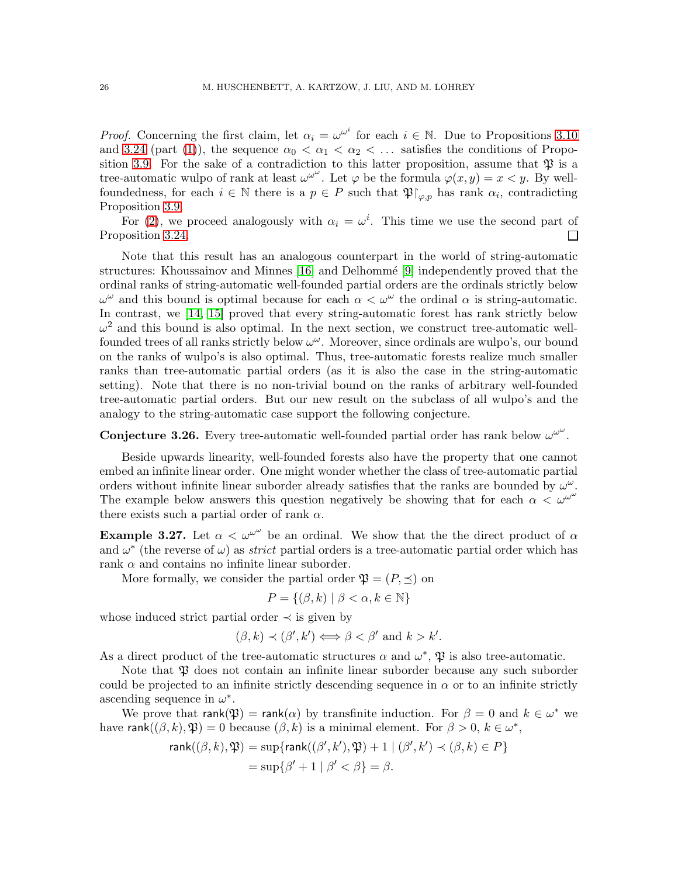*Proof.* Concerning the first claim, let  $\alpha_i = \omega^{\omega^i}$  for each  $i \in \mathbb{N}$ . Due to Propositions [3.10](#page-17-2) and [3.24](#page-24-0) (part [\(1\)](#page-24-1)), the sequence  $\alpha_0 < \alpha_1 < \alpha_2 < \dots$  satisfies the conditions of Propo-sition [3.9.](#page-16-2) For the sake of a contradiction to this latter proposition, assume that  $\mathfrak P$  is a tree-automatic wulpo of rank at least  $\omega^{\omega^{\omega}}$ . Let  $\varphi$  be the formula  $\varphi(x, y) = x \langle y, y \rangle$  wellfoundedness, for each  $i \in \mathbb{N}$  there is a  $p \in P$  such that  $\mathfrak{P}|_{\varphi, p}$  has rank  $\alpha_i$ , contradicting Proposition [3.9.](#page-16-2)

For [\(2\)](#page-24-2), we proceed analogously with  $\alpha_i = \omega^i$ . This time we use the second part of Proposition [3.24.](#page-24-0) П

Note that this result has an analogous counterpart in the world of string-automatic structures: Khoussainov and Minnes  $[16]$  and Delhommé  $[9]$  independently proved that the ordinal ranks of string-automatic well-founded partial orders are the ordinals strictly below  $\omega^{\omega}$  and this bound is optimal because for each  $\alpha < \omega^{\omega}$  the ordinal  $\alpha$  is string-automatic. In contrast, we [\[14,](#page-42-3) [15\]](#page-43-10) proved that every string-automatic forest has rank strictly below  $\omega^2$  and this bound is also optimal. In the next section, we construct tree-automatic wellfounded trees of all ranks strictly below  $\omega^{\omega}$ . Moreover, since ordinals are wulpo's, our bound on the ranks of wulpo's is also optimal. Thus, tree-automatic forests realize much smaller ranks than tree-automatic partial orders (as it is also the case in the string-automatic setting). Note that there is no non-trivial bound on the ranks of arbitrary well-founded tree-automatic partial orders. But our new result on the subclass of all wulpo's and the analogy to the string-automatic case support the following conjecture.

**Conjecture 3.26.** Every tree-automatic well-founded partial order has rank below  $\omega^{\omega^{\omega}}$ .

Beside upwards linearity, well-founded forests also have the property that one cannot embed an infinite linear order. One might wonder whether the class of tree-automatic partial orders without infinite linear suborder already satisfies that the ranks are bounded by  $\omega^{\omega}$ . The example below answers this question negatively be showing that for each  $\alpha < \omega^{\omega^{\omega}}$ there exists such a partial order of rank  $\alpha$ .

<span id="page-25-0"></span>**Example 3.27.** Let  $\alpha < \omega^{\omega^{\omega}}$  be an ordinal. We show that the the direct product of  $\alpha$ and  $\omega^*$  (the reverse of  $\omega$ ) as *strict* partial orders is a tree-automatic partial order which has rank  $\alpha$  and contains no infinite linear suborder.

More formally, we consider the partial order  $\mathfrak{P} = (P, \preceq)$  on

$$
P = \{ (\beta, k) \mid \beta < \alpha, k \in \mathbb{N} \}
$$

whose induced strict partial order  $\prec$  is given by

$$
(\beta, k) \prec (\beta', k') \iff \beta < \beta' \text{ and } k > k'.
$$

As a direct product of the tree-automatic structures  $\alpha$  and  $\omega^*$ ,  $\mathfrak{P}$  is also tree-automatic.

Note that  $\mathfrak P$  does not contain an infinite linear suborder because any such suborder could be projected to an infinite strictly descending sequence in  $\alpha$  or to an infinite strictly ascending sequence in  $\omega^*$ .

We prove that  $rank(\mathfrak{P}) = rank(\alpha)$  by transfinite induction. For  $\beta = 0$  and  $k \in \omega^*$  we have rank $((\beta, k), \mathfrak{P}) = 0$  because  $(\beta, k)$  is a minimal element. For  $\beta > 0$ ,  $k \in \omega^*$ ,

$$
rank((\beta, k), \mathfrak{P}) = sup\{rank((\beta', k'), \mathfrak{P}) + 1 \mid (\beta', k') \prec (\beta, k) \in P\}
$$
  
= sup{\beta' + 1 | \beta' < \beta} = \beta.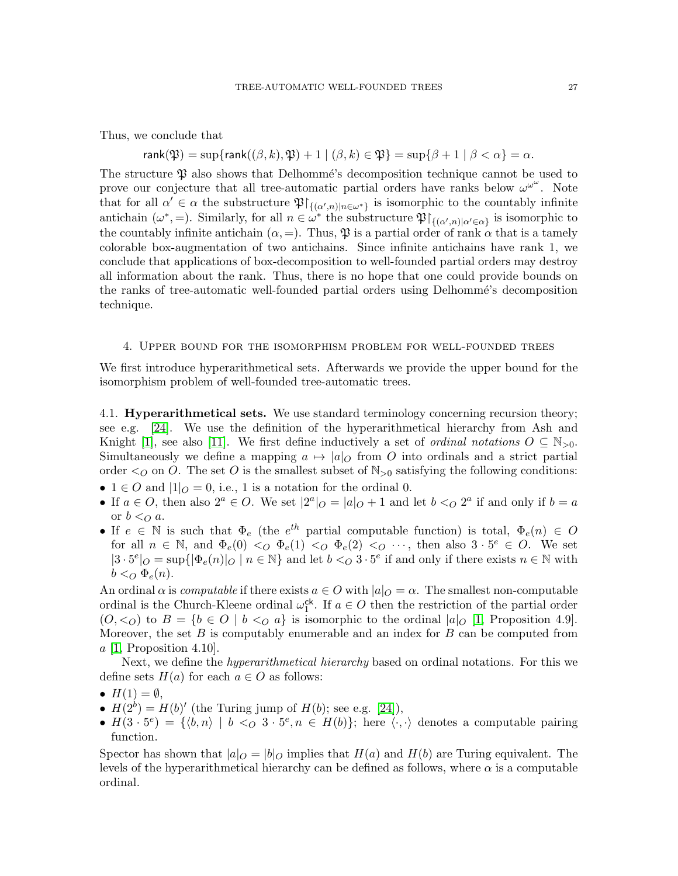Thus, we conclude that

# $rank(\mathfrak{P}) = \sup \{ rank((\beta, k), \mathfrak{P}) + 1 \mid (\beta, k) \in \mathfrak{P} \} = \sup \{ \beta + 1 \mid \beta < \alpha \} = \alpha.$

The structure  $\mathfrak P$  also shows that Delhommé's decomposition technique cannot be used to prove our conjecture that all tree-automatic partial orders have ranks below  $\omega^{\omega^{\omega}}$ . Note that for all  $\alpha' \in \alpha$  the substructure  $\mathfrak{P}\upharpoonright_{\{(\alpha',n)|n\in\omega^*\}}$  is isomorphic to the countably infinite antichain  $(\omega^*,=)$ . Similarly, for all  $n \in \omega^*$  the substructure  $\mathfrak{P}|_{\{(\alpha',n)|\alpha' \in \alpha\}}$  is isomorphic to the countably infinite antichain  $(\alpha, =)$ . Thus,  $\mathfrak P$  is a partial order of rank  $\alpha$  that is a tamely colorable box-augmentation of two antichains. Since infinite antichains have rank 1, we conclude that applications of box-decomposition to well-founded partial orders may destroy all information about the rank. Thus, there is no hope that one could provide bounds on the ranks of tree-automatic well-founded partial orders using Delhommé's decomposition technique.

### 4. Upper bound for the isomorphism problem for well-founded trees

We first introduce hyperarithmetical sets. Afterwards we provide the upper bound for the isomorphism problem of well-founded tree-automatic trees.

4.1. **Hyperarithmetical sets.** We use standard terminology concerning recursion theory; see e.g. [\[24\]](#page-43-11). We use the definition of the hyperarithmetical hierarchy from Ash and Knight [\[1\]](#page-42-10), see also [\[11\]](#page-42-11). We first define inductively a set of *ordinal notations*  $O \subseteq N_{>0}$ . Simultaneously we define a mapping  $a \mapsto |a|_O$  from O into ordinals and a strict partial order  $\lto O$  on O. The set O is the smallest subset of  $\mathbb{N}_{\geq 0}$  satisfying the following conditions:

- $1 \in O$  and  $|1|_Q = 0$ , i.e., 1 is a notation for the ordinal 0.
- If  $a \in O$ , then also  $2^a \in O$ . We set  $|2^a|_O = |a|_O + 1$  and let  $b <_O 2^a$  if and only if  $b = a$ or  $b <_{Q} a$ .
- If  $e \in \mathbb{N}$  is such that  $\Phi_e$  (the  $e^{th}$  partial computable function) is total,  $\Phi_e(n) \in O$ for all  $n \in \mathbb{N}$ , and  $\Phi_e(0) \leq O \Phi_e(1) \leq O \Phi_e(2) \leq O \cdots$ , then also  $3 \cdot 5^e \in O$ . We set  $|3 \cdot 5^e|_O = \sup\{|\Phi_e(n)|_O \mid n \in \mathbb{N}\}\$ and let  $b <_O 3 \cdot 5^e$  if and only if there exists  $n \in \mathbb{N}$  with  $b <_{O} \Phi_{e}(n)$ .

An ordinal  $\alpha$  is *computable* if there exists  $a \in O$  with  $|a|_O = \alpha$ . The smallest non-computable ordinal is the Church-Kleene ordinal  $\omega_1^{\text{ck}}$ <sup>ck</sup>. If  $a \in O$  then the restriction of the partial order  $(0, <_O)$  to  $B = \{b \in O \mid b <_O a\}$  is isomorphic to the ordinal  $|a|_O$  [\[1,](#page-42-10) Proposition 4.9]. Moreover, the set  $B$  is computably enumerable and an index for  $B$  can be computed from  $a \; [1,$  $a \; [1,$  Proposition 4.10].

Next, we define the *hyperarithmetical hierarchy* based on ordinal notations. For this we define sets  $H(a)$  for each  $a \in O$  as follows:

- $H(1) = \emptyset$ ,
- $H(2^b) = H(b)'$  (the Turing jump of  $H(b)$ ; see e.g. [\[24\]](#page-43-11)),
- $H(3 \cdot 5^e) = \{ \langle b,n \rangle \mid b \langle a \rangle \mid s \in H(b) \};$  here  $\langle \cdot, \cdot \rangle$  denotes a computable pairing function.

Spector has shown that  $|a|_O = |b|_O$  implies that  $H(a)$  and  $H(b)$  are Turing equivalent. The levels of the hyperarithmetical hierarchy can be defined as follows, where  $\alpha$  is a computable ordinal.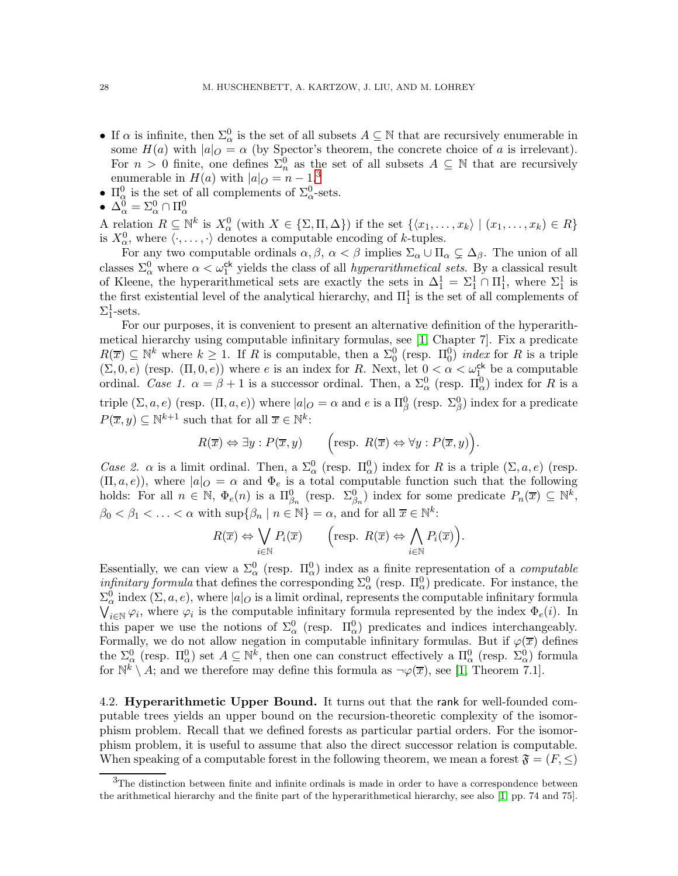- If  $\alpha$  is infinite, then  $\Sigma^0_\alpha$  is the set of all subsets  $A \subseteq \mathbb{N}$  that are recursively enumerable in some  $H(a)$  with  $|a|_O = \alpha$  (by Spector's theorem, the concrete choice of a is irrelevant). For  $n > 0$  finite, one defines  $\Sigma_n^0$  as the set of all subsets  $A \subseteq \mathbb{N}$  that are recursively enumerable in  $H(a)$  with  $|a|_O = n - 1.3$  $|a|_O = n - 1.3$
- $\Pi_{\alpha}^{0}$  is the set of all complements of  $\Sigma_{\alpha}^{0}$ -sets.
- $\bullet\; \Delta_\alpha^0 = \Sigma_\alpha^0 \cap \Pi_\alpha^0$

A relation  $R \subseteq \mathbb{N}^k$  is  $X^0_\alpha$  (with  $X \in \{\Sigma, \Pi, \Delta\}$ ) if the set  $\{\langle x_1, \ldots, x_k \rangle \mid (x_1, \ldots, x_k) \in R\}$ is  $X^0_\alpha$ , where  $\langle \cdot, \ldots, \cdot \rangle$  denotes a computable encoding of k-tuples.

For any two computable ordinals  $\alpha, \beta, \alpha < \beta$  implies  $\Sigma_{\alpha} \cup \Pi_{\alpha} \subsetneq \Delta_{\beta}$ . The union of all classes  $\Sigma^0_\alpha$  where  $\alpha < \omega_1^{\text{ck}}$  yields the class of all *hyperarithmetical sets*. By a classical result of Kleene, the hyperarithmetical sets are exactly the sets in  $\Delta_1^1 = \Sigma_1^1 \cap \Pi_1^1$ , where  $\Sigma_1^1$  is the first existential level of the analytical hierarchy, and  $\Pi_1^1$  is the set of all complements of  $\Sigma_1^1$ -sets.

For our purposes, it is convenient to present an alternative definition of the hyperarithmetical hierarchy using computable infinitary formulas, see [\[1,](#page-42-10) Chapter 7]. Fix a predicate  $R(\overline{x}) \subseteq \mathbb{N}^k$  where  $k \geq 1$ . If R is computable, then a  $\Sigma_0^0$  (resp.  $\Pi_0^0$ ) *index* for R is a triple  $(\Sigma, 0, e)$  (resp.  $(\Pi, 0, e)$ ) where e is an index for R. Next, let  $0 < \alpha < \omega_1^{\text{ck}}$  be a computable ordinal. Case 1.  $\alpha = \beta + 1$  is a successor ordinal. Then, a  $\Sigma^0_\alpha$  (resp.  $\Pi^0_\alpha$ ) index for R is a triple  $(\Sigma, a, e)$  (resp.  $(\Pi, a, e)$ ) where  $|a|_Q = \alpha$  and e is a  $\Pi_\beta^0$  (resp.  $\Sigma_\beta^0$ ) index for a predicate  $P(\overline{x}, y) \subseteq \mathbb{N}^{k+1}$  such that for all  $\overline{x} \in \mathbb{N}^k$ :

$$
R(\overline{x}) \Leftrightarrow \exists y : P(\overline{x}, y) \qquad \left(\text{resp. } R(\overline{x}) \Leftrightarrow \forall y : P(\overline{x}, y)\right).
$$

Case 2.  $\alpha$  is a limit ordinal. Then, a  $\Sigma^0_\alpha$  (resp.  $\Pi^0_\alpha$ ) index for R is a triple  $(\Sigma, a, e)$  (resp.  $(\Pi, a, e)$ , where  $|a|_O = \alpha$  and  $\Phi_e$  is a total computable function such that the following holds: For all  $n \in \mathbb{N}$ ,  $\Phi_e(n)$  is a  $\Pi_{\beta_n}^0$  (resp.  $\Sigma_{\beta_n}^0$ ) index for some predicate  $P_n(\overline{x}) \subseteq \mathbb{N}^k$ ,  $\beta_0 < \beta_1 < \ldots < \alpha$  with  $\sup\{\beta_n \mid n \in \mathbb{N}\} = \alpha$ , and for all  $\overline{x} \in \mathbb{N}^k$ :

$$
R(\overline{x}) \Leftrightarrow \bigvee_{i \in \mathbb{N}} P_i(\overline{x}) \qquad \left(\text{resp. } R(\overline{x}) \Leftrightarrow \bigwedge_{i \in \mathbb{N}} P_i(\overline{x})\right).
$$

Essentially, we can view a  $\Sigma^0_\alpha$  (resp.  $\Pi^0_\alpha$ ) index as a finite representation of a *computable infinitary formula* that defines the corresponding  $\Sigma^0_\alpha$  (resp.  $\Pi^0_\alpha$ ) predicate. For instance, the  $\Sigma^0_\alpha$  index  $(\Sigma, a, e)$ , where  $|a|_O$  is a limit ordinal, represents the computable infinitary formula  $\bigvee_{i\in\mathbb{N}}\varphi_i$ , where  $\varphi_i$  is the computable infinitary formula represented by the index  $\Phi_e(i)$ . In this paper we use the notions of  $\Sigma^0_\alpha$  (resp.  $\Pi^0_\alpha$ ) predicates and indices interchangeably. Formally, we do not allow negation in computable infinitary formulas. But if  $\varphi(\overline{x})$  defines the  $\Sigma^0_\alpha$  (resp.  $\Pi^0_\alpha$ ) set  $A \subseteq \mathbb{N}^k$ , then one can construct effectively a  $\Pi^0_\alpha$  (resp.  $\Sigma^0_\alpha$ ) formula for  $\mathbb{N}^k \setminus A$ ; and we therefore may define this formula as  $\neg \varphi(\overline{x})$ , see [\[1,](#page-42-10) Theorem 7.1].

4.2. Hyperarithmetic Upper Bound. It turns out that the rank for well-founded computable trees yields an upper bound on the recursion-theoretic complexity of the isomorphism problem. Recall that we defined forests as particular partial orders. For the isomorphism problem, it is useful to assume that also the direct successor relation is computable. When speaking of a computable forest in the following theorem, we mean a forest  $\mathfrak{F} = (F, \leq)$ 

<span id="page-27-0"></span><sup>&</sup>lt;sup>3</sup>The distinction between finite and infinite ordinals is made in order to have a correspondence between the arithmetical hierarchy and the finite part of the hyperarithmetical hierarchy, see also [\[1,](#page-42-10) pp. 74 and 75].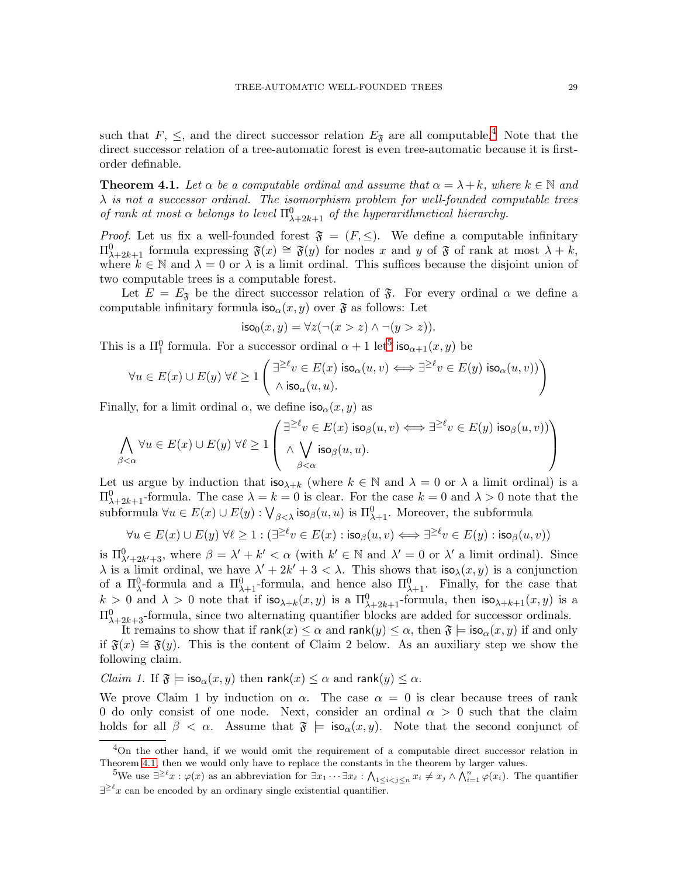such that  $F, \leq$ , and the direct successor relation  $E_{\mathfrak{F}}$  are all computable.<sup>[4](#page-28-0)</sup> Note that the direct successor relation of a tree-automatic forest is even tree-automatic because it is firstorder definable.

<span id="page-28-2"></span>**Theorem 4.1.** Let  $\alpha$  be a computable ordinal and assume that  $\alpha = \lambda + k$ , where  $k \in \mathbb{N}$  and  $\lambda$  is not a successor ordinal. The isomorphism problem for well-founded computable trees of rank at most  $\alpha$  belongs to level  $\Pi_{\lambda+2k+1}^0$  of the hyperarithmetical hierarchy.

*Proof.* Let us fix a well-founded forest  $\mathfrak{F} = (F, \leq)$ . We define a computable infinitary  $\Pi_{\lambda+2k+1}^0$  formula expressing  $\mathfrak{F}(x) \cong \mathfrak{F}(y)$  for nodes x and y of  $\mathfrak{F}$  of rank at most  $\lambda + k$ , where  $k \in \mathbb{N}$  and  $\lambda = 0$  or  $\lambda$  is a limit ordinal. This suffices because the disjoint union of two computable trees is a computable forest.

Let  $E = E_{\mathfrak{F}}$  be the direct successor relation of  $\mathfrak{F}$ . For every ordinal  $\alpha$  we define a computable infinitary formula  $\mathsf{iso}_{\alpha}(x, y)$  over  $\mathfrak{F}$  as follows: Let

$$
\mathsf{iso}_0(x,y) = \forall z (\neg(x > z) \land \neg(y > z)).
$$

This is a  $\Pi_1^0$  formula. For a successor ordinal  $\alpha + 1$  let<sup>[5](#page-28-1)</sup> iso<sub> $\alpha+1(x, y)$ </sub> be

$$
\forall u \in E(x) \cup E(y) \ \forall \ell \geq 1 \left( \frac{\exists^{\geq \ell} v \in E(x) \ \text{iso}_\alpha(u,v)}{\land \ \text{iso}_\alpha(u,u)} \Longleftrightarrow \exists^{\geq \ell} v \in E(y) \ \text{iso}_\alpha(u,v)) \right)
$$

Finally, for a limit ordinal  $\alpha$ , we define  $\mathsf{iso}_{\alpha}(x, y)$  as

$$
\bigwedge_{\beta<\alpha}\forall u\in E(x)\cup E(y)\ \forall \ell\geq 1\left(\begin{array}{c}\exists^{\geq\ell}v\in E(x)\text{ iso}_{\beta}(u,v)\Longleftrightarrow \exists^{\geq\ell}v\in E(y)\text{ iso}_{\beta}(u,v))\\ \wedge\bigvee_{\beta<\alpha}\text{ iso}_{\beta}(u,u).\end{array}\right)
$$

Let us argue by induction that  $\mathsf{iso}_{\lambda+k}$  (where  $k \in \mathbb{N}$  and  $\lambda = 0$  or  $\lambda$  a limit ordinal) is a  $\Pi_{\lambda+2k+1}^0$ -formula. The case  $\lambda = k = 0$  is clear. For the case  $k = 0$  and  $\lambda > 0$  note that the subformula  $\forall u \in E(x) \cup E(y) : \bigvee_{\beta < \lambda} \mathsf{iso}_{\beta}(u, u)$  is  $\Pi_{\lambda+1}^0$ . Moreover, the subformula

$$
\forall u \in E(x) \cup E(y) \ \forall \ell \geq 1: (\exists^{\geq \ell} v \in E(x) : \text{iso}_{\beta}(u, v) \Longleftrightarrow \exists^{\geq \ell} v \in E(y) : \text{iso}_{\beta}(u, v))
$$

is  $\Pi^0_{\lambda'+2k'+3}$ , where  $\beta = \lambda' + k' < \alpha$  (with  $k' \in \mathbb{N}$  and  $\lambda' = 0$  or  $\lambda'$  a limit ordinal). Since  $\lambda$  is a limit ordinal, we have  $\lambda' + 2k' + 3 < \lambda$ . This shows that  $\mathsf{iso}_{\lambda}(x, y)$  is a conjunction of a  $\Pi_{\lambda}^{0}$ -formula and a  $\Pi_{\lambda+1}^{0}$ -formula, and hence also  $\Pi_{\lambda+1}^{0}$ . Finally, for the case that  $k > 0$  and  $\lambda > 0$  note that if  $\mathsf{iso}_{\lambda+k}(x, y)$  is a  $\Pi^0_{\lambda+2k+1}$ -formula, then  $\mathsf{iso}_{\lambda+k+1}(x, y)$  is a  $\Pi_{\lambda+2k+3}^{0}$ -formula, since two alternating quantifier blocks are added for successor ordinals.

It remains to show that if  $rank(x) \leq \alpha$  and  $rank(y) \leq \alpha$ , then  $\mathfrak{F} = iso_{\alpha}(x, y)$  if and only if  $\mathfrak{F}(x) \cong \mathfrak{F}(y)$ . This is the content of Claim 2 below. As an auxiliary step we show the following claim.

*Claim 1.* If  $\mathfrak{F} \models \mathsf{iso}_{\alpha}(x, y)$  then rank $(x) \leq \alpha$  and rank $(y) \leq \alpha$ .

We prove Claim 1 by induction on  $\alpha$ . The case  $\alpha = 0$  is clear because trees of rank 0 do only consist of one node. Next, consider an ordinal  $\alpha > 0$  such that the claim holds for all  $\beta < \alpha$ . Assume that  $\mathfrak{F} \models iso_{\alpha}(x, y)$ . Note that the second conjunct of

<span id="page-28-0"></span><sup>&</sup>lt;sup>4</sup>On the other hand, if we would omit the requirement of a computable direct successor relation in Theorem [4.1,](#page-28-2) then we would only have to replace the constants in the theorem by larger values.

<span id="page-28-1"></span><sup>&</sup>lt;sup>5</sup>We use  $\exists^{\geq \ell} x : \varphi(x)$  as an abbreviation for  $\exists x_1 \cdots \exists x_\ell : \bigwedge_{1 \leq i < j \leq n} x_i \neq x_j \wedge \bigwedge_{i=1}^n \varphi(x_i)$ . The quantifier  $\exists^{\geq \ell} x$  can be encoded by an ordinary single existential quantifier.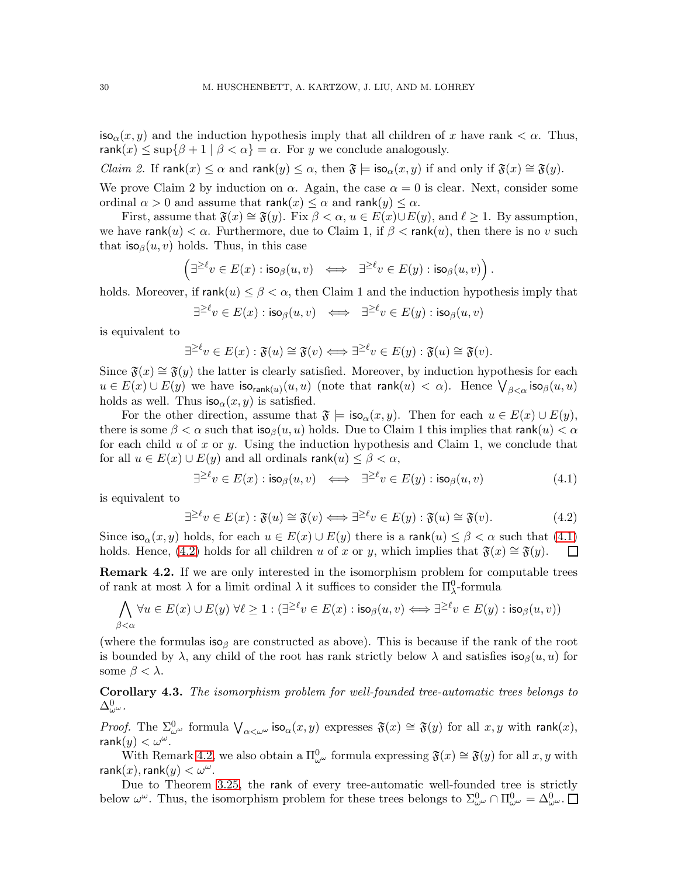$\textsf{iso}_{\alpha}(x, y)$  and the induction hypothesis imply that all children of x have rank  $\lt \alpha$ . Thus, rank $(x) \leq \sup\{\beta + 1 \mid \beta < \alpha\} = \alpha$ . For y we conclude analogously.

*Claim 2.* If  $rank(x) \leq \alpha$  and  $rank(y) \leq \alpha$ , then  $\mathfrak{F} \models iso_{\alpha}(x, y)$  if and only if  $\mathfrak{F}(x) \cong \mathfrak{F}(y)$ .

We prove Claim 2 by induction on  $\alpha$ . Again, the case  $\alpha = 0$  is clear. Next, consider some ordinal  $\alpha > 0$  and assume that rank $(x) \leq \alpha$  and rank $(y) \leq \alpha$ .

First, assume that  $\mathfrak{F}(x) \cong \mathfrak{F}(y)$ . Fix  $\beta < \alpha, u \in E(x) \cup E(y)$ , and  $\ell \geq 1$ . By assumption, we have rank $(u) < \alpha$ . Furthermore, due to Claim 1, if  $\beta < \text{rank}(u)$ , then there is no v such that  $\textsf{iso}_{\beta}(u, v)$  holds. Thus, in this case

$$
\left(\exists^{\geq\ell}v\in E(x):\mathsf{iso}_\beta(u,v)\;\;\Longleftrightarrow\;\;\exists^{\geq\ell}v\in E(y):\mathsf{iso}_\beta(u,v)\right).
$$

holds. Moreover, if  $rank(u) \leq \beta < \alpha$ , then Claim 1 and the induction hypothesis imply that

$$
\exists^{\geq \ell} v \in E(x): \mathsf{iso}_\beta(u,v) \;\; \Longleftrightarrow \;\; \exists^{\geq \ell} v \in E(y): \mathsf{iso}_\beta(u,v)
$$

is equivalent to

$$
\exists^{\geq \ell} v \in E(x) : \mathfrak{F}(u) \cong \mathfrak{F}(v) \Longleftrightarrow \exists^{\geq \ell} v \in E(y) : \mathfrak{F}(u) \cong \mathfrak{F}(v).
$$

Since  $\mathfrak{F}(x) \cong \mathfrak{F}(y)$  the latter is clearly satisfied. Moreover, by induction hypothesis for each  $u \in E(x) \cup E(y)$  we have  $\mathsf{iso}_{\mathsf{rank}(u)}(u, u)$  (note that  $\mathsf{rank}(u) < \alpha$ ). Hence  $\bigvee_{\beta < \alpha} \mathsf{iso}_{\beta}(u, u)$ holds as well. Thus  $\mathsf{iso}_{\alpha}(x, y)$  is satisfied.

For the other direction, assume that  $\mathfrak{F} \models \mathsf{iso}_{\alpha}(x, y)$ . Then for each  $u \in E(x) \cup E(y)$ , there is some  $\beta < \alpha$  such that  $\mathsf{iso}_\beta(u, u)$  holds. Due to Claim 1 this implies that rank $(u) < \alpha$ for each child u of x or y. Using the induction hypothesis and Claim 1, we conclude that for all  $u \in E(x) \cup E(y)$  and all ordinals rank $(u) \leq \beta < \alpha$ ,

<span id="page-29-0"></span>
$$
\exists^{\geq \ell} v \in E(x) : \mathsf{iso}_{\beta}(u, v) \iff \exists^{\geq \ell} v \in E(y) : \mathsf{iso}_{\beta}(u, v) \tag{4.1}
$$

is equivalent to

<span id="page-29-1"></span>
$$
\exists^{\geq \ell} v \in E(x) : \mathfrak{F}(u) \cong \mathfrak{F}(v) \Longleftrightarrow \exists^{\geq \ell} v \in E(y) : \mathfrak{F}(u) \cong \mathfrak{F}(v). \tag{4.2}
$$

Since  $\text{iso}_{\alpha}(x, y)$  holds, for each  $u \in E(x) \cup E(y)$  there is a rank $(u) \leq \beta < \alpha$  such that  $(4.1)$ holds. Hence, [\(4.2\)](#page-29-1) holds for all children u of x or y, which implies that  $\mathfrak{F}(x) \cong \mathfrak{F}(y)$ .  $\Box$ 

<span id="page-29-2"></span>**Remark 4.2.** If we are only interested in the isomorphism problem for computable trees of rank at most  $\lambda$  for a limit ordinal  $\lambda$  it suffices to consider the  $\Pi_{\lambda}^0$ -formula

$$
\bigwedge_{\beta<\alpha}\forall u\in E(x)\cup E(y)\ \forall \ell\geq 1: (\exists^{\geq \ell}v\in E(x):\mathsf{iso}_\beta(u,v)\Longleftrightarrow \exists^{\geq \ell}v\in E(y):\mathsf{iso}_\beta(u,v))
$$

(where the formulas iso<sub>β</sub> are constructed as above). This is because if the rank of the root is bounded by  $\lambda$ , any child of the root has rank strictly below  $\lambda$  and satisfies  $\mathsf{iso}_\beta(u, u)$  for some  $\beta < \lambda$ .

Corollary 4.3. The isomorphism problem for well-founded tree-automatic trees belongs to  $\Delta_{\omega^{\omega}}^{0}.$ 

*Proof.* The  $\Sigma^0_{\omega^{\omega}}$  formula  $\bigvee_{\alpha<\omega^{\omega}}$  iso $\alpha(x,y)$  expresses  $\mathfrak{F}(x) \cong \mathfrak{F}(y)$  for all  $x, y$  with rank $(x)$ ,  $rank(y) < \omega^{\omega}$ .

With Remark [4.2,](#page-29-2) we also obtain a  $\Pi_{\omega}^{0}$  formula expressing  $\mathfrak{F}(x) \cong \mathfrak{F}(y)$  for all  $x, y$  with  $\mathsf{rank}(x), \mathsf{rank}(y) < \omega^\omega$ .

Due to Theorem [3.25,](#page-24-3) the rank of every tree-automatic well-founded tree is strictly below  $\omega^{\omega}$ . Thus, the isomorphism problem for these trees belongs to  $\Sigma_{\omega^{\omega}}^{0} \cap \Pi_{\omega^{\omega}}^{0} = \Delta_{\omega^{\omega}}^{0}$ .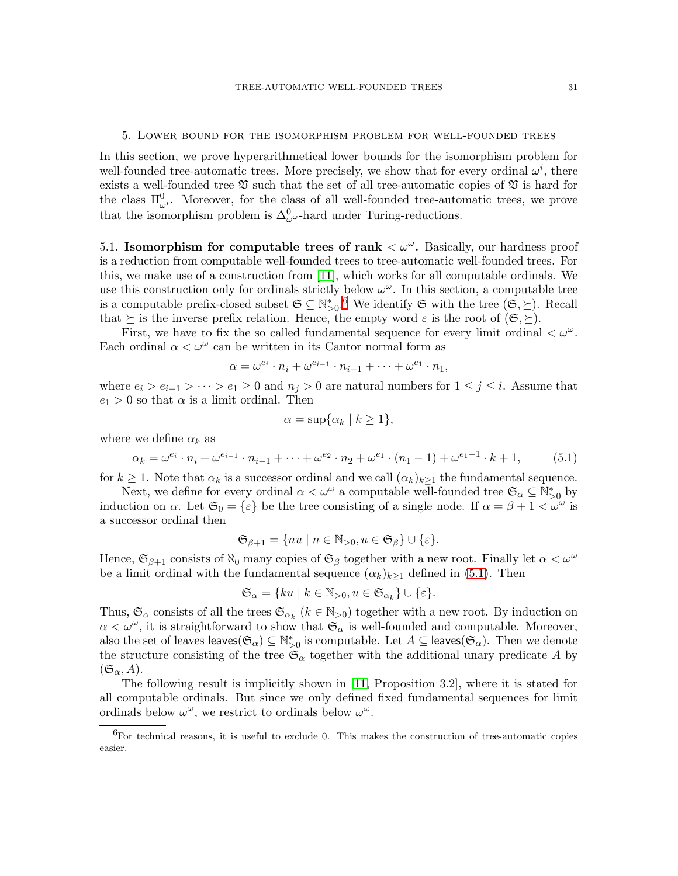#### 5. Lower bound for the isomorphism problem for well-founded trees

In this section, we prove hyperarithmetical lower bounds for the isomorphism problem for well-founded tree-automatic trees. More precisely, we show that for every ordinal  $\omega^i$ , there exists a well-founded tree  $\mathfrak V$  such that the set of all tree-automatic copies of  $\mathfrak V$  is hard for the class  $\Pi_{\omega^i}^0$ . Moreover, for the class of all well-founded tree-automatic trees, we prove that the isomorphism problem is  $\Delta_{\omega^{\omega}}^0$ -hard under Turing-reductions.

5.1. Isomorphism for computable trees of rank  $\langle \omega^{\omega} \rangle$ . Basically, our hardness proof is a reduction from computable well-founded trees to tree-automatic well-founded trees. For this, we make use of a construction from [\[11\]](#page-42-11), which works for all computable ordinals. We use this construction only for ordinals strictly below  $\omega^{\omega}$ . In this section, a computable tree is a computable prefix-closed subset  $\mathfrak{S} \subseteq \mathbb{N}_{>0}^*$ . We identify  $\mathfrak{S}$  with the tree  $(\mathfrak{S}, \succeq)$ . Recall that  $\succeq$  is the inverse prefix relation. Hence, the empty word  $\varepsilon$  is the root of  $(\mathfrak{S}, \succeq)$ .

First, we have to fix the so called fundamental sequence for every limit ordinal  $\langle \omega^{\omega} \rangle$ . Each ordinal  $\alpha < \omega^{\omega}$  can be written in its Cantor normal form as

$$
\alpha = \omega^{e_i} \cdot n_i + \omega^{e_{i-1}} \cdot n_{i-1} + \dots + \omega^{e_1} \cdot n_1,
$$

where  $e_i > e_{i-1} > \cdots > e_1 \geq 0$  and  $n_j > 0$  are natural numbers for  $1 \leq j \leq i$ . Assume that  $e_1 > 0$  so that  $\alpha$  is a limit ordinal. Then

$$
\alpha = \sup \{ \alpha_k \mid k \ge 1 \},\
$$

where we define  $\alpha_k$  as

<span id="page-30-1"></span>
$$
\alpha_k = \omega^{e_i} \cdot n_i + \omega^{e_{i-1}} \cdot n_{i-1} + \dots + \omega^{e_2} \cdot n_2 + \omega^{e_1} \cdot (n_1 - 1) + \omega^{e_1 - 1} \cdot k + 1,\tag{5.1}
$$

for  $k \geq 1$ . Note that  $\alpha_k$  is a successor ordinal and we call  $(\alpha_k)_{k\geq 1}$  the fundamental sequence.

Next, we define for every ordinal  $\alpha < \omega^{\omega}$  a computable well-founded tree  $\mathfrak{S}_{\alpha} \subseteq \mathbb{N}_{>0}^*$  by induction on  $\alpha$ . Let  $\mathfrak{S}_0 = \{\varepsilon\}$  be the tree consisting of a single node. If  $\alpha = \beta + 1 < \omega^{\omega}$  is a successor ordinal then

$$
\mathfrak{S}_{\beta+1} = \{ nu \mid n \in \mathbb{N}_{>0}, u \in \mathfrak{S}_{\beta} \} \cup \{ \varepsilon \}.
$$

Hence,  $\mathfrak{S}_{\beta+1}$  consists of  $\aleph_0$  many copies of  $\mathfrak{S}_\beta$  together with a new root. Finally let  $\alpha < \omega^\omega$ be a limit ordinal with the fundamental sequence  $(\alpha_k)_{k>1}$  defined in [\(5.1\)](#page-30-1). Then

$$
\mathfrak{S}_{\alpha} = \{ ku \mid k \in \mathbb{N}_{>0}, u \in \mathfrak{S}_{\alpha_k} \} \cup \{ \varepsilon \}.
$$

Thus,  $\mathfrak{S}_{\alpha}$  consists of all the trees  $\mathfrak{S}_{\alpha_k}$  ( $k \in \mathbb{N}_{>0}$ ) together with a new root. By induction on  $\alpha < \omega^{\omega}$ , it is straightforward to show that  $\mathfrak{S}_{\alpha}$  is well-founded and computable. Moreover, also the set of leaves  $(\mathfrak{S}_{\alpha}) \subseteq \mathbb{N}_{>0}^*$  is computable. Let  $A \subseteq$  leaves $(\mathfrak{S}_{\alpha})$ . Then we denote the structure consisting of the tree  $\mathfrak{S}_{\alpha}$  together with the additional unary predicate A by  $(\mathfrak{S}_{\alpha}, A).$ 

The following result is implicitly shown in [\[11,](#page-42-11) Proposition 3.2], where it is stated for all computable ordinals. But since we only defined fixed fundamental sequences for limit ordinals below  $\omega^{\omega}$ , we restrict to ordinals below  $\omega^{\omega}$ .

<span id="page-30-0"></span><sup>6</sup>For technical reasons, it is useful to exclude 0. This makes the construction of tree-automatic copies easier.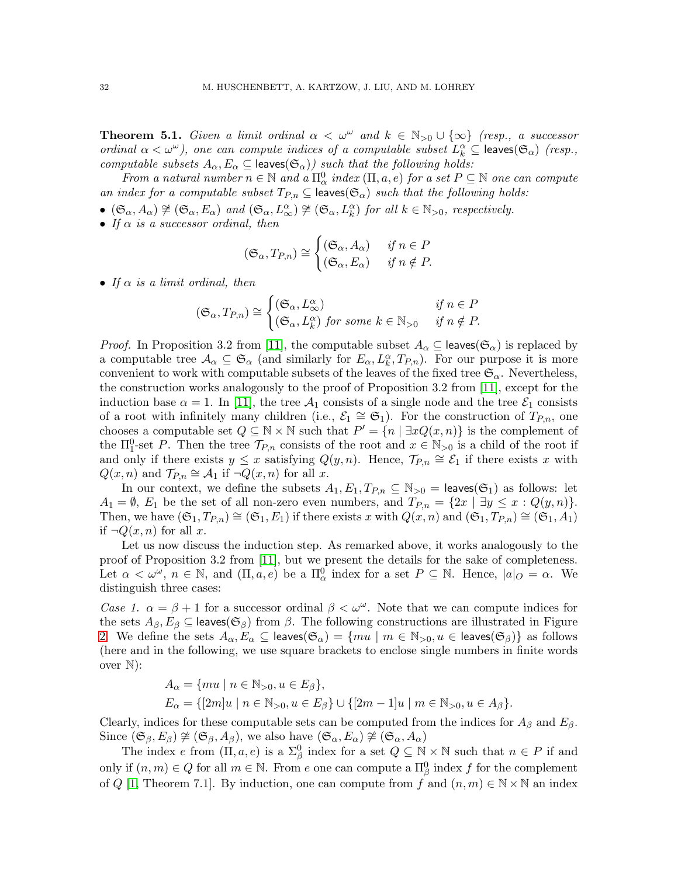<span id="page-31-0"></span>**Theorem 5.1.** Given a limit ordinal  $\alpha < \omega^{\omega}$  and  $k \in \mathbb{N}_{>0} \cup \{\infty\}$  (resp., a successor ordinal  $\alpha < \omega^{\omega}$ ), one can compute indices of a computable subset  $L_k^{\alpha} \subseteq$  leaves $(\mathfrak{S}_{\alpha})$  (resp., computable subsets  $A_{\alpha}, E_{\alpha} \subseteq$  leaves $(\mathfrak{S}_{\alpha})$  such that the following holds:

From a natural number  $n \in \mathbb{N}$  and a  $\Pi_{\alpha}^0$  index  $(\Pi, a, e)$  for a set  $P \subseteq \mathbb{N}$  one can compute an index for a computable subset  $T_{P,n} \subseteq \text{leaves}(\mathfrak{S}_{\alpha})$  such that the following holds:

- $(\mathfrak{S}_{\alpha}, A_{\alpha}) \not\cong (\mathfrak{S}_{\alpha}, E_{\alpha})$  and  $(\mathfrak{S}_{\alpha}, L_{\infty}^{\alpha}) \not\cong (\mathfrak{S}_{\alpha}, L_{k}^{\alpha})$  for all  $k \in \mathbb{N}_{>0}$ , respectively.
- If  $\alpha$  is a successor ordinal, then

$$
(\mathfrak{S}_{\alpha}, T_{P,n}) \cong \begin{cases} (\mathfrak{S}_{\alpha}, A_{\alpha}) & \text{if } n \in P \\ (\mathfrak{S}_{\alpha}, E_{\alpha}) & \text{if } n \notin P. \end{cases}
$$

• If  $\alpha$  is a limit ordinal, then

$$
(\mathfrak{S}_{\alpha}, T_{P,n}) \cong \begin{cases} (\mathfrak{S}_{\alpha}, L_{\infty}^{\alpha}) & \text{if } n \in P \\ (\mathfrak{S}_{\alpha}, L_{k}^{\alpha}) \text{ for some } k \in \mathbb{N}_{>0} & \text{if } n \notin P. \end{cases}
$$

*Proof.* In Proposition 3.2 from [\[11\]](#page-42-11), the computable subset  $A_{\alpha} \subseteq$  leaves( $\mathfrak{S}_{\alpha}$ ) is replaced by a computable tree  $\mathcal{A}_{\alpha} \subseteq \mathfrak{S}_{\alpha}$  (and similarly for  $E_{\alpha}, L_k^{\alpha}, T_{P,n}$ ). For our purpose it is more convenient to work with computable subsets of the leaves of the fixed tree  $\mathfrak{S}_{\alpha}$ . Nevertheless, the construction works analogously to the proof of Proposition 3.2 from [\[11\]](#page-42-11), except for the induction base  $\alpha = 1$ . In [\[11\]](#page-42-11), the tree  $\mathcal{A}_1$  consists of a single node and the tree  $\mathcal{E}_1$  consists of a root with infinitely many children (i.e.,  $\mathcal{E}_1 \cong \mathfrak{S}_1$ ). For the construction of  $T_{P,n}$ , one chooses a computable set  $Q \subseteq \mathbb{N} \times \mathbb{N}$  such that  $P' = \{n \mid \exists x Q(x,n)\}$  is the complement of the  $\Pi_1^0$ -set P. Then the tree  $\mathcal{T}_{P,n}$  consists of the root and  $x \in \mathbb{N}_{>0}$  is a child of the root if and only if there exists  $y \leq x$  satisfying  $Q(y, n)$ . Hence,  $\mathcal{T}_{P,n} \cong \mathcal{E}_1$  if there exists x with  $Q(x, n)$  and  $\mathcal{T}_{P,n} \cong \mathcal{A}_1$  if  $\neg Q(x, n)$  for all x.

In our context, we define the subsets  $A_1, E_1, T_{P,n} \subseteq \mathbb{N}_{>0} = \text{leaves}(\mathfrak{S}_1)$  as follows: let  $A_1 = \emptyset$ ,  $E_1$  be the set of all non-zero even numbers, and  $T_{P,n} = \{2x \mid \exists y \leq x : Q(y,n)\}.$ Then, we have  $(\mathfrak{S}_1, T_{P,n}) \cong (\mathfrak{S}_1, E_1)$  if there exists x with  $Q(x, n)$  and  $(\mathfrak{S}_1, T_{P,n}) \cong (\mathfrak{S}_1, A_1)$ if  $\neg Q(x, n)$  for all x.

Let us now discuss the induction step. As remarked above, it works analogously to the proof of Proposition 3.2 from [\[11\]](#page-42-11), but we present the details for the sake of completeness. Let  $\alpha < \omega^{\omega}$ ,  $n \in \mathbb{N}$ , and  $(\Pi, a, e)$  be a  $\Pi_{\alpha}^{0}$  index for a set  $P \subseteq \mathbb{N}$ . Hence,  $|a|_Q = \alpha$ . We distinguish three cases:

Case 1.  $\alpha = \beta + 1$  for a successor ordinal  $\beta < \omega^{\omega}$ . Note that we can compute indices for the sets  $A_{\beta}, E_{\beta} \subseteq$  leaves( $\mathfrak{S}_{\beta}$ ) from  $\beta$ . The following constructions are illustrated in Figure [2.](#page-32-0) We define the sets  $A_\alpha, E_\alpha \subseteq$  leaves $(\mathfrak{S}_\alpha) = \{mu \mid m \in \mathbb{N}_{>0}, u \in$  leaves $(\mathfrak{S}_\beta)\}\$ as follows (here and in the following, we use square brackets to enclose single numbers in finite words over N):

$$
A_{\alpha} = \{mu \mid n \in \mathbb{N}_{>0}, u \in E_{\beta} \},
$$
  
\n
$$
E_{\alpha} = \{ [2m]u \mid n \in \mathbb{N}_{>0}, u \in E_{\beta} \} \cup \{ [2m - 1]u \mid m \in \mathbb{N}_{>0}, u \in A_{\beta} \}.
$$

Clearly, indices for these computable sets can be computed from the indices for  $A_\beta$  and  $E_\beta$ . Since  $(\mathfrak{S}_{\beta}, E_{\beta}) \not\cong (\mathfrak{S}_{\beta}, A_{\beta})$ , we also have  $(\mathfrak{S}_{\alpha}, E_{\alpha}) \not\cong (\mathfrak{S}_{\alpha}, A_{\alpha})$ 

The index e from  $(\Pi, a, e)$  is a  $\Sigma^0_\beta$  index for a set  $Q \subseteq \mathbb{N} \times \mathbb{N}$  such that  $n \in P$  if and only if  $(n,m) \in Q$  for all  $m \in \mathbb{N}$ . From e one can compute a  $\Pi_{\beta}^0$  index f for the complement of Q [\[1,](#page-42-10) Theorem 7.1]. By induction, one can compute from f and  $(n, m) \in \mathbb{N} \times \mathbb{N}$  an index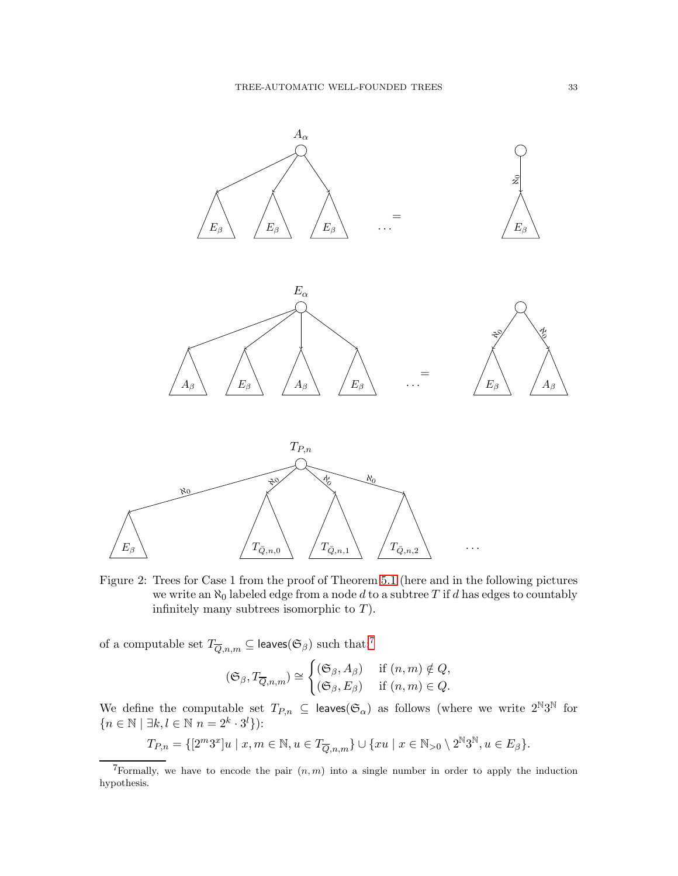

<span id="page-32-0"></span>Figure 2: Trees for Case 1 from the proof of Theorem [5.1](#page-31-0) (here and in the following pictures we write an  $\aleph_0$  labeled edge from a node d to a subtree T if d has edges to countably infinitely many subtrees isomorphic to  $T$ ).

of a computable set  $T_{\overline{Q},n,m}\subseteq \textsf{leaves}(\mathfrak{S}_\beta)$  such that:<br> $^7$  $^7$ 

$$
(\mathfrak{S}_{\beta}, T_{\overline{Q},n,m}) \cong \begin{cases} (\mathfrak{S}_{\beta}, A_{\beta}) & \text{if } (n,m) \notin Q, \\ (\mathfrak{S}_{\beta}, E_{\beta}) & \text{if } (n,m) \in Q. \end{cases}
$$

We define the computable set  $T_{P,n} \subseteq \text{leaves}(\mathfrak{S}_{\alpha})$  as follows (where we write  $2^{\mathbb{N}}3^{\mathbb{N}}$  for  ${n \in \mathbb{N} \mid \exists k, l \in \mathbb{N} \ n = 2^k \cdot 3^l }.$ 

$$
T_{P,n} = \{ [2^m 3^x] u \mid x, m \in \mathbb{N}, u \in T_{\overline{Q},n,m} \} \cup \{ x u \mid x \in \mathbb{N}_{>0} \setminus 2^{\mathbb{N}} 3^{\mathbb{N}}, u \in E_{\beta} \}.
$$

<span id="page-32-1"></span><sup>&</sup>lt;sup>7</sup>Formally, we have to encode the pair  $(n, m)$  into a single number in order to apply the induction hypothesis.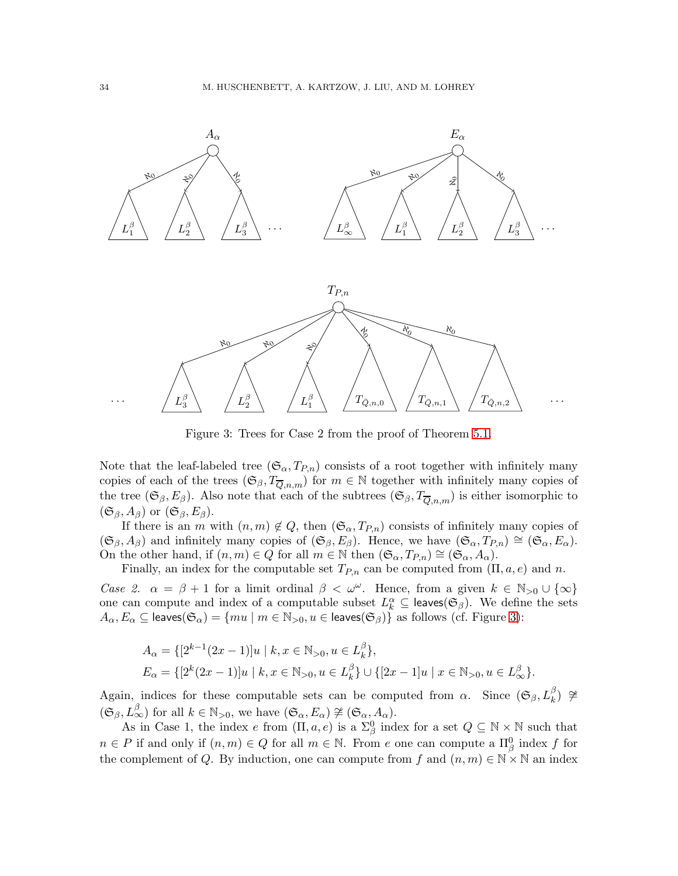

<span id="page-33-0"></span>Figure 3: Trees for Case 2 from the proof of Theorem [5.1.](#page-31-0)

Note that the leaf-labeled tree  $(\mathfrak{S}_{\alpha}, T_{P,n})$  consists of a root together with infinitely many copies of each of the trees  $(\mathfrak{S}_{\beta}, T_{\overline{Q},n,m})$  for  $m \in \mathbb{N}$  together with infinitely many copies of the tree  $(\mathfrak{S}_{\beta}, E_{\beta})$ . Also note that each of the subtrees  $(\mathfrak{S}_{\beta}, T_{\overline{Q},n,m})$  is either isomorphic to  $(\mathfrak{S}_{\beta}, A_{\beta})$  or  $(\mathfrak{S}_{\beta}, E_{\beta})$ .

If there is an m with  $(n, m) \notin Q$ , then  $(\mathfrak{S}_{\alpha}, T_{P,n})$  consists of infinitely many copies of  $(\mathfrak{S}_{\beta}, A_{\beta})$  and infinitely many copies of  $(\mathfrak{S}_{\beta}, E_{\beta})$ . Hence, we have  $(\mathfrak{S}_{\alpha}, T_{P,n}) \cong (\mathfrak{S}_{\alpha}, E_{\alpha})$ . On the other hand, if  $(n, m) \in Q$  for all  $m \in \mathbb{N}$  then  $(\mathfrak{S}_{\alpha}, T_{P,n}) \cong (\mathfrak{S}_{\alpha}, A_{\alpha})$ .

Finally, an index for the computable set  $T_{P,n}$  can be computed from  $(\Pi, a, e)$  and n.

Case 2.  $\alpha = \beta + 1$  for a limit ordinal  $\beta < \omega^{\omega}$ . Hence, from a given  $k \in \mathbb{N}_{>0} \cup \{\infty\}$ one can compute and index of a computable subset  $L_k^{\alpha} \subseteq$  leaves  $(\mathfrak{S}_{\beta})$ . We define the sets  $A_\alpha, E_\alpha \subseteq$  leaves $(\mathfrak{S}_\alpha)=\{mu \mid m \in \mathbb{N}_{>0}, u \in$  leaves $(\mathfrak{S}_\beta)\}$  as follows (cf. Figure [3\)](#page-33-0):

$$
A_{\alpha} = \{ [2^{k-1}(2x-1)]u \mid k, x \in \mathbb{N}_{>0}, u \in L_k^{\beta} \},
$$
  
\n
$$
E_{\alpha} = \{ [2^{k}(2x-1)]u \mid k, x \in \mathbb{N}_{>0}, u \in L_k^{\beta} \} \cup \{ [2x-1]u \mid x \in \mathbb{N}_{>0}, u \in L_{\infty}^{\beta} \}.
$$

Again, indices for these computable sets can be computed from  $\alpha$ . Since  $(\mathfrak{S}_{\beta}, L_k^{\beta}) \ncong$  $(\mathfrak{S}_{\beta}, L_{\infty}^{\beta})$  for all  $k \in \mathbb{N}_{>0}$ , we have  $(\mathfrak{S}_{\alpha}, E_{\alpha}) \not\cong (\mathfrak{S}_{\alpha}, A_{\alpha})$ .

As in Case 1, the index e from  $(\Pi, a, e)$  is a  $\Sigma^0_\beta$  index for a set  $Q \subseteq \mathbb{N} \times \mathbb{N}$  such that  $n \in P$  if and only if  $(n,m) \in Q$  for all  $m \in \mathbb{N}$ . From e one can compute a  $\Pi_{\beta}^{0}$  index f for the complement of Q. By induction, one can compute from f and  $(n, m) \in \mathbb{N} \times \mathbb{N}$  an index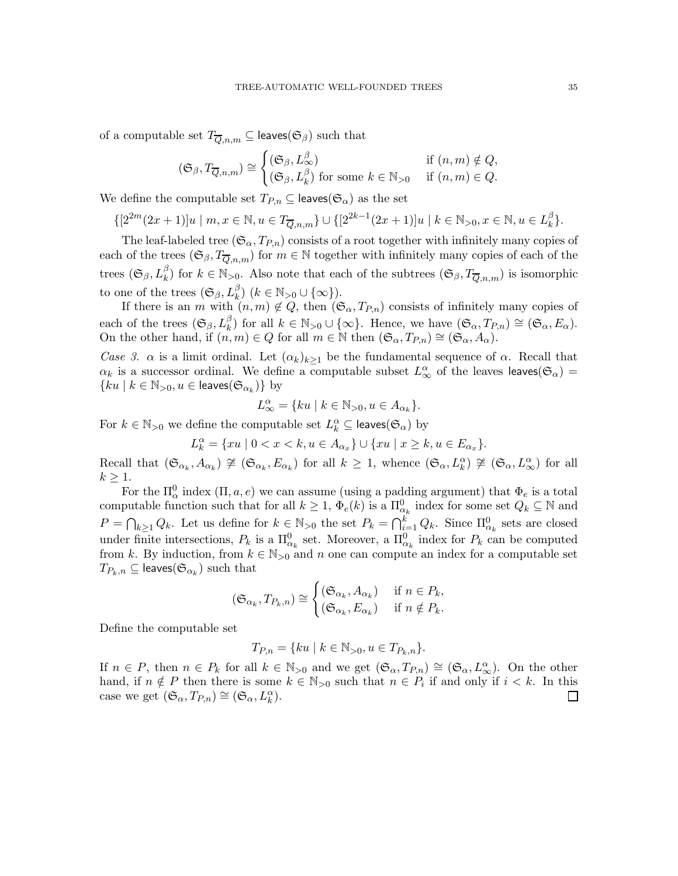of a computable set  $T_{\overline{Q},n,m} \subseteq \text{leaves}(\mathfrak{S}_{\beta})$  such that

$$
(\mathfrak{S}_{\beta}, T_{\overline{Q},n,m}) \cong \begin{cases} (\mathfrak{S}_{\beta}, L_{\infty}^{\beta}) & \text{if } (n,m) \notin Q, \\ (\mathfrak{S}_{\beta}, L_{k}^{\beta}) & \text{for some } k \in \mathbb{N}_{>0} \quad \text{if } (n,m) \in Q. \end{cases}
$$

We define the computable set  $T_{P,n} \subseteq$  leaves( $\mathfrak{S}_{\alpha}$ ) as the set

 $\{[2^{2m}(2x+1)]u \mid m, x \in \mathbb{N}, u \in T_{\overline{Q},n,m}\} \cup \{[2^{2k-1}(2x+1)]u \mid k \in \mathbb{N}_{>0}, x \in \mathbb{N}, u \in L_{k}^{\beta}\}$  $_{k}^{\rho}$ .

The leaf-labeled tree  $(\mathfrak{S}_{\alpha}, T_{P,n})$  consists of a root together with infinitely many copies of each of the trees  $(\mathfrak{S}_{\beta}, T_{\overline{Q},n,m})$  for  $m \in \mathbb{N}$  together with infinitely many copies of each of the trees  $(\mathfrak{S}_{\beta}, L_k^{\beta})$  for  $k \in \mathbb{N}_{>0}$ . Also note that each of the subtrees  $(\mathfrak{S}_{\beta}, T_{\overline{Q},n,m})$  is isomorphic to one of the trees  $(\mathfrak{S}_{\beta}, L_k^{\beta})$   $(k \in \mathbb{N}_{>0} \cup {\infty})$ .

If there is an m with  $(n, m) \notin Q$ , then  $(\mathfrak{S}_{\alpha}, T_{P,n})$  consists of infinitely many copies of each of the trees  $(\mathfrak{S}_{\beta}, L_k^{\beta})$  for all  $k \in \mathbb{N}_{>0} \cup \{\infty\}$ . Hence, we have  $(\mathfrak{S}_{\alpha}, T_{P,n}) \cong (\mathfrak{S}_{\alpha}, E_{\alpha})$ . On the other hand, if  $(n, m) \in Q$  for all  $m \in \mathbb{N}$  then  $(\mathfrak{S}_{\alpha}, T_{P,n}) \cong (\mathfrak{S}_{\alpha}, A_{\alpha})$ .

Case 3.  $\alpha$  is a limit ordinal. Let  $(\alpha_k)_{k\geq 1}$  be the fundamental sequence of  $\alpha$ . Recall that  $\alpha_k$  is a successor ordinal. We define a computable subset  $L^{\alpha}_{\infty}$  of the leaves leaves( $\mathfrak{S}_{\alpha}$ ) =  ${ku | k \in \mathbb{N}_{>0}, u \in \text{leaves}(\mathfrak{S}_{\alpha_k})}$  by

$$
L_{\infty}^{\alpha} = \{ku \mid k \in \mathbb{N}_{>0}, u \in A_{\alpha_k}\}.
$$

For  $k \in \mathbb{N}_{>0}$  we define the computable set  $L_k^{\alpha} \subseteq \text{leaves}(\mathfrak{S}_{\alpha})$  by

 $L_k^{\alpha} = \{xu \mid 0 < x < k, u \in A_{\alpha_x}\} \cup \{xu \mid x \ge k, u \in E_{\alpha_x}\}.$ 

Recall that  $(\mathfrak{S}_{\alpha_k}, A_{\alpha_k}) \ncong (\mathfrak{S}_{\alpha_k}, E_{\alpha_k})$  for all  $k \geq 1$ , whence  $(\mathfrak{S}_{\alpha}, L_k^{\alpha}) \ncong (\mathfrak{S}_{\alpha}, L_{\infty}^{\alpha})$  for all  $k \geq 1$ .

For the  $\Pi_{\alpha}^{0}$  index  $(\Pi, a, e)$  we can assume (using a padding argument) that  $\Phi_{e}$  is a total computable function such that for all  $k \geq 1$ ,  $\Phi_e(k)$  is a  $\Pi_{\alpha_k}^0$  index for some set  $Q_k \subseteq \mathbb{N}$  and  $P = \bigcap_{k \geq 1} Q_k$ . Let us define for  $k \in \mathbb{N}_{>0}$  the set  $P_k = \bigcap_{i=1}^k Q_k$ . Since  $\Pi_{\alpha_k}^0$  sets are closed under finite intersections,  $P_k$  is a  $\Pi_{\alpha_k}^0$  set. Moreover, a  $\Pi_{\alpha_k}^0$  index for  $P_k$  can be computed from k. By induction, from  $k \in \mathbb{N}_{>0}$  and n one can compute an index for a computable set  $T_{P_k,n}\subseteq \mathsf{leaves}(\mathfrak{S}_{\alpha_k})$  such that

$$
(\mathfrak{S}_{\alpha_k}, T_{P_k, n}) \cong \begin{cases} (\mathfrak{S}_{\alpha_k}, A_{\alpha_k}) & \text{if } n \in P_k, \\ (\mathfrak{S}_{\alpha_k}, E_{\alpha_k}) & \text{if } n \notin P_k. \end{cases}
$$

Define the computable set

$$
T_{P,n} = \{ ku \mid k \in \mathbb{N}_{>0}, u \in T_{P_k,n} \}.
$$

If  $n \in P$ , then  $n \in P_k$  for all  $k \in \mathbb{N}_{>0}$  and we get  $(\mathfrak{S}_{\alpha}, T_{P,n}) \cong (\mathfrak{S}_{\alpha}, L^{\alpha}_{\infty})$ . On the other hand, if  $n \notin P$  then there is some  $k \in \mathbb{N}_{>0}$  such that  $n \in P_i$  if and only if  $i < k$ . In this case we get  $(\mathfrak{S}_{\alpha}, T_{P,n}) \cong (\mathfrak{S}_{\alpha}, L_k^{\alpha}).$  $\Box$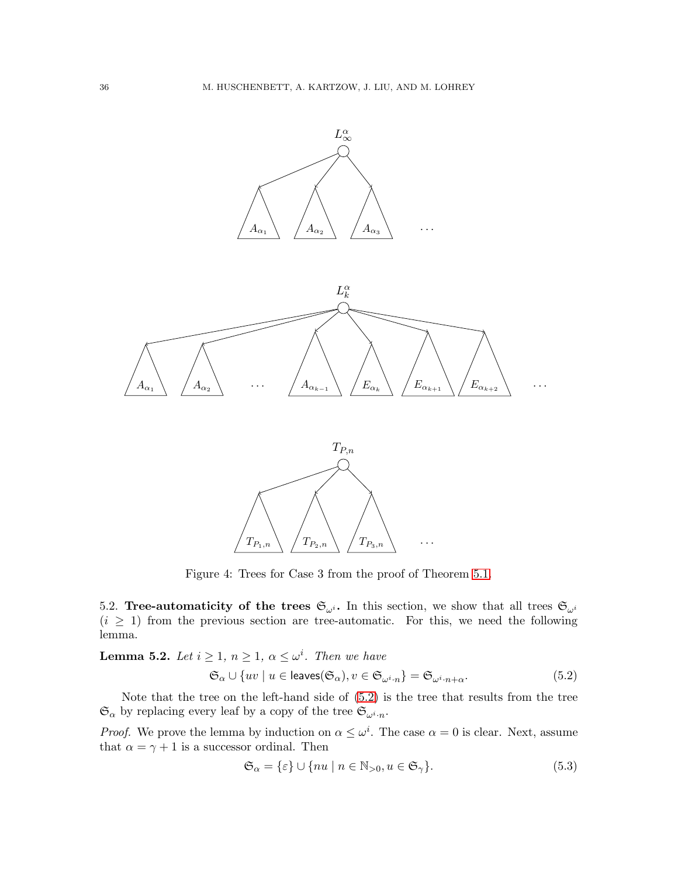

Figure 4: Trees for Case 3 from the proof of Theorem [5.1.](#page-31-0)

5.2. Tree-automaticity of the trees  $\mathfrak{S}_{\omega^i}$ . In this section, we show that all trees  $\mathfrak{S}_{\omega^i}$  $(i \geq 1)$  from the previous section are tree-automatic. For this, we need the following lemma.

<span id="page-35-2"></span>**Lemma 5.2.** Let  $i \geq 1$ ,  $n \geq 1$ ,  $\alpha \leq \omega^i$ . Then we have

<span id="page-35-0"></span>
$$
\mathfrak{S}_{\alpha} \cup \{uv \mid u \in \text{leaves}(\mathfrak{S}_{\alpha}), v \in \mathfrak{S}_{\omega^{i} \cdot n}\} = \mathfrak{S}_{\omega^{i} \cdot n + \alpha}.
$$
 (5.2)

Note that the tree on the left-hand side of [\(5.2\)](#page-35-0) is the tree that results from the tree  $\mathfrak{S}_{\alpha}$  by replacing every leaf by a copy of the tree  $\mathfrak{S}_{\omega^i \cdot n}$ .

*Proof.* We prove the lemma by induction on  $\alpha \leq \omega^i$ . The case  $\alpha = 0$  is clear. Next, assume that  $\alpha = \gamma + 1$  is a successor ordinal. Then

<span id="page-35-1"></span>
$$
\mathfrak{S}_{\alpha} = \{\varepsilon\} \cup \{nu \mid n \in \mathbb{N}_{>0}, u \in \mathfrak{S}_{\gamma}\}. \tag{5.3}
$$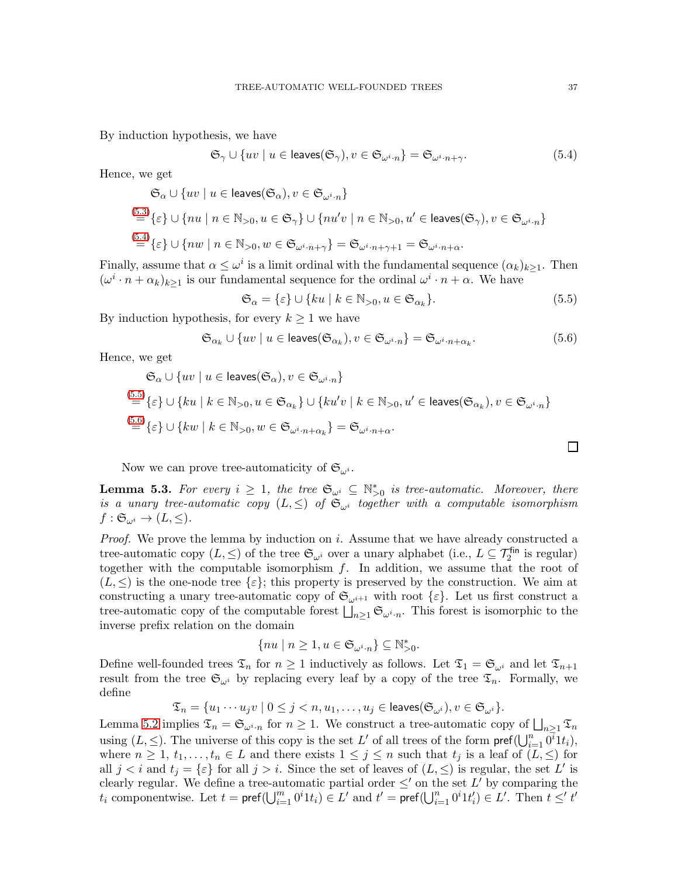By induction hypothesis, we have

<span id="page-36-0"></span>
$$
\mathfrak{S}_{\gamma} \cup \{uv \mid u \in \text{leaves}(\mathfrak{S}_{\gamma}), v \in \mathfrak{S}_{\omega^{i} \cdot n}\} = \mathfrak{S}_{\omega^{i} \cdot n + \gamma}.
$$
\n(5.4)

Hence, we get

$$
\mathfrak{S}_{\alpha} \cup \{uv \mid u \in \text{leaves}(\mathfrak{S}_{\alpha}), v \in \mathfrak{S}_{\omega^{i} \cdot n}\}
$$
\n
$$
\stackrel{(5.3)}{=} \{\varepsilon\} \cup \{nu \mid n \in \mathbb{N}_{>0}, u \in \mathfrak{S}_{\gamma}\} \cup \{nu'v \mid n \in \mathbb{N}_{>0}, u' \in \text{leaves}(\mathfrak{S}_{\gamma}), v \in \mathfrak{S}_{\omega^{i} \cdot n}\}
$$
\n
$$
\stackrel{(5.4)}{=} \{\varepsilon\} \cup \{nw \mid n \in \mathbb{N}_{>0}, w \in \mathfrak{S}_{\omega^{i} \cdot n + \gamma}\} = \mathfrak{S}_{\omega^{i} \cdot n + \gamma + 1} = \mathfrak{S}_{\omega^{i} \cdot n + \alpha}.
$$

Finally, assume that  $\alpha \leq \omega^i$  is a limit ordinal with the fundamental sequence  $(\alpha_k)_{k\geq 1}$ . Then  $(\omega^i \cdot n + \alpha_k)_{k \geq 1}$  is our fundamental sequence for the ordinal  $\omega^i \cdot n + \alpha$ . We have

<span id="page-36-1"></span>
$$
\mathfrak{S}_{\alpha} = \{\varepsilon\} \cup \{ku \mid k \in \mathbb{N}_{>0}, u \in \mathfrak{S}_{\alpha_k}\}.
$$
\n(5.5)

By induction hypothesis, for every  $k \geq 1$  we have

<span id="page-36-2"></span>
$$
\mathfrak{S}_{\alpha_k} \cup \{ uv \mid u \in \text{leaves}(\mathfrak{S}_{\alpha_k}), v \in \mathfrak{S}_{\omega^i \cdot n} \} = \mathfrak{S}_{\omega^i \cdot n + \alpha_k}.
$$
\n
$$
(5.6)
$$

Hence, we get

$$
\mathfrak{S}_{\alpha} \cup \{uv \mid u \in \text{leaves}(\mathfrak{S}_{\alpha}), v \in \mathfrak{S}_{\omega^{i} \cdot n}\}
$$
\n
$$
\stackrel{(5.5)}{=} \{\varepsilon\} \cup \{ku \mid k \in \mathbb{N}_{>0}, u \in \mathfrak{S}_{\alpha_{k}}\} \cup \{ku'v \mid k \in \mathbb{N}_{>0}, u' \in \text{leaves}(\mathfrak{S}_{\alpha_{k}}), v \in \mathfrak{S}_{\omega^{i} \cdot n}\}
$$
\n
$$
\stackrel{(5.6)}{=} \{\varepsilon\} \cup \{kw \mid k \in \mathbb{N}_{>0}, w \in \mathfrak{S}_{\omega^{i} \cdot n + \alpha_{k}}\} = \mathfrak{S}_{\omega^{i} \cdot n + \alpha}.
$$

Now we can prove tree-automaticity of  $\mathfrak{S}_{\omega^i}$ .

<span id="page-36-3"></span>**Lemma 5.3.** For every  $i \geq 1$ , the tree  $\mathfrak{S}_{\omega^i} \subseteq \mathbb{N}_{>0}^*$  is tree-automatic. Moreover, there is a unary tree-automatic copy  $(L, \leq)$  of  $\mathfrak{S}_{\omega^i}$  together with a computable isomorphism  $f: \mathfrak{S}_{\omega^i} \to (L, \leq).$ 

*Proof.* We prove the lemma by induction on i. Assume that we have already constructed a tree-automatic copy  $(L, \leq)$  of the tree  $\mathfrak{S}_{\omega^i}$  over a unary alphabet (i.e.,  $L \subseteq \mathcal{T}_2^{\text{fin}}$  is regular) together with the computable isomorphism  $f$ . In addition, we assume that the root of  $(L, \leq)$  is the one-node tree  $\{\varepsilon\}$ ; this property is preserved by the construction. We aim at constructing a unary tree-automatic copy of  $\mathfrak{S}_{\omega^{i+1}}$  with root  $\{\varepsilon\}$ . Let us first construct a tree-automatic copy of the computable forest  $\bigsqcup_{n\geq 1} \mathfrak{S}_{\omega^i \cdot n}$ . This forest is isomorphic to the inverse prefix relation on the domain

$$
\{nu \mid n \geq 1, u \in \mathfrak{S}_{\omega^i \cdot n} \} \subseteq \mathbb{N}_{>0}^*.
$$

Define well-founded trees  $\mathfrak{T}_n$  for  $n \geq 1$  inductively as follows. Let  $\mathfrak{T}_1 = \mathfrak{S}_{\omega^i}$  and let  $\mathfrak{T}_{n+1}$ result from the tree  $\mathfrak{S}_{\omega^i}$  by replacing every leaf by a copy of the tree  $\mathfrak{T}_n$ . Formally, we define

 $\mathfrak{T}_n = \{u_1 \cdots u_j v \mid 0 \leq j < n, u_1, \ldots, u_j \in \text{leaves}(\mathfrak{S}_{\omega^i}), v \in \mathfrak{S}_{\omega^i}\}.$ 

Lemma [5.2](#page-35-2) implies  $\mathfrak{T}_n = \mathfrak{S}_{\omega^i \cdot n}$  for  $n \geq 1$ . We construct a tree-automatic copy of  $\bigsqcup_{n \geq 1} \mathfrak{T}_n$ using  $(L, \leq)$ . The universe of this copy is the set L' of all trees of the form  $\mathsf{pref}(\bigcup_{i=1}^n \overline{0^i}1t_i),$ where  $n \geq 1, t_1, \ldots, t_n \in L$  and there exists  $1 \leq j \leq n$  such that  $t_j$  is a leaf of  $(L, \leq)$  for all  $j < i$  and  $t_j = \{\varepsilon\}$  for all  $j > i$ . Since the set of leaves of  $(L, \leq)$  is regular, the set L' is clearly regular. We define a tree-automatic partial order  $\leq'$  on the set L' by comparing the  $t_i$  componentwise. Let  $t = \text{pref}(\bigcup_{i=1}^m 0^i 1t_i) \in L'$  and  $t' = \text{pref}(\bigcup_{i=1}^m 0^i 1t_i') \in L'.$  Then  $t \leq' t'$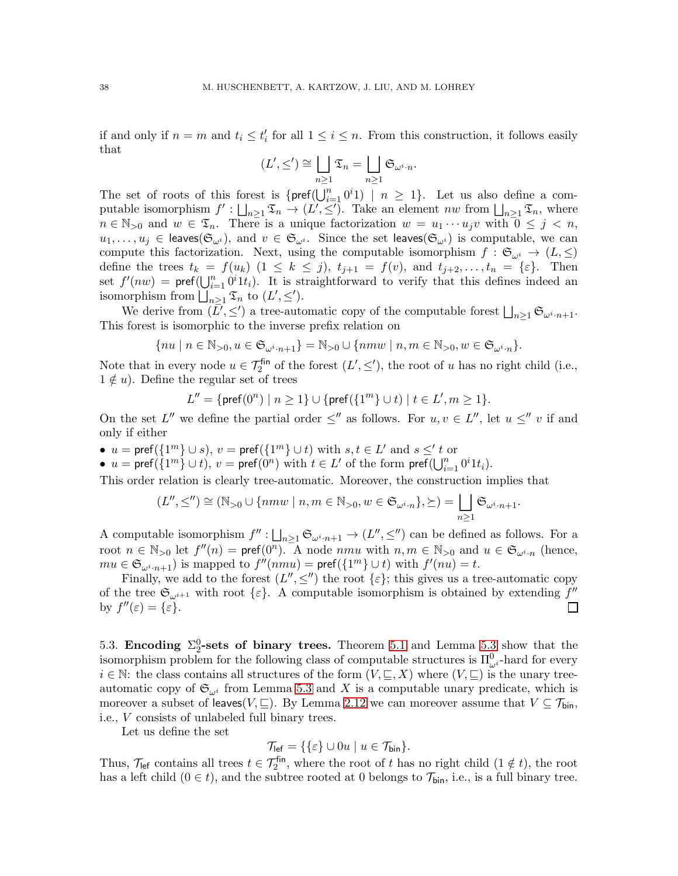if and only if  $n = m$  and  $t_i \leq t'_i$  for all  $1 \leq i \leq n$ . From this construction, it follows easily that

$$
(L', \leq') \cong \bigsqcup_{n \geq 1} \mathfrak{T}_n = \bigsqcup_{n \geq 1} \mathfrak{S}_{\omega^i \cdot n}.
$$

The set of roots of this forest is  $\{\text{pref}(\bigcup_{i=1}^n 0^i1) \mid n \geq 1\}$ . Let us also define a computable isomorphism  $f': \bigsqcup_{n\geq 1} \mathfrak{T}_n \to (L', \leq')$ . Take an element nw from  $\bigsqcup_{n\geq 1} \mathfrak{T}_n$ , where  $n \in \mathbb{N}_{>0}$  and  $w \in \mathfrak{T}_n$ . There is a unique factorization  $w = u_1 \cdots u_j v$  with  $0 \leq j \leq n$ ,  $u_1,\ldots,u_j\in\mathsf{leaves}(\mathfrak{S}_{\omega^i}),$  and  $v\in\mathfrak{S}_{\omega^i}$ . Since the set leaves $(\mathfrak{S}_{\omega^i})$  is computable, we can compute this factorization. Next, using the computable isomorphism  $f : \mathfrak{S}_{\omega^i} \to (L, \leq)$ define the trees  $t_k = f(u_k)$   $(1 \leq k \leq j)$ ,  $t_{j+1} = f(v)$ , and  $t_{j+2}, \ldots, t_n = {\varepsilon}$ . Then set  $f'(nw) = \text{pref}(\bigcup_{i=1}^n 0^i 1t_i)$ . It is straightforward to verify that this defines indeed an isomorphism from  $\bigsqcup_{n\geq 1} \mathfrak{T}_n$  to  $(L', \leq').$ 

We derive from  $(\bar{L}', \leq')$  a tree-automatic copy of the computable forest  $\bigsqcup_{n\geq 1} \mathfrak{S}_{\omega^i \cdot n+1}$ . This forest is isomorphic to the inverse prefix relation on

$$
\{nu \mid n \in \mathbb{N}_{>0}, u \in \mathfrak{S}_{\omega^i \cdot n+1}\} = \mathbb{N}_{>0} \cup \{nmw \mid n,m \in \mathbb{N}_{>0}, w \in \mathfrak{S}_{\omega^i \cdot n}\}.
$$

Note that in every node  $u \in \mathcal{T}_2^{\text{fin}}$  of the forest  $(L', \leq')$ , the root of u has no right child (i.e.,  $1 \notin u$ ). Define the regular set of trees

$$
L'' = \{ \text{pref}(0^n) \mid n \ge 1 \} \cup \{ \text{pref}(\{1^m\} \cup t) \mid t \in L', m \ge 1 \}.
$$

On the set  $L''$  we define the partial order  $\leq''$  as follows. For  $u, v \in L''$ , let  $u \leq'' v$  if and only if either

- $u = \text{pref}(\{1^m\} \cup s), v = \text{pref}(\{1^m\} \cup t)$  with  $s, t \in L'$  and  $s \leq' t$  or
- $u = \text{pref}(\{1^m\} \cup t), v = \text{pref}(0^n)$  with  $t \in L'$  of the form  $\text{pref}(\bigcup_{i=1}^n 0^i 1t_i).$

This order relation is clearly tree-automatic. Moreover, the construction implies that

$$
(L'', \leq'') \cong (\mathbb{N}_{>0} \cup \{nmw \mid n, m \in \mathbb{N}_{>0}, w \in \mathfrak{S}_{\omega^i \cdot n}\}, \succeq) = \bigsqcup_{n \geq 1} \mathfrak{S}_{\omega^i \cdot n + 1}.
$$

A computable isomorphism  $f'' : \bigsqcup_{n \geq 1} \mathfrak{S}_{\omega^i \cdot n+1} \to (L'', \leq'')$  can be defined as follows. For a root  $n \in \mathbb{N}_{>0}$  let  $f''(n) = \text{pref}(0^n)$ . A node  $nmu$  with  $n, m \in \mathbb{N}_{>0}$  and  $u \in \mathfrak{S}_{\omega^i \cdot n}$  (hence,  $mu \in \mathfrak{S}_{\omega^i \cdot n+1}$  is mapped to  $f''(nmu) = \text{pref}(\{1^m\} \cup t)$  with  $f'(nu) = t$ .

Finally, we add to the forest  $(L'', \leq'')$  the root  $\{\varepsilon\}$ ; this gives us a tree-automatic copy of the tree  $\mathfrak{S}_{\omega^{i+1}}$  with root  $\{\varepsilon\}$ . A computable isomorphism is obtained by extending  $f''$ by  $f''(\varepsilon) = {\varepsilon}.$ 

5.3. Encoding  $\Sigma_2^0$ -sets of binary trees. Theorem [5.1](#page-31-0) and Lemma [5.3](#page-36-3) show that the isomorphism problem for the following class of computable structures is  $\Pi_{\omega_i}^0$ -hard for every  $i \in \mathbb{N}$ : the class contains all structures of the form  $(V, \subseteq, X)$  where  $(V, \subseteq)$  is the unary treeautomatic copy of  $\mathfrak{S}_{\omega^i}$  from Lemma [5.3](#page-36-3) and X is a computable unary predicate, which is moreover a subset of leaves( $V, \subseteq$ ). By Lemma [2.12](#page-9-0) we can moreover assume that  $V \subseteq \mathcal{T}_{\text{bin}}$ , i.e., V consists of unlabeled full binary trees.

Let us define the set

$$
\mathcal{T}_{\text{left}} = \{ \{\varepsilon\} \cup 0u \mid u \in \mathcal{T}_{\text{bin}} \}.
$$

Thus,  $\mathcal{T}_{\text{left}}$  contains all trees  $t \in \mathcal{T}_{2}^{\text{fin}}$ , where the root of t has no right child  $(1 \notin t)$ , the root has a left child  $(0 \in t)$ , and the subtree rooted at 0 belongs to  $\mathcal{T}_{\text{bin}}$ , i.e., is a full binary tree.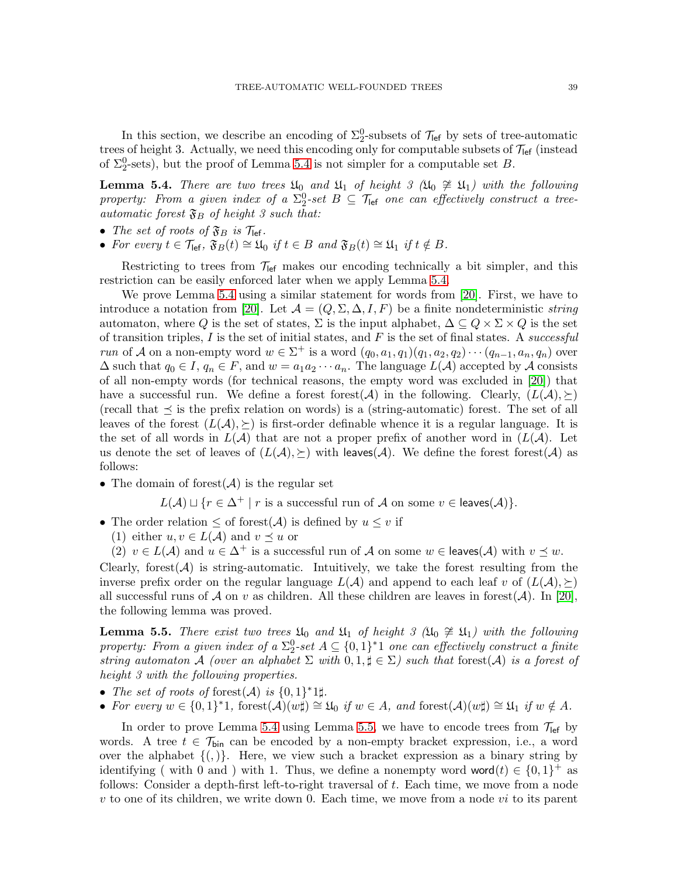In this section, we describe an encoding of  $\Sigma^0_2$ -subsets of  $\mathcal{T}_{\text{left}}$  by sets of tree-automatic trees of height 3. Actually, we need this encoding only for computable subsets of  $\mathcal{T}_{\text{left}}$  (instead of  $\Sigma^0$ -sets), but the proof of Lemma [5.4](#page-38-0) is not simpler for a computable set B.

<span id="page-38-0"></span>**Lemma 5.4.** There are two trees  $\mathfrak{U}_0$  and  $\mathfrak{U}_1$  of height 3 ( $\mathfrak{U}_0 \not\cong \mathfrak{U}_1$ ) with the following property: From a given index of a  $\Sigma^0_2$ -set  $B \subseteq \mathcal{T}_{\text{left}}$  one can effectively construct a treeautomatic forest  $\mathfrak{F}_B$  of height 3 such that:

- The set of roots of  $\mathfrak{F}_B$  is  $\mathcal{T}_{\text{left}}$ .
- For every  $t \in \mathcal{T}_{\text{left}}$ ,  $\mathfrak{F}_B(t) \cong \mathfrak{U}_0$  if  $t \in B$  and  $\mathfrak{F}_B(t) \cong \mathfrak{U}_1$  if  $t \notin B$ .

Restricting to trees from  $\mathcal{T}_{\text{left}}$  makes our encoding technically a bit simpler, and this restriction can be easily enforced later when we apply Lemma [5.4.](#page-38-0)

We prove Lemma [5.4](#page-38-0) using a similar statement for words from [\[20\]](#page-43-6). First, we have to introduce a notation from [\[20\]](#page-43-6). Let  $\mathcal{A} = (Q, \Sigma, \Delta, I, F)$  be a finite nondeterministic string automaton, where Q is the set of states,  $\Sigma$  is the input alphabet,  $\Delta \subseteq Q \times \Sigma \times Q$  is the set of transition triples, I is the set of initial states, and F is the set of final states. A successful run of A on a non-empty word  $w \in \Sigma^+$  is a word  $(q_0, a_1, q_1)(q_1, a_2, q_2) \cdots (q_{n-1}, a_n, q_n)$  over  $\Delta$  such that  $q_0 \in I$ ,  $q_n \in F$ , and  $w = a_1 a_2 \cdots a_n$ . The language  $L(\mathcal{A})$  accepted by  $\mathcal A$  consists of all non-empty words (for technical reasons, the empty word was excluded in [\[20\]](#page-43-6)) that have a successful run. We define a forest forest(A) in the following. Clearly,  $(L(A), \geq)$ (recall that  $\preceq$  is the prefix relation on words) is a (string-automatic) forest. The set of all leaves of the forest  $(L(\mathcal{A}), \succeq)$  is first-order definable whence it is a regular language. It is the set of all words in  $L(\mathcal{A})$  that are not a proper prefix of another word in  $(L(\mathcal{A}))$ . Let us denote the set of leaves of  $(L(\mathcal{A}), \succeq)$  with leaves  $(\mathcal{A})$ . We define the forest forest  $(\mathcal{A})$  as follows:

• The domain of forest  $(\mathcal{A})$  is the regular set

 $L(\mathcal{A}) \sqcup \{r \in \Delta^+ \mid r \text{ is a successful run of } \mathcal{A} \text{ on some } v \in \text{leaves}(\mathcal{A})\}.$ 

• The order relation  $\leq$  of forest( $A$ ) is defined by  $u \leq v$  if

(1) either  $u, v \in L(\mathcal{A})$  and  $v \preceq u$  or

(2)  $v \in L(\mathcal{A})$  and  $u \in \Delta^+$  is a successful run of  $\mathcal A$  on some  $w \in$  leaves( $\mathcal A$ ) with  $v \preceq w$ .

Clearly, forest( $A$ ) is string-automatic. Intuitively, we take the forest resulting from the inverse prefix order on the regular language  $L(\mathcal{A})$  and append to each leaf v of  $(L(\mathcal{A}), \geq)$ all successful runs of A on v as children. All these children are leaves in forest(A). In [\[20\]](#page-43-6), the following lemma was proved.

<span id="page-38-1"></span>**Lemma 5.5.** There exist two trees  $\mathfrak{U}_0$  and  $\mathfrak{U}_1$  of height 3 ( $\mathfrak{U}_0 \not\cong \mathfrak{U}_1$ ) with the following property: From a given index of a  $\Sigma^0_2$ -set  $A \subseteq \{0,1\}^*1$  one can effectively construct a finite string automaton A (over an alphabet  $\Sigma$  with  $0,1,\sharp \in \Sigma$ ) such that forest(A) is a forest of height 3 with the following properties.

- The set of roots of forest(A) is  $\{0,1\}^*1\sharp$ .
- For every  $w \in \{0,1\}^*$ 1, forest $(\mathcal{A})(w\sharp) \cong \mathfrak{U}_0$  if  $w \in A$ , and forest $(\mathcal{A})(w\sharp) \cong \mathfrak{U}_1$  if  $w \notin A$ .

In order to prove Lemma [5.4](#page-38-0) using Lemma [5.5,](#page-38-1) we have to encode trees from  $\mathcal{T}_{\text{left}}$  by words. A tree  $t \in \mathcal{T}_{\text{bin}}$  can be encoded by a non-empty bracket expression, i.e., a word over the alphabet  $\{(\cdot)\}\$ . Here, we view such a bracket expression as a binary string by identifying (with 0 and) with 1. Thus, we define a nonempty word word $(t) \in \{0,1\}^+$  as follows: Consider a depth-first left-to-right traversal of t. Each time, we move from a node v to one of its children, we write down 0. Each time, we move from a node vi to its parent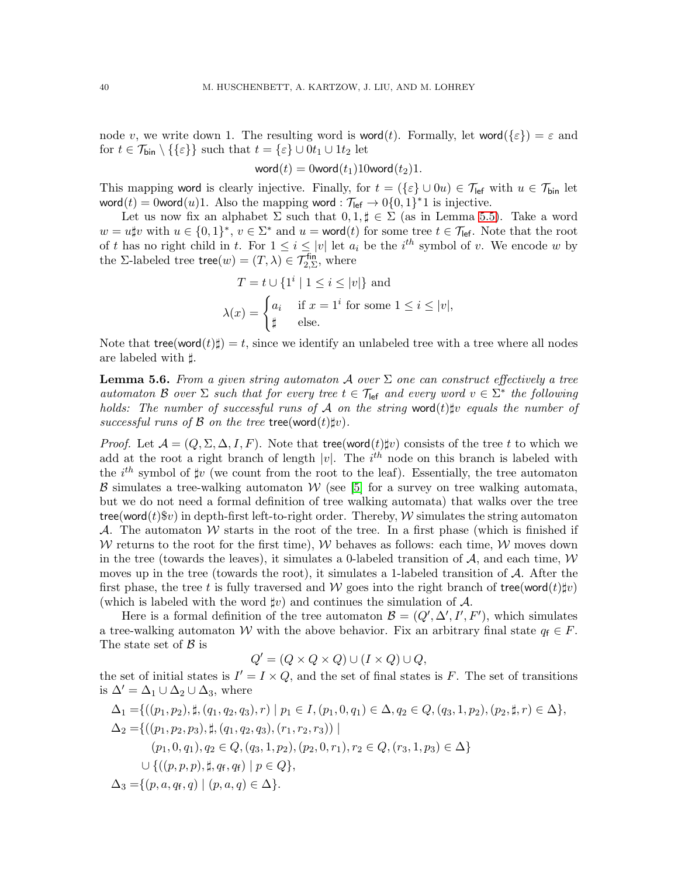node v, we write down 1. The resulting word is word(t). Formally, let word( $\{\varepsilon\}$ ) =  $\varepsilon$  and for  $t \in \mathcal{T}_{\text{bin}} \setminus \{\{\varepsilon\}\}\$  such that  $t = \{\varepsilon\} \cup 0t_1 \cup 1t_2$  let

$$
\mathsf{word}(t) = 0 \mathsf{word}(t_1) 10 \mathsf{word}(t_2) 1.
$$

This mapping word is clearly injective. Finally, for  $t = (\{\varepsilon\} \cup 0u) \in \mathcal{T}_{\text{left}}$  with  $u \in \mathcal{T}_{\text{bin}}$  let word(t) = 0word(u)1. Also the mapping word :  $\mathcal{T}_{\text{left}} \to 0\{0,1\}^*1$  is injective.

Let us now fix an alphabet  $\Sigma$  such that  $0, 1, \sharp \in \Sigma$  (as in Lemma [5.5\)](#page-38-1). Take a word  $w = u\sharp v$  with  $u \in \{0,1\}^*, v \in \Sigma^*$  and  $u = \text{word}(t)$  for some tree  $t \in \mathcal{T}_{\text{left}}$ . Note that the root of t has no right child in t. For  $1 \leq i \leq |v|$  let  $a_i$  be the  $i^{th}$  symbol of v. We encode w by the  $\Sigma$ -labeled tree tree $(w) = (T, \lambda) \in \mathcal{T}_{2, \Sigma}^{\text{fin}}$ , where

$$
T = t \cup \{1^i \mid 1 \le i \le |v|\} \text{ and}
$$

$$
\lambda(x) = \begin{cases} a_i & \text{if } x = 1^i \text{ for some } 1 \le i \le |v|, \\ \sharp & \text{else.} \end{cases}
$$

Note that  $\mathsf{tree}(\mathsf{word}(t)\sharp) = t$ , since we identify an unlabeled tree with a tree where all nodes are labeled with ♯.

<span id="page-39-0"></span>**Lemma 5.6.** From a given string automaton A over  $\Sigma$  one can construct effectively a tree automaton B over  $\Sigma$  such that for every tree  $t \in \mathcal{T}_{\text{left}}$  and every word  $v \in \Sigma^*$  the following holds: The number of successful runs of A on the string word(t) $\sharp v$  equals the number of successful runs of B on the tree tree(word $(t)\sharp v$ ).

*Proof.* Let  $\mathcal{A} = (Q, \Sigma, \Delta, I, F)$ . Note that tree(word(t)\pmatrix consists of the tree t to which we add at the root a right branch of length  $|v|$ . The  $i<sup>th</sup>$  node on this branch is labeled with the  $i<sup>th</sup>$  symbol of  $\sharp v$  (we count from the root to the leaf). Essentially, the tree automaton  $\beta$  simulates a tree-walking automaton W (see [\[5\]](#page-42-12) for a survey on tree walking automata, but we do not need a formal definition of tree walking automata) that walks over the tree tree(word(t)\$v) in depth-first left-to-right order. Thereby,  $W$  simulates the string automaton A. The automaton W starts in the root of the tree. In a first phase (which is finished if W returns to the root for the first time), W behaves as follows: each time, W moves down in the tree (towards the leaves), it simulates a 0-labeled transition of  $A$ , and each time,  $W$ moves up in the tree (towards the root), it simulates a 1-labeled transition of  $A$ . After the first phase, the tree t is fully traversed and W goes into the right branch of tree(word(t) $\sharp v$ ) (which is labeled with the word  $\sharp v$ ) and continues the simulation of A.

Here is a formal definition of the tree automaton  $\mathcal{B} = (Q', \Delta', I', F')$ , which simulates a tree-walking automaton W with the above behavior. Fix an arbitrary final state  $q_f \in F$ . The state set of  $\beta$  is

$$
Q' = (Q \times Q \times Q) \cup (I \times Q) \cup Q,
$$

the set of initial states is  $I' = I \times Q$ , and the set of final states is F. The set of transitions is  $\Delta' = \Delta_1 \cup \Delta_2 \cup \Delta_3$ , where

$$
\Delta_1 = \{((p_1, p_2), \sharp, (q_1, q_2, q_3), r) \mid p_1 \in I, (p_1, 0, q_1) \in \Delta, q_2 \in Q, (q_3, 1, p_2), (p_2, \sharp, r) \in \Delta\},\
$$
  
\n
$$
\Delta_2 = \{((p_1, p_2, p_3), \sharp, (q_1, q_2, q_3), (r_1, r_2, r_3)) \mid
$$
  
\n
$$
(p_1, 0, q_1), q_2 \in Q, (q_3, 1, p_2), (p_2, 0, r_1), r_2 \in Q, (r_3, 1, p_3) \in \Delta\}
$$
  
\n
$$
\cup \{((p, p, p), \sharp, q_f, q_f) \mid p \in Q\},\
$$
  
\n
$$
\Delta_3 = \{(p, a, q_f, q) \mid (p, a, q) \in \Delta\}.
$$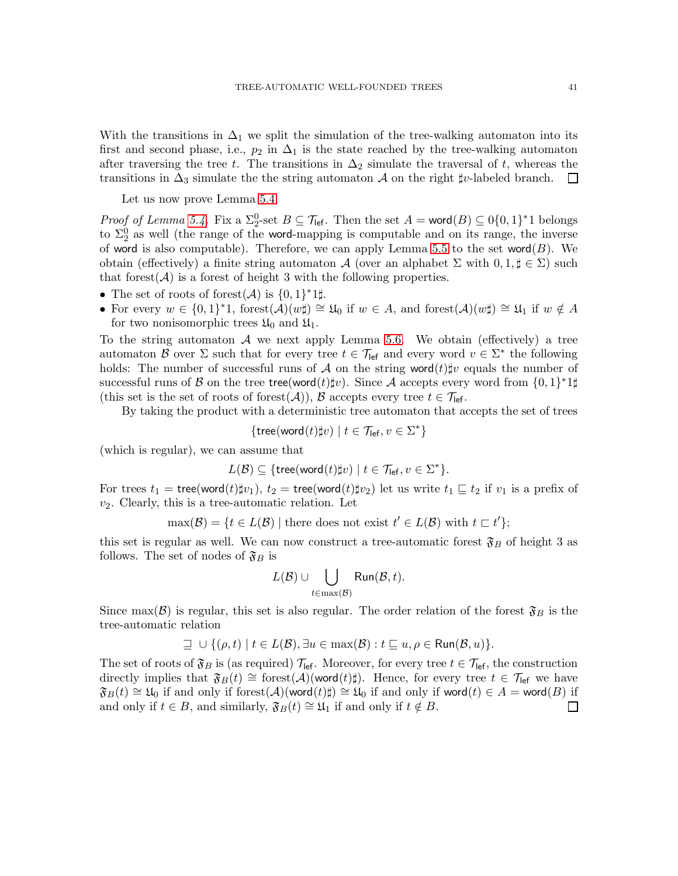With the transitions in  $\Delta_1$  we split the simulation of the tree-walking automaton into its first and second phase, i.e.,  $p_2$  in  $\Delta_1$  is the state reached by the tree-walking automaton after traversing the tree t. The transitions in  $\Delta_2$  simulate the traversal of t, whereas the transitions in  $\Delta_3$  simulate the the string automaton A on the right  $\sharp v$ -labeled branch.  $\Box$ 

Let us now prove Lemma [5.4.](#page-38-0)

*Proof of Lemma [5.4.](#page-38-0)* Fix a  $\Sigma_2^0$ -set  $B \subseteq \mathcal{T}_{\text{left}}$ . Then the set  $A = \text{word}(B) \subseteq 0\{0,1\}^*1$  belongs to  $\Sigma_2^0$  as well (the range of the word-mapping is computable and on its range, the inverse of word is also computable). Therefore, we can apply Lemma [5.5](#page-38-1) to the set word $(B)$ . We obtain (effectively) a finite string automaton A (over an alphabet  $\Sigma$  with  $0,1,\sharp \in \Sigma$ ) such that forest( $A$ ) is a forest of height 3 with the following properties.

- The set of roots of forest $(\mathcal{A})$  is  $\{0,1\}^*1\sharp$ .
- For every  $w \in \{0,1\}^*1$ , forest $(\mathcal{A})(w\sharp) \cong \mathfrak{U}_0$  if  $w \in A$ , and forest $(\mathcal{A})(w\sharp) \cong \mathfrak{U}_1$  if  $w \notin A$ for two nonisomorphic trees  $\mathfrak{U}_0$  and  $\mathfrak{U}_1$ .

To the string automaton  $A$  we next apply Lemma [5.6.](#page-39-0) We obtain (effectively) a tree automaton B over  $\Sigma$  such that for every tree  $t \in \mathcal{T}_{\text{left}}$  and every word  $v \in \Sigma^*$  the following holds: The number of successful runs of A on the string word $(t)\sharp v$  equals the number of successful runs of  $\mathcal B$  on the tree tree(word(t)‡v). Since  $\mathcal A$  accepts every word from  $\{0,1\}^*1\sharp$ (this set is the set of roots of forest( $A$ )),  $B$  accepts every tree  $t \in \mathcal{T}_{\text{left}}$ .

By taking the product with a deterministic tree automaton that accepts the set of trees

$$
\{\mathsf{tree}(\mathsf{word}(t)\sharp v) \mid t \in \mathcal{T}_{\mathsf{left}}, v \in \Sigma^*\}
$$

(which is regular), we can assume that

$$
L(\mathcal{B}) \subseteq \{ \text{tree}(\text{word}(t) \sharp v) \mid t \in \mathcal{T}_{\text{left}}, v \in \Sigma^* \}.
$$

For trees  $t_1$  = tree(word(t) $\sharp v_1$ ),  $t_2$  = tree(word(t) $\sharp v_2$ ) let us write  $t_1 \sqsubseteq t_2$  if  $v_1$  is a prefix of  $v_2$ . Clearly, this is a tree-automatic relation. Let

 $\max(\mathcal{B}) = \{t \in L(\mathcal{B}) \mid \text{there does not exist } t' \in L(\mathcal{B}) \text{ with } t \subset t'\};$ 

this set is regular as well. We can now construct a tree-automatic forest  $\mathfrak{F}_B$  of height 3 as follows. The set of nodes of  $\mathfrak{F}_B$  is

$$
L(\mathcal{B}) \cup \bigcup_{t \in \max(\mathcal{B})} \mathsf{Run}(\mathcal{B}, t).
$$

Since max( $\mathcal{B}$ ) is regular, this set is also regular. The order relation of the forest  $\mathfrak{F}_B$  is the tree-automatic relation

$$
\supseteq \cup \{(\rho, t) \mid t \in L(\mathcal{B}), \exists u \in \max(\mathcal{B}) : t \sqsubseteq u, \rho \in \mathsf{Run}(\mathcal{B}, u)\}.
$$

The set of roots of  $\mathfrak{F}_B$  is (as required)  $\mathcal{T}_{\text{left}}$ . Moreover, for every tree  $t \in \mathcal{T}_{\text{left}}$ , the construction directly implies that  $\mathfrak{F}_B(t) \cong \text{forest}(\mathcal{A})(\text{word}(t)\sharp)$ . Hence, for every tree  $t \in \mathcal{T}_{\text{left}}$  we have  $\mathfrak{F}_B(t) \cong \mathfrak{U}_0$  if and only if forest $(\mathcal{A})(\text{word}(t)\sharp) \cong \mathfrak{U}_0$  if and only if word $(t) \in A = \text{word}(B)$  if and only if  $t \in B$ , and similarly,  $\mathfrak{F}_B(t) \cong \mathfrak{U}_1$  if and only if  $t \notin B$ .  $\Box$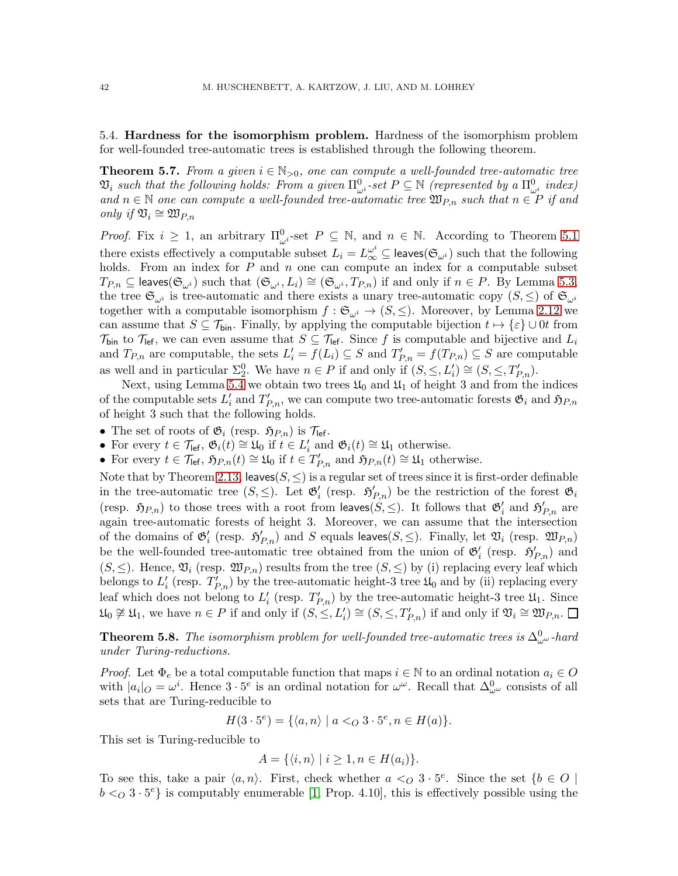5.4. Hardness for the isomorphism problem. Hardness of the isomorphism problem for well-founded tree-automatic trees is established through the following theorem.

<span id="page-41-0"></span>**Theorem 5.7.** From a given  $i \in \mathbb{N}_{>0}$ , one can compute a well-founded tree-automatic tree  $\mathfrak{V}_i$  such that the following holds: From a given  $\Pi_{\omega^i}^0$ -set  $P \subseteq \mathbb{N}$  (represented by a  $\Pi_{\omega^i}^0$  index) and  $n \in \mathbb{N}$  one can compute a well-founded tree-automatic tree  $\mathfrak{W}_{P,n}$  such that  $n \in P$  if and only if  $\mathfrak{V}_i \cong \mathfrak{W}_{P,n}$ 

*Proof.* Fix  $i \geq 1$ , an arbitrary  $\Pi_{\omega}^0$ -set  $P \subseteq \mathbb{N}$ , and  $n \in \mathbb{N}$ . According to Theorem [5.1](#page-31-0) there exists effectively a computable subset  $L_i = L_{\infty}^{\omega^i} \subseteq \text{leaves}(\mathfrak{S}_{\omega^i})$  such that the following holds. From an index for  $P$  and  $n$  one can compute an index for a computable subset  $T_{P,n} \subseteq \text{leaves}(\mathfrak{S}_{\omega^i})$  such that  $(\mathfrak{S}_{\omega^i}, L_i) \cong (\mathfrak{S}_{\omega^i}, T_{P,n})$  if and only if  $n \in P$ . By Lemma [5.3,](#page-36-3) the tree  $\mathfrak{S}_{\omega^i}$  is tree-automatic and there exists a unary tree-automatic copy  $(S, \leq)$  of  $\mathfrak{S}_{\omega^i}$ together with a computable isomorphism  $f : \mathfrak{S}_{\omega^i} \to (S, \leq)$ . Moreover, by Lemma [2.12](#page-9-0) we can assume that  $S \subseteq \mathcal{T}_{\text{bin}}$ . Finally, by applying the computable bijection  $t \mapsto {\varepsilon} \cup 0t$  from  $\mathcal{T}_{\text{bin}}$  to  $\mathcal{T}_{\text{left}}$ , we can even assume that  $S \subseteq \mathcal{T}_{\text{left}}$ . Since f is computable and bijective and  $L_i$ and  $T_{P,n}$  are computable, the sets  $L'_i = f(L_i) \subseteq S$  and  $T'_{P,n} = f(T_{P,n}) \subseteq S$  are computable as well and in particular  $\Sigma^0_2$ . We have  $n \in P$  if and only if  $(S, \leq, L'_i) \cong (S, \leq, T'_{P,n})$ .

Next, using Lemma [5.4](#page-38-0) we obtain two trees  $\mathfrak{U}_0$  and  $\mathfrak{U}_1$  of height 3 and from the indices of the computable sets  $L'_i$  and  $T'_{P,n}$ , we can compute two tree-automatic forests  $\mathfrak{G}_i$  and  $\mathfrak{H}_{P,n}$ of height 3 such that the following holds.

- The set of roots of  $\mathfrak{G}_i$  (resp.  $\mathfrak{H}_{P,n}$ ) is  $\mathcal{T}_{\text{left}}$ .
- For every  $t \in \mathcal{T}_{\text{left}}$ ,  $\mathfrak{G}_i(t) \cong \mathfrak{U}_0$  if  $t \in L'_i$  and  $\mathfrak{G}_i(t) \cong \mathfrak{U}_1$  otherwise.
- For every  $t \in \mathcal{T}_{\text{left}}$ ,  $\mathfrak{H}_{P,n}(t) \cong \mathfrak{U}_0$  if  $t \in T'_{P,n}$  and  $\mathfrak{H}_{P,n}(t) \cong \mathfrak{U}_1$  otherwise.

Note that by Theorem [2.13,](#page-10-0) leaves $(S, \leq)$  is a regular set of trees since it is first-order definable in the tree-automatic tree  $(S, \leq)$ . Let  $\mathfrak{G}'_i$  (resp.  $\mathfrak{H}'_{P,n}$ ) be the restriction of the forest  $\mathfrak{G}_i$ (resp.  $\mathfrak{H}_{P,n}$ ) to those trees with a root from leaves( $S, \leq$ ). It follows that  $\mathfrak{G}'_i$  and  $\mathfrak{H}'_{P,n}$  are again tree-automatic forests of height 3. Moreover, we can assume that the intersection of the domains of  $\mathfrak{G}'_i$  (resp.  $\mathfrak{H}'_{P,n}$ ) and S equals leaves(S,  $\leq$ ). Finally, let  $\mathfrak{V}_i$  (resp.  $\mathfrak{W}_{P,n}$ ) be the well-founded tree-automatic tree obtained from the union of  $\mathfrak{G}'_i$  (resp.  $\mathfrak{H}'_{P,n}$ ) and  $(S, \leq)$ . Hence,  $\mathfrak{V}_i$  (resp.  $\mathfrak{W}_{P,n}$ ) results from the tree  $(S, \leq)$  by (i) replacing every leaf which belongs to  $L'_{i}$  (resp.  $T'_{P,n}$ ) by the tree-automatic height-3 tree  $\mathfrak{U}_{0}$  and by (ii) replacing every leaf which does not belong to  $L'_{i}$  (resp.  $T'_{P,n}$ ) by the tree-automatic height-3 tree  $\mathfrak{U}_1$ . Since  $\mathfrak{U}_0 \not\cong \mathfrak{U}_1$ , we have  $n \in P$  if and only if  $(S, \leq, L'_i) \cong (S, \leq, T'_{P,n})$  if and only if  $\mathfrak{V}_i \cong \mathfrak{W}_{P,n}$ .

**Theorem 5.8.** The isomorphism problem for well-founded tree-automatic trees is  $\Delta^0_{\omega^{\omega}}$ -hard under Turing-reductions.

*Proof.* Let  $\Phi_e$  be a total computable function that maps  $i \in \mathbb{N}$  to an ordinal notation  $a_i \in O$ with  $|a_i|_O = \omega^i$ . Hence  $3 \cdot 5^e$  is an ordinal notation for  $\omega^{\omega}$ . Recall that  $\Delta^0_{\omega^{\omega}}$  consists of all sets that are Turing-reducible to

$$
H(3 \cdot 5^{e}) = \{ \langle a, n \rangle \mid a <_{O} 3 \cdot 5^{e}, n \in H(a) \}.
$$

This set is Turing-reducible to

$$
A = \{ \langle i, n \rangle \mid i \geq 1, n \in H(a_i) \}.
$$

To see this, take a pair  $\langle a, n \rangle$ . First, check whether  $a \leq O 3 \cdot 5^e$ . Since the set  $\{b \in O \mid$  $b <_{Q} 3 \cdot 5^{e}$  is computably enumerable [\[1,](#page-42-10) Prop. 4.10], this is effectively possible using the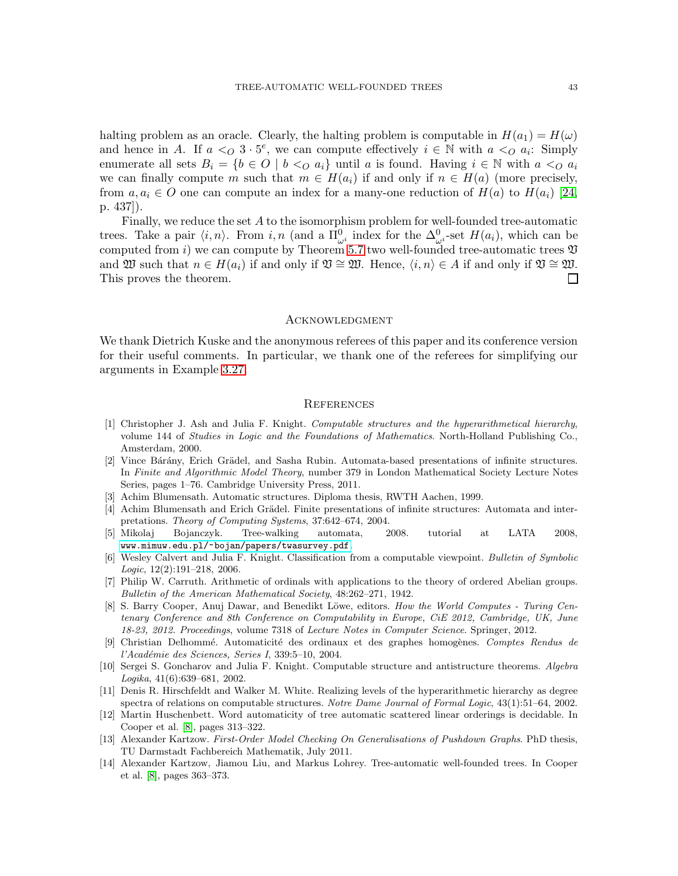halting problem as an oracle. Clearly, the halting problem is computable in  $H(a_1) = H(\omega)$ and hence in A. If  $a <_Q 3 \cdot 5^e$ , we can compute effectively  $i \in \mathbb{N}$  with  $a <_Q a_i$ : Simply enumerate all sets  $B_i = \{b \in O \mid b \leq o a_i\}$  until a is found. Having  $i \in \mathbb{N}$  with  $a \leq o a_i$ we can finally compute m such that  $m \in H(a_i)$  if and only if  $n \in H(a)$  (more precisely, from  $a, a_i \in O$  one can compute an index for a many-one reduction of  $H(a)$  to  $H(a_i)$  [\[24,](#page-43-11) p. 437]).

Finally, we reduce the set A to the isomorphism problem for well-founded tree-automatic trees. Take a pair  $\langle i, n \rangle$ . From  $i, n$  (and a  $\Pi^0_{\omega^i}$  index for the  $\Delta^0_{\omega^i}$ -set  $H(a_i)$ , which can be computed from i) we can compute by Theorem [5.7](#page-41-0) two well-founded tree-automatic trees  $\mathfrak V$ and  $\mathfrak{W}$  such that  $n \in H(a_i)$  if and only if  $\mathfrak{V} \cong \mathfrak{W}$ . Hence,  $\langle i, n \rangle \in A$  if and only if  $\mathfrak{V} \cong \mathfrak{W}$ . This proves the theorem.  $\Box$ 

#### **ACKNOWLEDGMENT**

We thank Dietrich Kuske and the anonymous referees of this paper and its conference version for their useful comments. In particular, we thank one of the referees for simplifying our arguments in Example [3.27.](#page-25-0)

#### **REFERENCES**

- <span id="page-42-10"></span>[1] Christopher J. Ash and Julia F. Knight. Computable structures and the hyperarithmetical hierarchy, volume 144 of Studies in Logic and the Foundations of Mathematics. North-Holland Publishing Co., Amsterdam, 2000.
- <span id="page-42-0"></span>[2] Vince Bárány, Erich Grädel, and Sasha Rubin. Automata-based presentations of infinite structures. In Finite and Algorithmic Model Theory, number 379 in London Mathematical Society Lecture Notes Series, pages 1–76. Cambridge University Press, 2011.
- <span id="page-42-4"></span><span id="page-42-2"></span>[3] Achim Blumensath. Automatic structures. Diploma thesis, RWTH Aachen, 1999.
- [4] Achim Blumensath and Erich Grädel. Finite presentations of infinite structures: Automata and interpretations. Theory of Computing Systems, 37:642–674, 2004.
- <span id="page-42-12"></span>[5] Mikolaj Bojanczyk. Tree-walking automata, 2008. tutorial at LATA 2008, [www.mimuw.edu.pl/~bojan/papers/twasurvey.pdf](www.mimuw.edu.pl/~bojan/papers/twasurvey.pdf ).
- <span id="page-42-6"></span>[6] Wesley Calvert and Julia F. Knight. Classification from a computable viewpoint. Bulletin of Symbolic Logic, 12(2):191–218, 2006.
- <span id="page-42-8"></span>[7] Philip W. Carruth. Arithmetic of ordinals with applications to the theory of ordered Abelian groups. Bulletin of the American Mathematical Society, 48:262–271, 1942.
- <span id="page-42-13"></span>[8] S. Barry Cooper, Anuj Dawar, and Benedikt Löwe, editors. How the World Computes - Turing Centenary Conference and 8th Conference on Computability in Europe, CiE 2012, Cambridge, UK, June 18-23, 2012. Proceedings, volume 7318 of Lecture Notes in Computer Science. Springer, 2012.
- <span id="page-42-1"></span>[9] Christian Delhommé. Automaticité des ordinaux et des graphes homogènes. Comptes Rendus de  $l'Académie des Sciences, Series I, 339:5–10, 2004.$
- <span id="page-42-7"></span>[10] Sergei S. Goncharov and Julia F. Knight. Computable structure and antistructure theorems. Algebra Logika, 41(6):639–681, 2002.
- <span id="page-42-11"></span>[11] Denis R. Hirschfeldt and Walker M. White. Realizing levels of the hyperarithmetic hierarchy as degree spectra of relations on computable structures. Notre Dame Journal of Formal Logic, 43(1):51–64, 2002.
- <span id="page-42-5"></span>[12] Martin Huschenbett. Word automaticity of tree automatic scattered linear orderings is decidable. In Cooper et al. [\[8\]](#page-42-13), pages 313–322.
- <span id="page-42-9"></span>[13] Alexander Kartzow. First-Order Model Checking On Generalisations of Pushdown Graphs. PhD thesis, TU Darmstadt Fachbereich Mathematik, July 2011.
- <span id="page-42-3"></span>[14] Alexander Kartzow, Jiamou Liu, and Markus Lohrey. Tree-automatic well-founded trees. In Cooper et al. [\[8\]](#page-42-13), pages 363–373.